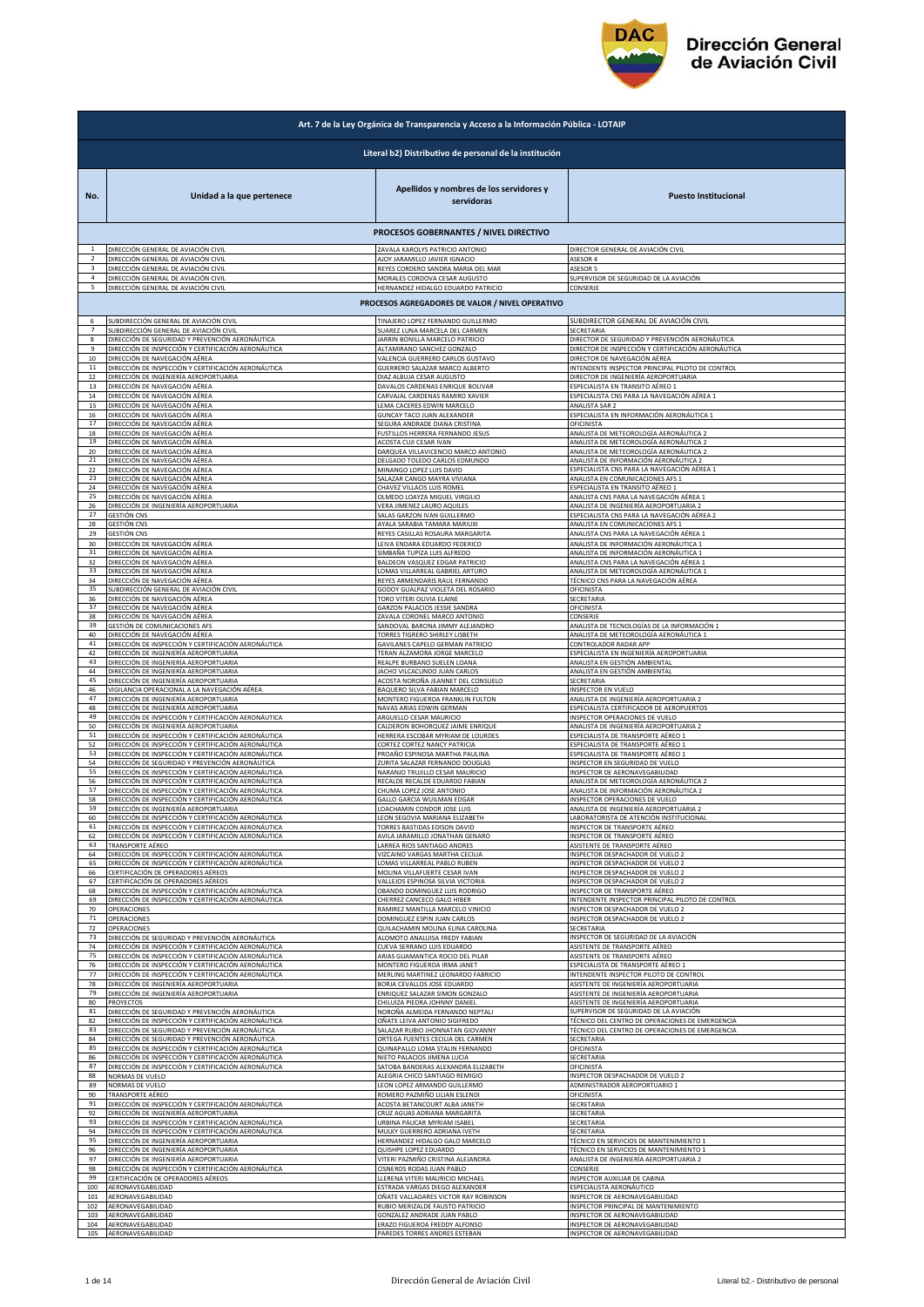

| Art. 7 de la Ley Orgánica de Transparencia y Acceso a la Información Pública - LOTAIP |                                                                         |                                                                     |                                                                                |
|---------------------------------------------------------------------------------------|-------------------------------------------------------------------------|---------------------------------------------------------------------|--------------------------------------------------------------------------------|
|                                                                                       |                                                                         | Literal b2) Distributivo de personal de la institución              |                                                                                |
| No.                                                                                   | Unidad a la que pertenece                                               | Apellidos y nombres de los servidores y<br>servidoras               | <b>Puesto Institucional</b>                                                    |
|                                                                                       |                                                                         | PROCESOS GOBERNANTES / NIVEL DIRECTIVO                              |                                                                                |
|                                                                                       | DIRECCIÓN GENERAL DE AVIACIÓN CIVIL                                     | ZAVALA KAROLYS PATRICIO ANTONIO                                     | DIRECTOR GENERAL DE AVIACIÓN CIVIL                                             |
|                                                                                       | DIRECCIÓN GENERAL DE AVIACIÓN CIVIL                                     | AJOY JARAMILLO JAVIER IGNACIO                                       | ASESOR 4                                                                       |
| 3                                                                                     | DIRECCIÓN GENERAL DE AVIACIÓN CIVIL                                     | REYES CORDERO SANDRA MARIA DEL MAR                                  | <b>ASESOR 5</b>                                                                |
| 4                                                                                     | DIRECCIÓN GENERAL DE AVIACIÓN CIVIL                                     | MORALES CORDOVA CESAR AUGUSTO                                       | SUPERVISOR DE SEGURIDAD DE LA AVIACIÓN                                         |
| 5                                                                                     | DIRECCIÓN GENERAL DE AVIACIÓN CIVIL                                     | HERNANDEZ HIDALGO EDUARDO PATRICIO                                  | CONSERJE                                                                       |
|                                                                                       |                                                                         | PROCESOS AGREGADORES DE VALOR / NIVEL OPERATIVO                     |                                                                                |
| 6                                                                                     | SUBDIRECCIÓN GENERAL DE AVIACIÓN CIVIL                                  | TINAJERO LOPEZ FERNANDO GUILLERMO                                   | SUBDIRECTOR GENERAL DE AVIACIÓN CIVIL                                          |
| $\overline{7}$                                                                        | SUBDIRECCIÓN GENERAL DE AVIACIÓN CIVIL                                  | SUAREZ LUNA MARCELA DEL CARMEN                                      | SECRETARIA                                                                     |
| 8<br>9                                                                                | DIRECCIÓN DE SEGURIDAD Y PREVENCIÓN AERONÁUTICA                         | JARRIN BONILLA MARCELO PATRICIO                                     | DIRECTOR DE SEGURIDAD Y PREVENCIÓN AERONÁUTICA                                 |
| 10                                                                                    | DIRECCIÓN DE INSPECCIÓN Y CERTIFICACIÓN AERONÁUTICA                     | ALTAMIRANO SANCHEZ GONZALO                                          | DIRECTOR DE INSPECCIÓN Y CERTIFICACIÓN AERONÁUTICA                             |
|                                                                                       | DIRECCIÓN DE NAVEGACIÓN AÉREA                                           | VALENCIA GUERRERO CARLOS GUSTAVO                                    | DIRECTOR DE NAVEGACIÓN AÉREA                                                   |
| 11                                                                                    | DIRECCIÓN DE INSPECCIÓN Y CERTIFICACIÓN AERONÁUTICA                     | GUERRERO SALAZAR MARCO ALBERTO                                      | INTENDENTE INSPECTOR PRINCIPAL PILOTO DE CONTROL                               |
| 12                                                                                    | DIRECCIÓN DE INGENIERÍA AEROPORTUARIA                                   | DIAZ ALBUJA CESAR AUGUSTO                                           | DIRECTOR DE INGENIERÍA AEROPORTUARIA                                           |
| 13                                                                                    | DIRECCIÓN DE NAVEGACIÓN AÉREA                                           | DAVALOS CARDENAS ENRIQUE BOLIVAR                                    | ESPECIALISTA EN TRANSITO AÉREO 1                                               |
| $14\,$                                                                                | DIRECCIÓN DE NAVEGACIÓN AÉREA                                           | CARVAJAL CARDENAS RAMIRO XAVIER                                     | ESPECIALISTA CNS PARA LA NAVEGACIÓN AÉREA 1                                    |
| 15                                                                                    | DIRECCIÓN DE NAVEGACIÓN AÉREA                                           | LEMA CACERES EDWIN MARCELO                                          | ANALISTA SAR 2                                                                 |
| 16                                                                                    | DIRECCIÓN DE NAVEGACIÓN AÉREA                                           | GUNCAY TACO JUAN ALEXANDER                                          | ESPECIALISTA EN INFORMACIÓN AERONÁUTICA 1                                      |
| 17                                                                                    | DIRECCIÓN DE NAVEGACIÓN AÉREA                                           | SEGURA ANDRADE DIANA CRISTINA                                       | OFICINISTA                                                                     |
| 18                                                                                    | DIRECCIÓN DE NAVEGACIÓN AÉREA                                           | FUSTILLOS HERRERA FERNANDO JESUS                                    | ANALISTA DE METEOROLOGÍA AERONÁUTICA 2                                         |
| 19                                                                                    | DIRECCIÓN DE NAVEGACIÓN AÉREA                                           | ACOSTA CUJI CESAR IVAN                                              | ANALISTA DE METEOROLOGÍA AERONÁUTICA 2                                         |
| 20                                                                                    | DIRECCIÓN DE NAVEGACIÓN AÉREA                                           | DARQUEA VILLAVICENCIO MARCO ANTONIO                                 | ANALISTA DE METEOROLOGÍA AERONÁUTICA 2                                         |
| 21                                                                                    | DIRECCIÓN DE NAVEGACIÓN AÉREA                                           | DELGADO TOLEDO CARLOS EDMUNDO                                       | ANALISTA DE INFORMACIÓN AERONÁUTICA 2                                          |
| 22                                                                                    | DIRECCIÓN DE NAVEGACIÓN AÉREA                                           | MINANGO LOPEZ LUIS DAVID                                            | ESPECIALISTA CNS PARA LA NAVEGACIÓN AÉREA 1                                    |
| 23                                                                                    | DIRECCIÓN DE NAVEGACIÓN AÉREA                                           | SALAZAR CANGO MAYRA VIVIANA                                         | ANALISTA EN COMUNICACIONES AFS 1                                               |
| 24                                                                                    | DIRECCIÓN DE NAVEGACIÓN AÉREA                                           | CHAVEZ VILLACIS LUIS ROMEL                                          | ESPECIALISTA EN TRANSITO AÉREO 1                                               |
| 25                                                                                    | DIRECCIÓN DE NAVEGACIÓN AÉREA                                           | OLMEDO LOAYZA MIGUEL VIRGILIO                                       | ANALISTA CNS PARA LA NAVEGACIÓN AÉREA 1                                        |
| 26                                                                                    | DIRECCIÓN DE INGENIERÍA AEROPORTUARIA                                   | VERA JIMENEZ LAURO AQUILES                                          | ANALISTA DE INGENIERÍA AEROPORTUARIA 2                                         |
| 27                                                                                    | <b>GESTIÓN CNS</b>                                                      | SALAS GARZON IVAN GUILLERMO                                         | ESPECIALISTA CNS PARA LA NAVEGACIÓN AÉREA 2                                    |
| 28                                                                                    | GESTIÓN CNS                                                             | AYALA SARABIA TAMARA MARIUXI                                        | ANALISTA EN COMUNICACIONES AFS 1                                               |
| 29                                                                                    | <b>GESTIÓN CNS</b>                                                      | REYES CASILLAS ROSAURA MARGARITA                                    | ANALISTA CNS PARA LA NAVEGACIÓN AÉREA 1                                        |
| 30                                                                                    | DIRECCIÓN DE NAVEGACIÓN AÉREA                                           | LEIVA ENDARA EDUARDO FEDERICO                                       | ANALISTA DE INFORMACIÓN AERONÁUTICA 1                                          |
| 31                                                                                    | DIRECCIÓN DE NAVEGACIÓN AÉREA                                           | SIMBAÑA TUPIZA LUIS ALFREDO                                         | ANALISTA DE INFORMACIÓN AERONÁUTICA 1                                          |
| 32                                                                                    | DIRECCIÓN DE NAVEGACIÓN AÉREA                                           | BALDEON VASQUEZ EDGAR PATRICIO                                      | ANALISTA CNS PARA LA NAVEGACIÓN AÉREA 1                                        |
| 33                                                                                    | DIRECCIÓN DE NAVEGACIÓN AÉREA                                           | LOMAS VILLARREAL GABRIEL ARTURO                                     | ANALISTA DE METEOROLOGÍA AERONÁUTICA 1                                         |
| 34                                                                                    | DIRECCIÓN DE NAVEGACIÓN AÉREA                                           |                                                                     | TÉCNICO CNS PARA LA NAVEGACIÓN AÉREA                                           |
| 35                                                                                    | SUBDIRECCIÓN GENERAL DE AVIACIÓN CIVIL                                  | REYES ARMENDARIS RAUL FERNANDO<br>GODOY GUALPAZ VIOLETA DEL ROSARIO | OFICINISTA                                                                     |
| 36                                                                                    | DIRECCIÓN DE NAVEGACIÓN AÉREA                                           | TORO VITERI OLIVIA ELAINE                                           | SECRETARIA                                                                     |
| 37                                                                                    | DIRECCIÓN DE NAVEGACIÓN AÉREA                                           | GARZON PALACIOS JESSIE SANDRA                                       | OFICINISTA                                                                     |
| 38                                                                                    | DIRECCIÓN DE NAVEGACIÓN AÉREA                                           | ZAVALA CORONEL MARCO ANTONIO                                        | CONSERJE                                                                       |
| 39                                                                                    | GESTIÓN DE COMUNICACIONES AFS                                           | SANDOVAL BARONA JIMMY ALEJANDRO                                     | ANALISTA DE TECNOLOGÍAS DE LA INFORMACIÓN 1                                    |
| 40                                                                                    | DIRECCIÓN DE NAVEGACIÓN AÉREA                                           | TORRES TIGRERO SHIRLEY LISBETH                                      | ANALISTA DE METEOROLOGÍA AERONÁUTICA 1                                         |
| 41                                                                                    | DIRECCIÓN DE INSPECCIÓN Y CERTIFICACIÓN AERONÁUTICA                     | GAVILANES CAPELO GERMAN PATRICIO                                    | CONTROLADOR RADAR APP                                                          |
| 42                                                                                    | DIRECCIÓN DE INGENIERÍA AEROPORTUARIA                                   | TERAN ALZAMORA JORGE MARCELO                                        | SPECIALISTA EN INGENIERÍA AEROPORTUARIA                                        |
| 43                                                                                    | DIRECCIÓN DE INGENIERÍA AEROPORTUARIA                                   | REALPE BURBANO SUELEN LOANA                                         | ANALISTA EN GESTIÓN AMBIENTAL                                                  |
| 44                                                                                    | DIRECCIÓN DE INGENIERÍA AEROPORTUARIA                                   | JACHO VILCACUNDO JUAN CARLOS                                        | ANALISTA EN GESTIÓN AMBIENTAL                                                  |
| 45                                                                                    | DIRECCIÓN DE INGENIERÍA AEROPORTUARIA                                   | ACOSTA NOROÑA JEANNET DEL CONSUELO                                  | SECRETARIA                                                                     |
| 46                                                                                    | VIGILANCIA OPERACIONAL A LA NAVEGACIÓN AÉREA                            | BAQUERO SILVA FABIAN MARCELO                                        | NSPECTOR EN VUELO                                                              |
| 47                                                                                    | DIRECCIÓN DE INGENIERÍA AEROPORTUARIA                                   | MONTERO FIGUEROA FRANKLIN FULTON                                    | ANALISTA DE INGENIERÍA AEROPORTUARIA 2                                         |
| 48                                                                                    | DIRECCIÓN DE INGENIERÍA AEROPORTUARIA                                   | NAVAS ARIAS EDWIN GERMAN                                            | ESPECIALISTA CERTIFICADOR DE AEROPUERTOS                                       |
| 49                                                                                    | DIRECCIÓN DE INSPECCIÓN Y CERTIFICACIÓN AERONÁUTICA                     | ARGUELLO CESAR MAURICIO                                             | <b>NSPECTOR OPERACIONES DE VUELO</b>                                           |
| 50                                                                                    | DIRECCIÓN DE INGENIERÍA AEROPORTUARIA                                   | CALDERON BOHORQUEZ JAIME ENRIQUE                                    | ANALISTA DE INGENIERÍA AEROPORTUARIA 2                                         |
| 51                                                                                    | DIRECCIÓN DE INSPECCIÓN Y CERTIFICACIÓN AERONÁUTICA                     | HERRERA ESCOBAR MYRIAM DE LOURDES                                   | ESPECIALISTA DE TRANSPORTE AÉREO 1                                             |
| 52                                                                                    | DIRECCIÓN DE INSPECCIÓN Y CERTIFICACIÓN AERONÁUTICA                     | CORTEZ CORTEZ NANCY PATRICIA                                        | ESPECIALISTA DE TRANSPORTE AÉREO 1                                             |
| 53                                                                                    | DIRECCIÓN DE INSPECCIÓN Y CERTIFICACIÓN AERONÁUTICA                     | PROAÑO ESPINOSA MARTHA PAULINA                                      | ESPECIALISTA DE TRANSPORTE AÉREO 1                                             |
| 54                                                                                    | DIRECCIÓN DE SEGURIDAD Y PREVENCIÓN AERONÁUTICA                         | ZURITA SALAZAR FERNANDO DOUGLAS                                     | <b>NSPECTOR EN SEGURIDAD DE VUELO</b>                                          |
| 55                                                                                    | DIRECCIÓN DE INSPECCIÓN Y CERTIFICACIÓN AERONÁUTICA                     | NARANJO TRUJILLO CESAR MAURICIO                                     | <b>INSPECTOR DE AERONAVEGABILIDAD</b>                                          |
| 56                                                                                    | DIRECCIÓN DE INSPECCIÓN Y CERTIFICACIÓN AERONÁUTICA                     | RECALDE RECALDE EDUARDO FABIAN                                      | ANALISTA DE METEOROLOGÍA AERONÁUTICA 2                                         |
| 57                                                                                    | DIRECCIÓN DE INSPECCIÓN Y CERTIFICACIÓN AERONÁUTICA                     | CHUMA LOPEZ JOSE ANTONIO                                            | ANALISTA DE INFORMACIÓN AERONÁUTICA 2                                          |
| 58                                                                                    | DIRECCIÓN DE INSPECCIÓN Y CERTIFICACIÓN AERONÁUTICA                     | GALLO GARCIA WUILMAN EDGAR                                          | NSPECTOR OPERACIONES DE VUELO                                                  |
|                                                                                       | DIRECCION DE INGENIERIA AEROPORTUARIA                                   | JACHAMIN CONDOR JOSE LUI:                                           | INALISTA DE INGENIERIA AEROPORTUARIA                                           |
| 60                                                                                    | DIRECCIÓN DE INSPECCIÓN Y CERTIFICACIÓN AERONÁUTICA                     | LEON SEGOVIA MARIANA ELIZABETH                                      | LABORATORISTA DE ATENCIÓN INSTITUCIONAL                                        |
| 61                                                                                    | DIRECCIÓN DE INSPECCIÓN Y CERTIFICACIÓN AERONÁUTICA                     | TORRES BASTIDAS EDISON DAVID                                        | <b>NSPECTOR DE TRANSPORTE AÉREO</b>                                            |
| 62<br>63                                                                              | DIRECCIÓN DE INSPECCIÓN Y CERTIFICACIÓN AERONÁUTICA                     | AVILA JARAMILLO JONATHAN GENARO<br>LARREA RIOS SANTIAGO ANDRES      | INSPECTOR DE TRANSPORTE AÉREO                                                  |
| 64                                                                                    | TRANSPORTE AÉREO<br>DIRECCIÓN DE INSPECCIÓN Y CERTIFICACIÓN AERONÁUTICA | VIZCAINO VARGAS MARTHA CECILIA                                      | ASISTENTE DE TRANSPORTE AÉREO<br>INSPECTOR DESPACHADOR DE VUELO 2              |
| 65                                                                                    | DIRECCIÓN DE INSPECCIÓN Y CERTIFICACIÓN AERONÁUTICA                     | LOMAS VILLARREAL PABLO RUBEN                                        | INSPECTOR DESPACHADOR DE VUELO 2                                               |
| 66                                                                                    | CERTIFICACIÓN DE OPERADORES AÉREOS                                      | MOLINA VILLAFUERTE CESAR IVAN                                       | INSPECTOR DESPACHADOR DE VUELO 2                                               |
| 67                                                                                    | CERTIFICACIÓN DE OPERADORES AÉREOS                                      | VALLEJOS ESPINOSA SILVIA VICTORIA                                   | INSPECTOR DESPACHADOR DE VUELO 2                                               |
| 68                                                                                    | DIRECCIÓN DE INSPECCIÓN Y CERTIFICACIÓN AERONÁUTICA                     | OBANDO DOMINGUEZ LUIS RODRIGO                                       | NSPECTOR DE TRANSPORTE AÉREO                                                   |
| 69                                                                                    | DIRECCIÓN DE INSPECCIÓN Y CERTIFICACIÓN AERONÁUTICA                     | CHERREZ CANCECO GALO HIBER                                          | <b>NTENDENTE INSPECTOR PRINCIPAL PILOTO DE CONTROL</b>                         |
| 70                                                                                    | <b>OPERACIONES</b>                                                      | RAMIREZ MANTILLA MARCELO VINICIO                                    | <b>NSPECTOR DESPACHADOR DE VUELO 2</b>                                         |
| 71                                                                                    | OPERACIONES                                                             | DOMINGUEZ ESPIN JUAN CARLOS                                         | INSPECTOR DESPACHADOR DE VUELO 2                                               |
| 72                                                                                    | OPERACIONES                                                             | QUILACHAMIN MOLINA ELINA CAROLINA                                   | SECRETARIA                                                                     |
| 73                                                                                    | DIRECCIÓN DE SEGURIDAD Y PREVENCIÓN AERONÁUTICA                         | ALOMOTO ANALUISA FREDY FABIAN                                       | INSPECTOR DE SEGURIDAD DE LA AVIACIÓN                                          |
| 74                                                                                    | DIRECCIÓN DE INSPECCIÓN Y CERTIFICACIÓN AERONÁUTICA                     | CUEVA SERRANO LUIS EDUARDO                                          | ASISTENTE DE TRANSPORTE AÉREO                                                  |
| 75                                                                                    | DIRECCIÓN DE INSPECCIÓN Y CERTIFICACIÓN AERONÁUTICA                     | ARIAS GUAMANTICA ROCIO DEL PILAR                                    | ASISTENTE DE TRANSPORTE AÉREO                                                  |
| 76                                                                                    | DIRECCIÓN DE INSPECCIÓN Y CERTIFICACIÓN AERONÁUTICA                     | MONTERO FIGUEROA IRMA JANET                                         | ESPECIALISTA DE TRANSPORTE AÉREO 1                                             |
| 77                                                                                    | DIRECCIÓN DE INSPECCIÓN Y CERTIFICACIÓN AERONÁUTICA                     | MERLING MARTINEZ LEONARDO FABRICIO                                  | INTENDENTE INSPECTOR PILOTO DE CONTROL                                         |
| 78<br>79                                                                              | DIRECCIÓN DE INGENIERÍA AEROPORTUARIA                                   | BORJA CEVALLOS JOSE EDUARDO                                         | ASISTENTE DE INGENIERÍA AEROPORTUARIA<br>ASISTENTE DE INGENIERÍA AEROPORTUARIA |
| 80                                                                                    | DIRECCIÓN DE INGENIERÍA AEROPORTUARIA<br>PROYECTOS                      | ENRIQUEZ SALAZAR SIMON GONZALO<br>CHILUIZA PIEDRA JOHNNY DANIEL     | ASISTENTE DE INGENIERÍA AEROPORTUARIA                                          |
| 81                                                                                    | DIRECCIÓN DE SEGURIDAD Y PREVENCIÓN AERONÁUTICA                         | NOROÑA ALMEIDA FERNANDO NEPTALI                                     | SUPERVISOR DE SEGURIDAD DE LA AVIACIÓN                                         |
| 82                                                                                    | DIRECCIÓN DE INSPECCIÓN Y CERTIFICACIÓN AERONÁUTICA                     | OÑATE LEIVA ANTONIO SIGIFREDO                                       | TÉCNICO DEL CENTRO DE OPERACIONES DE EMERGENCIA                                |
| 83                                                                                    | DIRECCIÓN DE SEGURIDAD Y PREVENCIÓN AERONÁUTICA                         | SALAZAR RUBIO JHONNATAN GIOVANNY                                    | TÉCNICO DEL CENTRO DE OPERACIONES DE EMERGENCIA                                |
| 84                                                                                    | DIRECCIÓN DE SEGURIDAD Y PREVENCIÓN AERONÁUTICA                         | ORTEGA FUENTES CECILIA DEL CARMEN                                   | SECRETARIA                                                                     |
| 85                                                                                    | DIRECCIÓN DE INSPECCIÓN Y CERTIFICACIÓN AERONÁUTICA                     | QUINAPALLO LOMA STALIN FERNANDO                                     | OFICINISTA                                                                     |
| 86                                                                                    | DIRECCIÓN DE INSPECCIÓN Y CERTIFICACIÓN AERONÁUTICA                     | NIETO PALACIOS JIMENA LUCIA                                         | SECRETARIA                                                                     |
| 87                                                                                    | DIRECCIÓN DE INSPECCIÓN Y CERTIFICACIÓN AERONÁUTICA                     | SATOBA BANDERAS ALEXANDRA ELIZABETH                                 | OFICINISTA                                                                     |
| 88                                                                                    | NORMAS DE VUELO                                                         | ALEGRIA CHICO SANTIAGO REMIGIO                                      | INSPECTOR DESPACHADOR DE VUELO 2                                               |
| 89                                                                                    | NORMAS DE VUELO                                                         | LEON LOPEZ ARMANDO GUILLERMO                                        | ADMINISTRADOR AEROPORTUARIO 1                                                  |
| 90                                                                                    | TRANSPORTE AÉREO                                                        | ROMERO PAZMIÑO LILIAN ESLENDI                                       | OFICINISTA                                                                     |
| 91                                                                                    | DIRECCIÓN DE INSPECCIÓN Y CERTIFICACIÓN AERONÁUTICA                     | ACOSTA BETANCOURT ALBA JANETH                                       | SECRETARIA                                                                     |
| 92                                                                                    | DIRECCIÓN DE INGENIERÍA AEROPORTUARIA                                   | CRUZ AGUAS ADRIANA MARGARITA                                        | SECRETARIA                                                                     |
| 93                                                                                    | DIRECCIÓN DE INSPECCIÓN Y CERTIFICACIÓN AERONÁUTICA                     | URBINA PAUCAR MYRIAM ISABEL                                         | SECRETARIA                                                                     |
| 94                                                                                    | DIRECCIÓN DE INSPECCIÓN Y CERTIFICACIÓN AERONÁUTICA                     | MULKY GUERRERO ADRIANA IVETH                                        | SECRETARIA                                                                     |
| 95                                                                                    | DIRECCIÓN DE INGENIERÍA AEROPORTUARIA                                   | HERNANDEZ HIDALGO GALO MARCELO                                      | TÉCNICO EN SERVICIOS DE MANTENIMIENTO 1                                        |
| 96<br>97                                                                              | DIRECCIÓN DE INGENIERÍA AEROPORTUARIA                                   | QUISHPE LOPEZ EDUARDO                                               | TÉCNICO EN SERVICIOS DE MANTENIMIENTO 1                                        |
| 98                                                                                    | DIRECCIÓN DE INGENIERÍA AEROPORTUARIA                                   | VITERI PAZMIÑO CRISTINA ALEJANDRA                                   | ANALISTA DE INGENIERÍA AEROPORTUARIA 2                                         |
|                                                                                       | DIRECCIÓN DE INSPECCIÓN Y CERTIFICACIÓN AERONÁUTICA                     | CISNEROS RODAS JUAN PABLO                                           | CONSERJE                                                                       |
| 99                                                                                    | CERTIFICACIÓN DE OPERADORES AÉREOS                                      | LLERENA VITERI MAURICIO MICHAEL                                     | INSPECTOR AUXILIAR DE CABINA                                                   |
| 100                                                                                   | AERONAVEGABILIDAD                                                       | ESTRADA VARGAS DIEGO ALEXANDER                                      | ESPECIALISTA AERONÁUTICO                                                       |
| 101                                                                                   | AERONAVEGABILIDAD                                                       | OÑATE VALLADARES VICTOR RAY ROBINSON                                | <b>NSPECTOR DE AERONAVEGABILIDAD</b>                                           |
| 102                                                                                   | AERONAVEGABILIDAD                                                       | RUBIO MERIZALDE FAUSTO PATRICIO                                     | INSPECTOR PRINCIPAL DE MANTENIMIENTO                                           |
| 103                                                                                   | AERONAVEGABILIDAD                                                       | GONZALEZ ANDRADE JUAN PABLO                                         | INSPECTOR DE AERONAVEGABILIDAD                                                 |
| 104                                                                                   | AERONAVEGABILIDAD                                                       | ERAZO FIGUEROA FREDDY ALFONSO                                       | INSPECTOR DE AERONAVEGABILIDAD                                                 |
|                                                                                       | 105 AERONAVEGABILIDAD                                                   | PAREDES TORRES ANDRES ESTEBAN                                       | INSPECTOR DE AERONAVEGABILIDAD                                                 |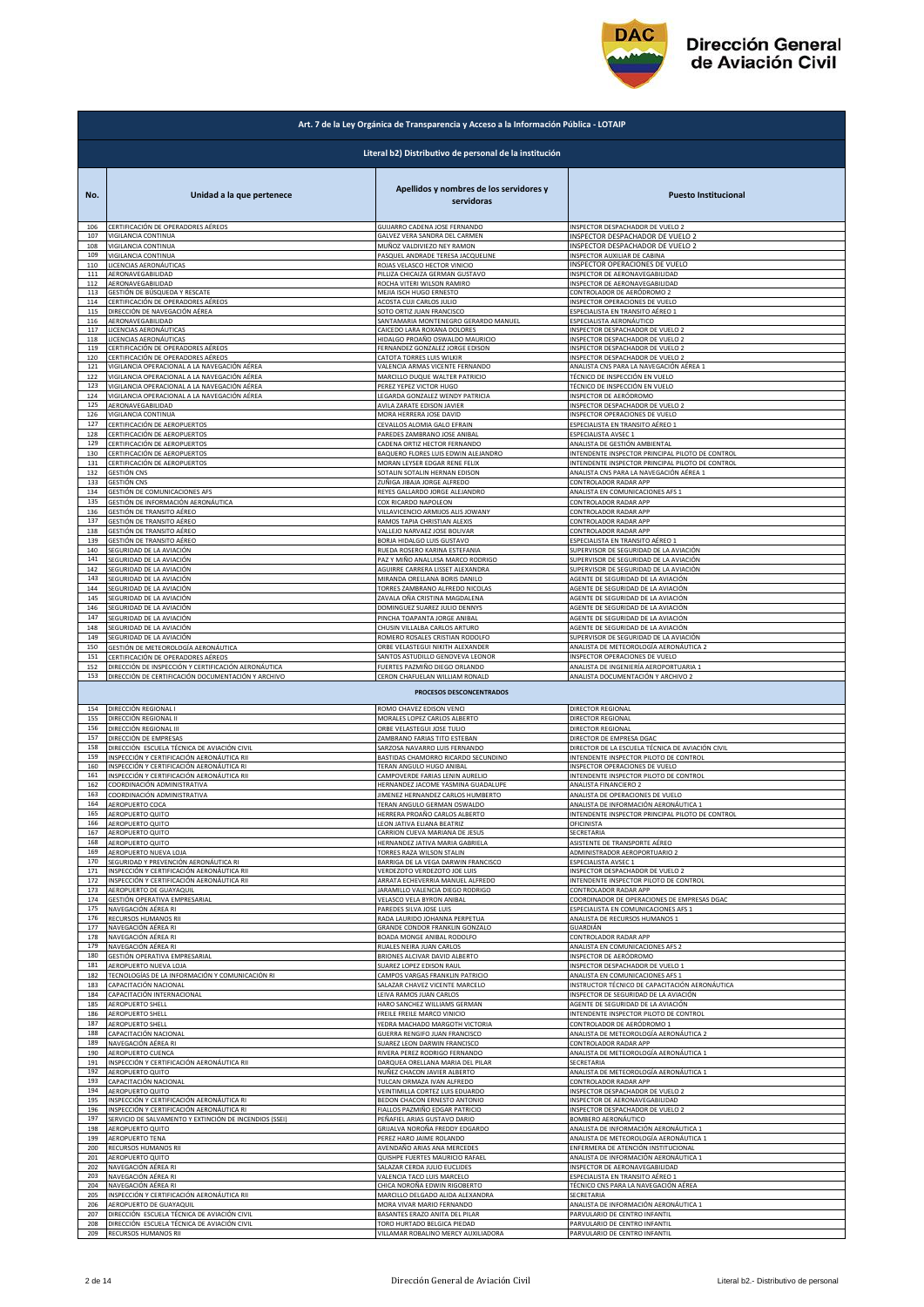

|            | Art. 7 de la Ley Orgánica de Transparencia y Acceso a la Información Pública - LOTAIP |                                                       |                                                                                   |  |
|------------|---------------------------------------------------------------------------------------|-------------------------------------------------------|-----------------------------------------------------------------------------------|--|
|            | Literal b2) Distributivo de personal de la institución                                |                                                       |                                                                                   |  |
| No.        | Unidad a la que pertenece                                                             | Apellidos y nombres de los servidores y<br>servidoras | <b>Puesto Institucional</b>                                                       |  |
| 106        | CERTIFICACIÓN DE OPERADORES AÉREOS                                                    | GUIJARRO CADENA JOSE FERNANDO                         | INSPECTOR DESPACHADOR DE VUELO 2                                                  |  |
| 107        | VIGILANCIA CONTINUA                                                                   | GALVEZ VERA SANDRA DEL CARMEN                         | INSPECTOR DESPACHADOR DE VUELO 2                                                  |  |
| 108        | VIGILANCIA CONTINUA                                                                   | MUÑOZ VALDIVIEZO NEY RAMON                            | INSPECTOR DESPACHADOR DE VUELO 2                                                  |  |
| 109        | VIGILANCIA CONTINUA                                                                   | PASQUEL ANDRADE TERESA JACQUELINE                     | INSPECTOR AUXILIAR DE CABINA                                                      |  |
| 110        | LICENCIAS AERONÁUTICAS                                                                | ROJAS VELASCO HECTOR VINICIO                          | INSPECTOR OPERACIONES DE VUELO                                                    |  |
| 111        | AERONAVEGABILIDAD                                                                     | PILLIZA CHICAIZA GERMAN GUSTAVO                       | INSPECTOR DE AERONAVEGABILIDAD                                                    |  |
| 112        | AERONAVEGABILIDAD                                                                     | ROCHA VITERI WILSON RAMIRO                            | INSPECTOR DE AERONAVEGABILIDAD                                                    |  |
| 113        | GESTIÓN DE BÚSQUEDA Y RESCATE                                                         | MEJIA ISCH HUGO ERNESTO                               | CONTROLADOR DE AERÓDROMO 2                                                        |  |
| 114        | CERTIFICACIÓN DE OPERADORES AÉREOS                                                    | ACOSTA CUJI CARLOS JULIO                              | INSPECTOR OPERACIONES DE VUELO                                                    |  |
| 115        | DIRECCIÓN DE NAVEGACIÓN AÉREA                                                         | SOTO ORTIZ JUAN FRANCISCO                             | ESPECIALISTA EN TRANSITO AÉREO 1                                                  |  |
| 116        | AERONAVEGABILIDAD                                                                     | SANTAMARIA MONTENEGRO GERARDO MANUEL                  | ESPECIALISTA AERONÁUTICO                                                          |  |
| 117        | LICENCIAS AERONÁUTICAS                                                                | CAICEDO LARA ROXANA DOLORES                           | INSPECTOR DESPACHADOR DE VUELO 2                                                  |  |
| 118        | LICENCIAS AERONÁUTICAS                                                                | HIDALGO PROAÑO OSWALDO MAURICIO                       | INSPECTOR DESPACHADOR DE VUELO 2                                                  |  |
| 119        | CERTIFICACIÓN DE OPERADORES AÉREOS                                                    | FERNANDEZ GONZALEZ JORGE EDISON                       | INSPECTOR DESPACHADOR DE VUELO 2                                                  |  |
| 120        | CERTIFICACIÓN DE OPERADORES AÉREOS                                                    | CATOTA TORRES LUIS WILKIR                             | INSPECTOR DESPACHADOR DE VUELO 2                                                  |  |
| 121        | VIGILANCIA OPERACIONAL A LA NAVEGACIÓN AÉREA                                          | VALENCIA ARMAS VICENTE FERNANDO                       | ANALISTA CNS PARA LA NAVEGACIÓN AÉREA 1                                           |  |
| 122        | VIGILANCIA OPERACIONAL A LA NAVEGACIÓN AÉREA                                          | MARCILLO DUQUE WALTER PATRICIO                        | TÉCNICO DE INSPECCIÓN EN VUELO                                                    |  |
| 123        | VIGILANCIA OPERACIONAL A LA NAVEGACIÓN AÉREA                                          | PEREZ YEPEZ VICTOR HUGO                               | TÉCNICO DE INSPECCIÓN EN VUELO                                                    |  |
| 124        | VIGILANCIA OPERACIONAL A LA NAVEGACIÓN AÉREA                                          | LEGARDA GONZALEZ WENDY PATRICIA                       | INSPECTOR DE AERÓDROMO                                                            |  |
| 125        | AERONAVEGABILIDAD                                                                     |                                                       | INSPECTOR DESPACHADOR DE VUELO 2                                                  |  |
| 126        | VIGILANCIA CONTINUA                                                                   | AVILA ZARATE EDISON JAVIER<br>MORA HERRERA JOSE DAVID | INSPECTOR OPERACIONES DE VUELO                                                    |  |
| 127        | CERTIFICACIÓN DE AEROPUERTOS                                                          | CEVALLOS ALOMIA GALO EFRAIN                           | ESPECIALISTA EN TRANSITO AÉREO 1                                                  |  |
| 128        | CERTIFICACIÓN DE AEROPUERTOS                                                          | PAREDES ZAMBRANO JOSE ANIBAL                          | ESPECIALISTA AVSEC 1                                                              |  |
| 129        | ERTIFICACIÓN DE AEROPUERTOS                                                           | CADENA ORTIZ HECTOR FERNANDO                          | ANALISTA DE GESTIÓN AMBIENTAL                                                     |  |
| 130        | CERTIFICACIÓN DE AEROPUERTOS                                                          | BAQUERO FLORES LUIS EDWIN ALEJANDRO                   | INTENDENTE INSPECTOR PRINCIPAL PILOTO DE CONTROL                                  |  |
| 131        | CERTIFICACIÓN DE AEROPUERTOS                                                          | MORAN LEYSER EDGAR RENE FELIX                         | INTENDENTE INSPECTOR PRINCIPAL PILOTO DE CONTROL                                  |  |
| 132        | GESTIÓN CNS                                                                           | SOTALIN SOTALIN HERNAN EDISON                         | ANALISTA CNS PARA LA NAVEGACIÓN AÉREA 1                                           |  |
| 133        | GESTIÓN CNS                                                                           | ZUÑIGA JIBAJA JORGE ALFREDO                           | CONTROLADOR RADAR APP                                                             |  |
| 134        | GESTIÓN DE COMUNICACIONES AFS                                                         | REYES GALLARDO JORGE ALEJANDRO                        | ANALISTA EN COMUNICACIONES AFS 1                                                  |  |
| 135        | GESTIÓN DE INFORMACIÓN AERONÁUTICA                                                    | COX RICARDO NAPOLEON                                  | CONTROLADOR RADAR APP                                                             |  |
| 136        | GESTIÓN DE TRANSITO AÉREO                                                             | VILLAVICENCIO ARMIJOS ALIS JOWANY                     | CONTROLADOR RADAR APP                                                             |  |
| 137        | GESTIÓN DE TRANSITO AÉREO                                                             | RAMOS TAPIA CHRISTIAN ALEXIS                          | CONTROLADOR RADAR APP                                                             |  |
| 138        | GESTIÓN DE TRANSITO AÉREO                                                             | VALLEJO NARVAEZ JOSE BOLIVAR                          | CONTROLADOR RADAR APP                                                             |  |
| 139        | GESTIÓN DE TRANSITO AÉREO                                                             | BORJA HIDALGO LUIS GUSTAVO                            | ESPECIALISTA EN TRANSITO AÉREO 1                                                  |  |
| 140        | SEGURIDAD DE LA AVIACIÓN                                                              | RUEDA ROSERO KARINA ESTEFANIA                         | SUPERVISOR DE SEGURIDAD DE LA AVIACIÓN                                            |  |
| 141        | SEGURIDAD DE LA AVIACIÓN                                                              | PAZ Y MIÑO ANALUISA MARCO RODRIGO                     | SUPERVISOR DE SEGURIDAD DE LA AVIACIÓN                                            |  |
| 142        | SEGURIDAD DE LA AVIACIÓN                                                              | AGUIRRE CARRERA LISSET ALEXANDRA                      | SUPERVISOR DE SEGURIDAD DE LA AVIACIÓN                                            |  |
| 143        | SEGURIDAD DE LA AVIACIÓN                                                              | MIRANDA ORELLANA BORIS DANILO                         | AGENTE DE SEGURIDAD DE LA AVIACIÓN                                                |  |
| 144        | SEGURIDAD DE LA AVIACIÓN                                                              | <b>TORRES ZAMBRANO ALFREDO NICOLAS</b>                | AGENTE DE SEGURIDAD DE LA AVIACIÓN                                                |  |
| 145        | SEGURIDAD DE LA AVIACIÓN                                                              | ZAVALA OÑA CRISTINA MAGDALENA                         | AGENTE DE SEGURIDAD DE LA AVIACIÓN                                                |  |
| 146        | SEGURIDAD DE LA AVIACIÓN                                                              | DOMINGUEZ SUAREZ JULIO DENNYS                         | AGENTE DE SEGURIDAD DE LA AVIACIÓN                                                |  |
| 147        | SEGURIDAD DE LA AVIACIÓN                                                              | PINCHA TOAPANTA JORGE ANIBAL                          | AGENTE DE SEGURIDAD DE LA AVIACIÓN                                                |  |
| 148        | SEGURIDAD DE LA AVIACIÓN                                                              | CHUSIN VILLALBA CARLOS ARTURO                         | AGENTE DE SEGURIDAD DE LA AVIACIÓN                                                |  |
| 149        | SEGURIDAD DE LA AVIACIÓN                                                              | ROMERO ROSALES CRISTIAN RODOLFO                       | SUPERVISOR DE SEGURIDAD DE LA AVIACIÓN                                            |  |
| 150        | GESTIÓN DE METEOROLOGÍA AERONÁUTICA                                                   | ORBE VELASTEGUI NIKITH ALEXANDER                      | ANALISTA DE METEOROLOGÍA AERONÁUTICA 2                                            |  |
| 151        | CERTIFICACIÓN DE OPERADORES AÉREOS                                                    | SANTOS ASTUDILLO GENOVEVA LEONOR                      | INSPECTOR OPERACIONES DE VUELO                                                    |  |
| 152        | DIRECCIÓN DE INSPECCIÓN Y CERTIFICACIÓN AERONÁUTICA                                   | FUERTES PAZMIÑO DIEGO ORLANDO                         | ANALISTA DE INGENIERÍA AEROPORTUARIA 1                                            |  |
| 153        | DIRECCIÓN DE CERTIFICACIÓN DOCUMENTACIÓN Y ARCHIVO                                    | CERON CHAFUELAN WILLIAM RONALD                        | ANALISTA DOCUMENTACIÓN Y ARCHIVO 2                                                |  |
|            |                                                                                       | PROCESOS DESCONCENTRADOS                              |                                                                                   |  |
| 154        | DIRECCIÓN REGIONAL I                                                                  | ROMO CHAVEZ EDISON VENCI                              | DIRECTOR REGIONAL                                                                 |  |
| 155        | DIRECCIÓN REGIONAL II                                                                 | MORALES LOPEZ CARLOS ALBERTO                          | DIRECTOR REGIONAL                                                                 |  |
| 156        | DIRECCIÓN REGIONAL III                                                                | ORBE VELASTEGUI JOSE TULIO                            | DIRECTOR REGIONAL                                                                 |  |
| 157        | DIRECCIÓN DE EMPRESAS                                                                 | ZAMBRANO FARIAS TITO ESTEBAN                          | DIRECTOR DE EMPRESA DGAC                                                          |  |
| 158        | DIRECCIÓN ESCUELA TÉCNICA DE AVIACIÓN CIVIL                                           | SARZOSA NAVARRO LUIS FERNANDO                         | DIRECTOR DE LA ESCUELA TÉCNICA DE AVIACIÓN CIVIL                                  |  |
| 159        | INSPECCIÓN Y CERTIFICACIÓN AERONÁUTICA RII                                            | BASTIDAS CHAMORRO RICARDO SECUNDINO                   | INTENDENTE INSPECTOR PILOTO DE CONTROL                                            |  |
| 160        | INSPECCIÓN Y CERTIFICACIÓN AERONÁUTICA RI                                             | TERAN ANGULO HUGO ANIBAL                              | INSPECTOR OPERACIONES DE VUELO                                                    |  |
| 161        | INSPECCIÓN Y CERTIFICACIÓN AERONÁUTICA RII                                            | CAMPOVERDE FARIAS LENIN AURELIO                       | INTENDENTE INSPECTOR PILOTO DE CONTROL                                            |  |
| 162        | COORDINACIÓN ADMINISTRATIVA                                                           | HERNANDEZ JACOME YASMINA GUADALUPE                    | ANALISTA FINANCIERO 2                                                             |  |
| 163        | COORDINACIÓN ADMINISTRATIVA                                                           | JIMENEZ HERNANDEZ CARLOS HUMBERTO                     | ANALISTA DE OPERACIONES DE VUELO                                                  |  |
| 164        | AEROPUERTO COCA                                                                       | TERAN ANGULO GERMAN OSWALDO                           | ANALISTA DE INFORMACIÓN AERONÁUTICA 1                                             |  |
| 165        | AEROPUERTO QUITO                                                                      | HERRERA PROAÑO CARLOS ALBERTO                         | INTENDENTE INSPECTOR PRINCIPAL PILOTO DE CONTROL                                  |  |
| 166        | <b>AEROPUERTO QUITO</b>                                                               | LEON JATIVA ELIANA BEATRIZ                            | OFICINISTA                                                                        |  |
| 167        | AEROPUERTO QUITO                                                                      | CARRION CUEVA MARIANA DE JESUS                        | SECRETARIA                                                                        |  |
| 168        | <b>AEROPUERTO QUITO</b>                                                               | HERNANDEZ JATIVA MARIA GABRIELA                       | ASISTENTE DE TRANSPORTE AÉREO                                                     |  |
| 169        | AEROPUERTO NUEVA LOJA                                                                 | TORRES RAZA WILSON STALIN                             | ADMINISTRADOR AEROPORTUARIO 2                                                     |  |
| 170        | SEGURIDAD Y PREVENCIÓN AERONÁUTICA RI                                                 | BARRIGA DE LA VEGA DARWIN FRANCISCO                   | ESPECIALISTA AVSEC 1                                                              |  |
| 171        | INSPECCIÓN Y CERTIFICACIÓN AERONÁUTICA RII                                            | VERDEZOTO VERDEZOTO JOE LUIS                          | INSPECTOR DESPACHADOR DE VUELO 2                                                  |  |
| 172        | INSPECCIÓN Y CERTIFICACIÓN AERONÁUTICA RII                                            | ARRATA ECHEVERRIA MANUEL ALFREDO                      | INTENDENTE INSPECTOR PILOTO DE CONTROL                                            |  |
| 173<br>174 | AEROPUERTO DE GUAYAQUIL<br>GESTIÓN OPERATIVA EMPRESARIAL                              | ARAMILLO VALENCIA DIEGO RODRIGO                       | CONTROLADOR RADAR APP                                                             |  |
| 175        | NAVEGACIÓN AÉREA RI                                                                   | VELASCO VELA BYRON ANIBAL<br>PAREDES SILVA JOSE LUIS  | COORDINADOR DE OPERACIONES DE EMPRESAS DGAC<br>ESPECIALISTA EN COMUNICACIONES AFS |  |
| 176        | <b>RECURSOS HUMANOS RII</b>                                                           | RADA LAURIDO JOHANNA PERPETUA                         | ANALISTA DE RECURSOS HUMANOS 1                                                    |  |
| 177        | NAVEGACIÓN AÉREA RI                                                                   | GRANDE CONDOR FRANKLIN GONZALO                        | GUARDIÁN                                                                          |  |
| 178        | NAVEGACIÓN AÉREA RI                                                                   | BOADA MONGE ANIBAL RODOLFO                            | CONTROLADOR RADAR APP                                                             |  |
| 179        | VAVEGACIÓN AÉREA RI                                                                   | <b>RUALES NEIRA JUAN CARLOS</b>                       | ANALISTA EN COMUNICACIONES AFS 2                                                  |  |
| 180        | SESTIÓN OPERATIVA EMPRESARIAL                                                         | BRIONES ALCIVAR DAVID ALBERTO                         | NSPECTOR DE AERÓDROMO                                                             |  |
| 181        | AEROPUERTO NUEVA LOJA                                                                 | <b>SUAREZ LOPEZ EDISON RAUL</b>                       | INSPECTOR DESPACHADOR DE VUELO 1                                                  |  |
| 182        | FECNOLOGÍAS DE LA INFORMACIÓN Y COMUNICACIÓN RI                                       | CAMPOS VARGAS FRANKLIN PATRICIO                       | ANALISTA EN COMUNICACIONES AFS 1                                                  |  |
| 183        | CAPACITACIÓN NACIONAL                                                                 | SALAZAR CHAVEZ VICENTE MARCELO                        | INSTRUCTOR TÉCNICO DE CAPACITACIÓN AERONÁUTICA                                    |  |
| 184        | CAPACITACIÓN INTERNACIONAL                                                            | LEIVA RAMOS JUAN CARLOS                               | INSPECTOR DE SEGURIDAD DE LA AVIACIÓN                                             |  |
| 185        | AEROPUERTO SHELL                                                                      | HARO SANCHEZ WILLIAMS GERMAN                          | AGENTE DE SEGURIDAD DE LA AVIACIÓN                                                |  |
| 186        | AEROPUERTO SHELL                                                                      | FREILE FREILE MARCO VINICIO                           | INTENDENTE INSPECTOR PILOTO DE CONTROL                                            |  |
| 187        | <b>AEROPUERTO SHELL</b>                                                               | YEDRA MACHADO MARGOTH VICTORIA                        | CONTROLADOR DE AERÓDROMO 1                                                        |  |
| 188        | CAPACITACIÓN NACIONAL                                                                 | <b>GUERRA RENGIFO JUAN FRANCISCO</b>                  | ANALISTA DE METEOROLOGÍA AERONÁUTICA 2                                            |  |
| 189        | NAVEGACIÓN AÉREA RI                                                                   | SUAREZ LEON DARWIN FRANCISCO                          | CONTROLADOR RADAR APP                                                             |  |
| 190        | AEROPUERTO CUENCA                                                                     | RIVERA PEREZ RODRIGO FERNANDO                         | ANALISTA DE METEOROLOGÍA AERONÁUTICA 1                                            |  |
| 191        | INSPECCIÓN Y CERTIFICACIÓN AERONÁUTICA RII                                            | DARQUEA ORELLANA MARIA DEL PILAR                      | SECRETARIA                                                                        |  |
| 192        | AEROPUERTO QUITO                                                                      | NUÑEZ CHACON JAVIER ALBERTO                           | ANALISTA DE METEOROLOGÍA AERONÁUTICA 1                                            |  |
| 193        | CAPACITACIÓN NACIONAL                                                                 | TULCAN ORMAZA IVAN ALFREDO                            | CONTROLADOR RADAR APP                                                             |  |
| 194        | AEROPUERTO QUITO                                                                      | <b>VEINTIMILLA CORTEZ LUIS EDUARDO</b>                | INSPECTOR DESPACHADOR DE VUELO 2                                                  |  |
| 195        | NSPECCIÓN Y CERTIFICACIÓN AERONÁUTICA RI                                              | BEDON CHACON ERNESTO ANTONIO                          | INSPECTOR DE AERONAVEGABILIDAD                                                    |  |
| 196        | NSPECCIÓN Y CERTIFICACIÓN AERONÁUTICA RI                                              | IALLOS PAZMIÑO EDGAR PATRICIO                         | <b>NSPECTOR DESPACHADOR DE VUELO 2</b>                                            |  |
| 197        | ERVICIO DE SALVAMENTO Y EXTINCIÓN DE INCENDIOS (SSEI)                                 | PEÑAFIEL ARIAS GUSTAVO DARIO                          | BOMBERO AERONÁUTICO                                                               |  |
| 198        | AEROPUERTO QUITO                                                                      | GRIJALVA NOROÑA FREDDY EDGARDO                        | ANALISTA DE INFORMACIÓN AERONÁUTICA 1                                             |  |
| 199        | AEROPUERTO TENA                                                                       | PEREZ HARO JAIME ROLANDO                              | ANALISTA DE METEOROLOGÍA AERONÁUTICA 1                                            |  |
| 200        | RECURSOS HUMANOS RII                                                                  | AVENDAÑO ARIAS ANA MERCEDES                           | ENFERMERA DE ATENCIÓN INSTITUCIONAL                                               |  |
| 201        | AEROPUERTO QUITO                                                                      | QUISHPE FUERTES MAURICIO RAFAEL                       | ANALISTA DE INFORMACIÓN AERONÁUTICA 1                                             |  |
| 202        | NAVEGACIÓN AÉREA RI                                                                   | SALAZAR CERDA JULIO EUCLIDES                          | INSPECTOR DE AERONAVEGABILIDAD                                                    |  |
| 203        | NAVEGACIÓN AÉREA RI                                                                   | VALENCIA TACO LUIS MARCELO                            | ESPECIALISTA EN TRANSITO AÉREO 1                                                  |  |
| 204        | NAVEGACIÓN AÉREA RI                                                                   | CHICA NOROÑA EDWIN RIGOBERTO                          | TÉCNICO CNS PARA LA NAVEGACIÓN AÉREA                                              |  |
| 205        | INSPECCIÓN Y CERTIFICACIÓN AERONÁUTICA RII                                            | MARCILLO DELGADO ALIDA ALEXANDRA                      | SECRETARIA                                                                        |  |
| 206        | AEROPUERTO DE GUAYAQUIL                                                               | MORA VIVAR MARIO FERNANDO                             | ANALISTA DE INFORMACIÓN AERONÁUTICA 1                                             |  |
| 207        | DIRECCIÓN ESCUELA TÉCNICA DE AVIACIÓN CIVIL                                           | BASANTES ERAZO ANITA DEL PILAR                        | PARVULARIO DE CENTRO INFANTIL                                                     |  |
| 208        | DIRECCIÓN ESCUELA TÉCNICA DE AVIACIÓN CIVIL                                           | TORO HURTADO BELGICA PIEDAD                           | PARVULARIO DE CENTRO INFANTIL                                                     |  |
| 209        | RECURSOS HUMANOS RII                                                                  | VILLAMAR ROBALINO MERCY AUXILIADORA                   | PARVULARIO DE CENTRO INFANTIL                                                     |  |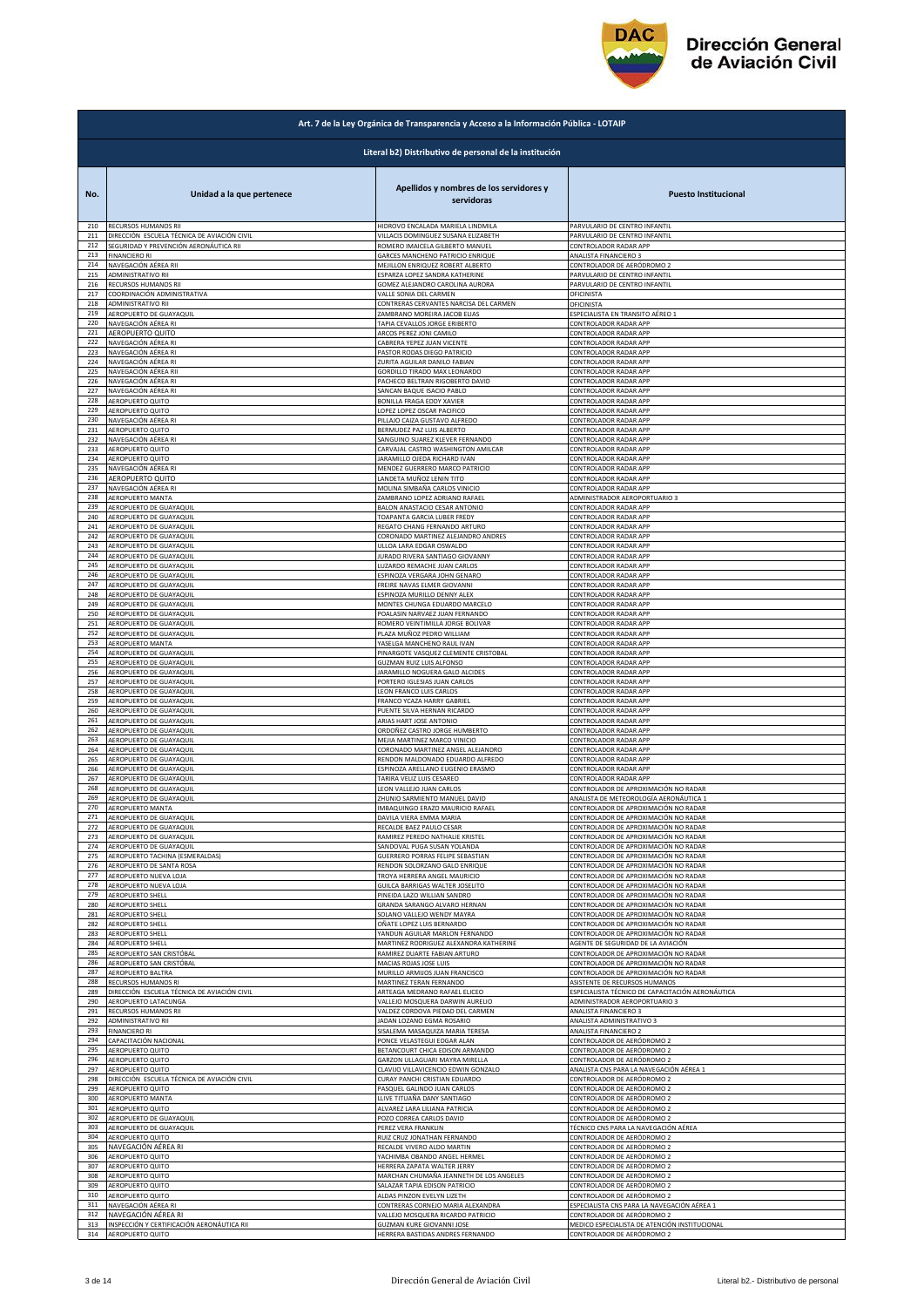

|            | Art. 7 de la Ley Orgánica de Transparencia y Acceso a la Información Pública - LOTAIP |                                                        |                                                  |  |
|------------|---------------------------------------------------------------------------------------|--------------------------------------------------------|--------------------------------------------------|--|
|            |                                                                                       | Literal b2) Distributivo de personal de la institución |                                                  |  |
| No.        | Unidad a la que pertenece                                                             | Apellidos y nombres de los servidores y<br>servidoras  | <b>Puesto Institucional</b>                      |  |
| 210        | RECURSOS HUMANOS RII                                                                  | HIDROVO ENCALADA MARIELA LINDMILA                      | PARVULARIO DE CENTRO INFANTIL                    |  |
| 211        | DIRECCIÓN ESCUELA TÉCNICA DE AVIACIÓN CIVIL                                           | VILLACIS DOMINGUEZ SUSANA ELIZABETH                    | PARVULARIO DE CENTRO INFANTIL                    |  |
| 212        | SEGURIDAD Y PREVENCIÓN AERONÁUTICA RII                                                | ROMERO IMAICELA GILBERTO MANUEL                        | CONTROLADOR RADAR APP                            |  |
| 213        | <b>FINANCIERO RI</b>                                                                  | GARCES MANCHENO PATRICIO ENRIQUE                       | ANALISTA FINANCIERO 3                            |  |
| 214        | NAVEGACIÓN AÉREA RII                                                                  | MEJILLON ENRIQUEZ ROBERT ALBERTO                       | CONTROLADOR DE AERÓDROMO 2                       |  |
| 215        | <b>ADMINISTRATIVO RII</b>                                                             | ESPARZA LOPEZ SANDRA KATHERINE                         | PARVULARIO DE CENTRO INFANTIL                    |  |
| 216        | RECURSOS HUMANOS RII                                                                  | GOMEZ ALEJANDRO CAROLINA AURORA                        | PARVULARIO DE CENTRO INFANTIL                    |  |
| 217        | COORDINACIÓN ADMINISTRATIVA                                                           | VALLE SONIA DEL CARMEN                                 | OFICINISTA                                       |  |
| 218        | ADMINISTRATIVO RII                                                                    | CONTRERAS CERVANTES NARCISA DEL CARMEN                 | <b>OFICINISTA</b>                                |  |
| 219        | AEROPUERTO DE GUAYAQUIL                                                               | ZAMBRANO MOREIRA JACOB ELIAS                           | ESPECIALISTA EN TRANSITO AÉREO 1                 |  |
| 220        | NAVEGACIÓN AÉREA RI                                                                   | TAPIA CEVALLOS JORGE ERIBERTO                          | CONTROLADOR RADAR APP                            |  |
| 221        | AEROPUERTO QUITO                                                                      | ARCOS PEREZ JONI CAMILO                                | CONTROLADOR RADAR APP                            |  |
| 222        | NAVEGACIÓN AÉREA RI                                                                   | CABRERA YEPEZ JUAN VICENTE                             | CONTROLADOR RADAR APP                            |  |
| 223        | NAVEGACIÓN AÉREA RI                                                                   | PASTOR RODAS DIEGO PATRICIO                            | CONTROLADOR RADAR APP                            |  |
| 224        | NAVEGACIÓN AÉREA RI                                                                   | ZURITA AGUILAR DANILO FABIAN                           | CONTROLADOR RADAR APP                            |  |
| 225        | NAVEGACIÓN AÉREA RII                                                                  | GORDILLO TIRADO MAX LEONARDO                           | CONTROLADOR RADAR APP                            |  |
| 226        | NAVEGACIÓN AÉREA RI                                                                   | PACHECO BELTRAN RIGOBERTO DAVID                        | CONTROLADOR RADAR APP                            |  |
| 227        | NAVEGACIÓN AÉREA RI                                                                   | SANCAN BAQUE ISACIO PABLO                              | CONTROLADOR RADAR APP                            |  |
| 228        | AEROPUERTO QUITO                                                                      | BONILLA FRAGA EDDY XAVIER                              | CONTROLADOR RADAR APP                            |  |
| 229        | <b>AEROPUERTO QUITO</b>                                                               | LOPEZ LOPEZ OSCAR PACIFICO                             | CONTROLADOR RADAR APP                            |  |
| 230<br>231 | NAVEGACIÓN AÉREA RI                                                                   | PILLAJO CAIZA GUSTAVO ALFREDO                          | CONTROLADOR RADAR APP                            |  |
| 232        | AEROPUERTO QUITO                                                                      | BERMUDEZ PAZ LUIS ALBERTO                              | CONTROLADOR RADAR APP                            |  |
|            | NAVEGACIÓN AÉREA RI                                                                   | SANGUINO SUAREZ KLEVER FERNANDO                        | CONTROLADOR RADAR APP                            |  |
| 233        | AEROPUERTO QUITO                                                                      | CARVAJAL CASTRO WASHINGTON AMILCAR                     | CONTROLADOR RADAR APP                            |  |
| 234        | <b>AEROPUERTO QUITO</b>                                                               | JARAMILLO OJEDA RICHARD IVAN                           | CONTROLADOR RADAR APP                            |  |
| 235        | NAVEGACIÓN AÉREA RI                                                                   | MENDEZ GUERRERO MARCO PATRICIO                         | CONTROLADOR RADAR APP                            |  |
| 236        | AEROPUERTO QUITO                                                                      | LANDETA MUÑOZ LENIN TITO                               | CONTROLADOR RADAR APP                            |  |
| 237        | NAVEGACIÓN AÉREA RI                                                                   | MOLINA SIMBAÑA CARLOS VINICIO                          | CONTROLADOR RADAR APP                            |  |
| 238        | AEROPUERTO MANTA                                                                      | ZAMBRANO LOPEZ ADRIANO RAFAEL                          | ADMINISTRADOR AEROPORTUARIO 3                    |  |
| 239        | AEROPUERTO DE GUAYAQUIL                                                               | BALON ANASTACIO CESAR ANTONIO                          | CONTROLADOR RADAR APP                            |  |
| 240        | AEROPUERTO DE GUAYAQUIL                                                               | TOAPANTA GARCIA LUBER FREDY                            | CONTROLADOR RADAR APP                            |  |
| 241        | AEROPUERTO DE GUAYAQUIL                                                               | REGATO CHANG FERNANDO ARTURO                           | CONTROLADOR RADAR APP                            |  |
| 242        | AEROPUERTO DE GUAYAQUIL                                                               | CORONADO MARTINEZ ALEJANDRO ANDRES                     | CONTROLADOR RADAR APP                            |  |
| 243        | AEROPUERTO DE GUAYAQUIL                                                               | ULLOA LARA EDGAR OSWALDO                               | CONTROLADOR RADAR APP                            |  |
| 244        | AEROPUERTO DE GUAYAQUIL                                                               | JURADO RIVERA SANTIAGO GIOVANNY                        | CONTROLADOR RADAR APP                            |  |
| 245        | AEROPUERTO DE GUAYAQUIL                                                               | LUZARDO REMACHE JUAN CARLOS                            | CONTROLADOR RADAR APP                            |  |
| 246        | AEROPUERTO DE GUAYAQUIL                                                               | ESPINOZA VERGARA JOHN GENARO                           | <b>CONTROLADOR RADAR APP</b>                     |  |
| 247        | AEROPUERTO DE GUAYAQUIL                                                               | FREIRE NAVAS ELMER GIOVANNI                            | CONTROLADOR RADAR APP                            |  |
| 248        | AEROPUERTO DE GUAYAQUIL                                                               | ESPINOZA MURILLO DENNY ALEX                            | CONTROLADOR RADAR APP                            |  |
| 249        | AEROPUERTO DE GUAYAQUIL                                                               | MONTES CHUNGA EDUARDO MARCELO                          | CONTROLADOR RADAR APP                            |  |
| 250        | AEROPUERTO DE GUAYAQUIL                                                               | POALASIN NARVAEZ JUAN FERNANDO                         | CONTROLADOR RADAR APP                            |  |
| 251        | AEROPUERTO DE GUAYAQUIL                                                               | ROMERO VEINTIMILLA JORGE BOLIVAR                       | CONTROLADOR RADAR APP                            |  |
| 252        | AEROPUERTO DE GUAYAQUIL                                                               | PLAZA MUÑOZ PEDRO WILLIAM                              | CONTROLADOR RADAR APP                            |  |
| 253        | AEROPUERTO MANTA                                                                      | YASELGA MANCHENO RAUL IVAN                             | CONTROLADOR RADAR APP                            |  |
| 254        | AEROPUERTO DE GUAYAQUIL                                                               | PINARGOTE VASQUEZ CLEMENTE CRISTOBAL                   | CONTROLADOR RADAR APP                            |  |
| 255        | AEROPUERTO DE GUAYAQUIL                                                               | <b>GUZMAN RUIZ LUIS ALFONSO</b>                        | CONTROLADOR RADAR APP                            |  |
| 256        | AEROPUERTO DE GUAYAQUIL                                                               | JARAMILLO NOGUERA GALO ALCIDES                         | CONTROLADOR RADAR APP                            |  |
| 257        | AEROPUERTO DE GUAYAQUIL                                                               | PORTERO IGLESIAS JUAN CARLOS                           | CONTROLADOR RADAR APP                            |  |
| 258        | AEROPUERTO DE GUAYAQUIL                                                               | LEON FRANCO LUIS CARLOS                                | CONTROLADOR RADAR APP                            |  |
| 259        | AEROPUERTO DE GUAYAQUIL                                                               | FRANCO YCAZA HARRY GABRIEL                             | CONTROLADOR RADAR APP                            |  |
| 260        | AEROPUERTO DE GUAYAQUIL                                                               | PUENTE SILVA HERNAN RICARDO                            | CONTROLADOR RADAR APP                            |  |
| 261        | AEROPUERTO DE GUAYAQUIL                                                               | ARIAS HART JOSE ANTONIO                                | CONTROLADOR RADAR APP                            |  |
| 262        | AEROPUERTO DE GUAYAQUIL                                                               | ORDOÑEZ CASTRO JORGE HUMBERTO                          | CONTROLADOR RADAR APP                            |  |
| 263        | AEROPUERTO DE GUAYAQUIL                                                               | MEJIA MARTINEZ MARCO VINICIO                           | CONTROLADOR RADAR APP                            |  |
| 264        | AEROPUERTO DE GUAYAQUIL                                                               | CORONADO MARTINEZ ANGEL ALEJANDRO                      | CONTROLADOR RADAR APP                            |  |
| 265        | AEROPUERTO DE GUAYAQUIL                                                               | RENDON MALDONADO EDUARDO ALFREDO                       | CONTROLADOR RADAR APP                            |  |
| 266        | AEROPUERTO DE GUAYAQUIL                                                               | ESPINOZA ARELLANO EUGENIO ERASMO                       | CONTROLADOR RADAR APP                            |  |
| 267        | AEROPUERTO DE GUAYAQUIL                                                               | TARIRA VELIZ LUIS CESAREO                              | CONTROLADOR RADAR APP                            |  |
| 268        | AEROPUERTO DE GUAYAQUIL                                                               | LEON VALLEJO JUAN CARLOS                               | CONTROLADOR DE APROXIMACIÓN NO RADAR             |  |
| 269        | AEROPUERTO DE GUAYAQUIL                                                               | ZHUNIO SARMIENTO MANUEL DAVID                          | ANALISTA DE METEOROLOGÍA AERONÁUTICA 1           |  |
| 270        | AEKUPUEKTU MANTA                                                                      | MBAQUINGO EKAZO MAUKICIO KAFAL                         | ONTROLADOR DE APROXIMACION NO RADA               |  |
| 271        | AEROPUERTO DE GUAYAQUIL                                                               | DAVILA VIERA EMMA MARIA                                | CONTROLADOR DE APROXIMACIÓN NO RADAR             |  |
| 272        | AEROPUERTO DE GUAYAQUIL                                                               | RECALDE BAEZ PAULO CESAR                               | CONTROLADOR DE APROXIMACIÓN NO RADAR             |  |
| 273        | AEROPUERTO DE GUAYAQUIL                                                               | RAMIREZ PEREDO NATHALIE KRISTEL                        | CONTROLADOR DE APROXIMACIÓN NO RADAR             |  |
| 274        | AEROPUERTO DE GUAYAQUIL                                                               | SANDOVAL PUGA SUSAN YOLANDA                            | CONTROLADOR DE APROXIMACIÓN NO RADAR             |  |
| 275        | AEROPUERTO TACHINA (ESMERALDAS)                                                       | GUERRERO PORRAS FELIPE SEBASTIAN                       | CONTROLADOR DE APROXIMACIÓN NO RADAR             |  |
| 276<br>277 | AEROPUERTO DE SANTA ROSA                                                              | RENDON SOLORZANO GALO ENRIQUE                          | CONTROLADOR DE APROXIMACIÓN NO RADAR             |  |
| 278        | AEROPUERTO NUEVA LOJA                                                                 | TROYA HERRERA ANGEL MAURICIO                           | CONTROLADOR DE APROXIMACIÓN NO RADAR             |  |
|            | AEROPUERTO NUEVA LOJA                                                                 | GUILCA BARRIGAS WALTER JOSELITO                        | CONTROLADOR DE APROXIMACIÓN NO RADAR             |  |
| 279        | AEROPUERTO SHELL                                                                      | PINEIDA LAZO WILLIAN SANDRO                            | CONTROLADOR DE APROXIMACIÓN NO RADAR             |  |
| 280        | AEROPUERTO SHELL                                                                      | GRANDA SARANGO ALVARO HERNAN                           | CONTROLADOR DE APROXIMACIÓN NO RADAR             |  |
| 281        | <b>AEROPUERTO SHELL</b>                                                               | SOLANO VALLEJO WENDY MAYRA                             | CONTROLADOR DE APROXIMACIÓN NO RADAR             |  |
| 282        | AEROPUERTO SHELL                                                                      | OÑATE LOPEZ LUIS BERNARDO                              | CONTROLADOR DE APROXIMACIÓN NO RADAR             |  |
| 283        | AEROPUERTO SHELL                                                                      | YANDUN AGUILAR MARLON FERNANDO                         | CONTROLADOR DE APROXIMACIÓN NO RADAR             |  |
| 284        | AEROPUERTO SHELL                                                                      | MARTINEZ RODRIGUEZ ALEXANDRA KATHERINE                 | AGENTE DE SEGURIDAD DE LA AVIACIÓN               |  |
| 285        | AEROPUERTO SAN CRISTÓBAL                                                              | RAMIREZ DUARTE FABIAN ARTURO                           | CONTROLADOR DE APROXIMACIÓN NO RADAR             |  |
| 286        | AEROPUERTO SAN CRISTÓBAL                                                              | MACIAS ROJAS JOSE LUIS                                 | CONTROLADOR DE APROXIMACIÓN NO RADAR             |  |
| 287        | AEROPUERTO BALTRA                                                                     | MURILLO ARMIJOS JUAN FRANCISCO                         | CONTROLADOR DE APROXIMACIÓN NO RADAR             |  |
| 288        | RECURSOS HUMANOS RI                                                                   | MARTINEZ TERAN FERNANDO                                | ASISTENTE DE RECURSOS HUMANOS                    |  |
| 289        | DIRECCIÓN ESCUELA TÉCNICA DE AVIACIÓN CIVIL                                           | ARTEAGA MEDRANO RAFAEL ELICEO                          | ESPECIALISTA TÉCNICO DE CAPACITACIÓN AERONÁUTICA |  |
| 290        | AEROPUERTO LATACUNGA                                                                  | VALLEJO MOSQUERA DARWIN AURELIO                        | ADMINISTRADOR AEROPORTUARIO 3                    |  |
| 291        | RECURSOS HUMANOS RII                                                                  | VALDEZ CORDOVA PIEDAD DEL CARMEN                       | ANALISTA FINANCIERO 3                            |  |
| 292        | ADMINISTRATIVO RII                                                                    | JADAN LOZANO EGMA ROSARIO                              | ANALISTA ADMINISTRATIVO 3                        |  |
| 293        | <b>FINANCIERO RI</b>                                                                  | SISALEMA MASAQUIZA MARIA TERESA                        | ANALISTA FINANCIERO 2                            |  |
| 294        | CAPACITACIÓN NACIONAL                                                                 | PONCE VELASTEGUI EDGAR ALAN                            | CONTROLADOR DE AERÓDROMO 2                       |  |
| 295        | <b>AEROPUERTO QUITO</b>                                                               | BETANCOURT CHICA EDISON ARMANDO                        | CONTROLADOR DE AERÓDROMO 2                       |  |
| 296        | AEROPUERTO QUITO                                                                      | GARZON ULLAGUARI MAYRA MIRELLA                         | CONTROLADOR DE AERÓDROMO 2                       |  |
| 297        | AEROPUERTO QUITO                                                                      | CLAVIJO VILLAVICENCIO EDWIN GONZALO                    | ANALISTA CNS PARA LA NAVEGACIÓN AÉREA 1          |  |
| 298        | DIRECCIÓN ESCUELA TÉCNICA DE AVIACIÓN CIVIL                                           | CURAY PANCHI CRISTIAN EDUARDO                          | CONTROLADOR DE AERÓDROMO 2                       |  |
| 299        | AEROPUERTO QUITO                                                                      | PASQUEL GALINDO JUAN CARLOS                            | CONTROLADOR DE AERÓDROMO 2                       |  |
| 300        | AEROPUERTO MANTA                                                                      | LLIVE TITUAÑA DANY SANTIAGO                            | CONTROLADOR DE AERÓDROMO 2                       |  |
| 301        | AEROPUERTO QUITO                                                                      | ALVAREZ LARA LILIANA PATRICIA                          | CONTROLADOR DE AERÓDROMO 2                       |  |
| 302        | AEROPUERTO DE GUAYAQUIL                                                               | POZO CORREA CARLOS DAVID                               | CONTROLADOR DE AERÓDROMO 2                       |  |
| 303        | AEROPUERTO DE GUAYAQUIL                                                               | PEREZ VERA FRANKLIN                                    | TÉCNICO CNS PARA LA NAVEGACIÓN AÉREA             |  |
| 304        | AEROPUERTO QUITO                                                                      | RUIZ CRUZ JONATHAN FERNANDO                            | CONTROLADOR DE AERÓDROMO 2                       |  |
| 305        | NAVEGACIÓN AÉREA RI                                                                   | RECALDE VIVERO ALDO MARTIN                             | CONTROLADOR DE AERÓDROMO 2                       |  |
| 306        | AEROPUERTO QUITO                                                                      | YACHIMBA OBANDO ANGEL HERMEL                           | CONTROLADOR DE AERÓDROMO 2                       |  |
| 307        | AEROPUERTO QUITO                                                                      | HERRERA ZAPATA WALTER JERRY                            | CONTROLADOR DE AERÓDROMO 2                       |  |
| 308        | AEROPUERTO QUITO                                                                      | MARCHAN CHUMAÑA JEANNETH DE LOS ANGELES                | CONTROLADOR DE AERÓDROMO 2                       |  |
| 309        | AEROPUERTO QUITO                                                                      | SALAZAR TAPIA EDISON PATRICIO                          | CONTROLADOR DE AERÓDROMO 2                       |  |
| 310        | AEROPUERTO QUITO                                                                      | ALDAS PINZON EVELYN LIZETH                             | CONTROLADOR DE AERÓDROMO 2                       |  |
| 311        | NAVEGACIÓN AÉREA RI                                                                   | CONTRERAS CORNEJO MARIA ALEXANDRA                      | ESPECIALISTA CNS PARA LA NAVEGACIÓN AÉREA 1      |  |
| 312        | NAVEGACIÓN AÉREA RI                                                                   | VALLEJO MOSQUERA RICARDO PATRICIO                      | CONTROLADOR DE AERÓDROMO 2                       |  |
| 313        | INSPECCIÓN Y CERTIFICACIÓN AERONÁUTICA RII                                            | GUZMAN KURE GIOVANNI JOSE                              | MEDICO ESPECIALISTA DE ATENCIÓN INSTITUCIONAL    |  |
| 314        | AEROPUERTO QUITO                                                                      | HERRERA BASTIDAS ANDRES FERNANDO                       | CONTROLADOR DE AERÓDROMO 2                       |  |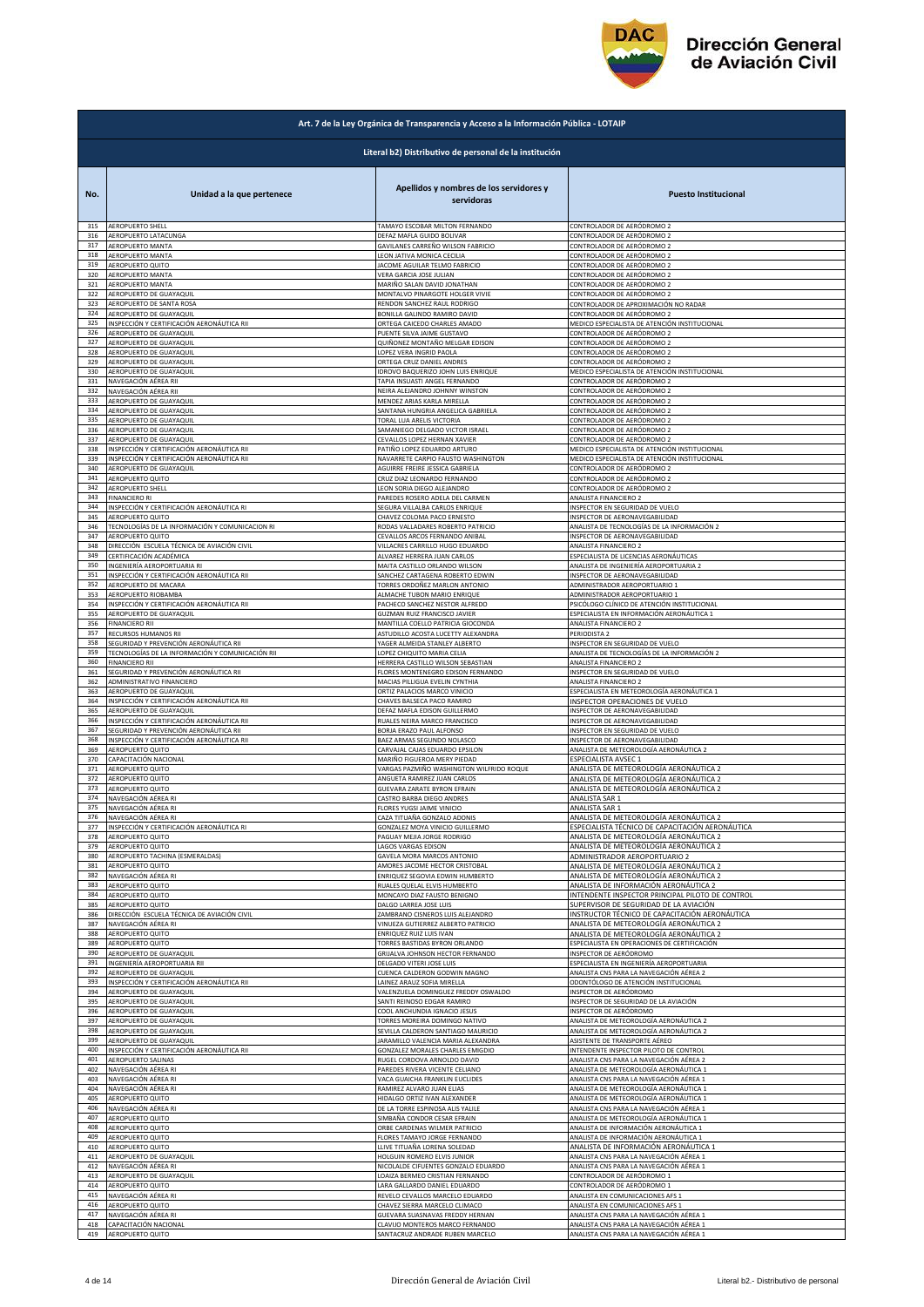

|            | Art. 7 de la Ley Orgánica de Transparencia y Acceso a la Información Pública - LOTAIP |                                                       |                                                                                   |  |
|------------|---------------------------------------------------------------------------------------|-------------------------------------------------------|-----------------------------------------------------------------------------------|--|
|            | Literal b2) Distributivo de personal de la institución                                |                                                       |                                                                                   |  |
| No.        | Unidad a la que pertenece                                                             | Apellidos y nombres de los servidores y<br>servidoras | <b>Puesto Institucional</b>                                                       |  |
| 315        | AEROPUERTO SHELL                                                                      | TAMAYO ESCOBAR MILTON FERNANDO                        | CONTROLADOR DE AERÓDROMO 2                                                        |  |
| 316        | AEROPUERTO LATACUNGA                                                                  | DEFAZ MAFLA GUIDO BOLIVAR                             | CONTROLADOR DE AERÓDROMO 2                                                        |  |
| 317        | AEROPUERTO MANTA                                                                      | GAVILANES CARREÑO WILSON FABRICIO                     | CONTROLADOR DE AERÓDROMO 2                                                        |  |
| 318        | AEROPUERTO MANTA                                                                      | LEON JATIVA MONICA CECILIA                            | CONTROLADOR DE AERÓDROMO 2                                                        |  |
| 319        | AEROPUERTO QUITO                                                                      | JACOME AGUILAR TELMO FABRICIO                         | CONTROLADOR DE AERÓDROMO 2                                                        |  |
| 320        | AEROPUERTO MANTA                                                                      | VERA GARCIA JOSE JULIAN                               | CONTROLADOR DE AERÓDROMO 2                                                        |  |
| 321        | AEROPUERTO MANTA                                                                      | MARIÑO SALAN DAVID JONATHAN                           | CONTROLADOR DE AERÓDROMO 2                                                        |  |
| 322        | AEROPUERTO DE GUAYAQUIL                                                               | MONTALVO PINARGOTE HOLGER VIVIE                       | CONTROLADOR DE AERÓDROMO 2                                                        |  |
| 323        | AEROPUERTO DE SANTA ROSA                                                              | RENDON SANCHEZ RAUL RODRIGO                           | CONTROLADOR DE APROXIMACIÓN NO RADAR                                              |  |
| 324        | AEROPUERTO DE GUAYAQUIL                                                               | BONILLA GALINDO RAMIRO DAVID                          | CONTROLADOR DE AERÓDROMO 2                                                        |  |
| 325        | INSPECCIÓN Y CERTIFICACIÓN AERONÁUTICA RII                                            | ORTEGA CAICEDO CHARLES AMADO                          | MEDICO ESPECIALISTA DE ATENCIÓN INSTITUCIONAL                                     |  |
| 326        |                                                                                       | PUENTE SILVA JAIME GUSTAVO                            | CONTROLADOR DE AERÓDROMO 2                                                        |  |
| 327        | AEROPUERTO DE GUAYAQUIL<br>AEROPUERTO DE GUAYAQUIL                                    | QUIÑONEZ MONTAÑO MELGAR EDISON                        | CONTROLADOR DE AERÓDROMO 2                                                        |  |
| 328        | AEROPUERTO DE GUAYAQUIL                                                               | LOPEZ VERA INGRID PAOLA                               | CONTROLADOR DE AERÓDROMO 2                                                        |  |
| 329        | AEROPUERTO DE GUAYAQUIL                                                               | ORTEGA CRUZ DANIEL ANDRES                             | CONTROLADOR DE AERÓDROMO 2                                                        |  |
| 330        | AEROPUERTO DE GUAYAQUIL                                                               | <b>IDROVO BAQUERIZO JOHN LUIS ENRIQUE</b>             | MEDICO ESPECIALISTA DE ATENCIÓN INSTITUCIONAL                                     |  |
| 331        | NAVEGACIÓN AÉREA RII                                                                  | TAPIA INSUASTI ANGEL FERNANDO                         | CONTROLADOR DE AERÓDROMO 2                                                        |  |
| 332        | NAVEGACIÓN AÉREA RII                                                                  | NEIRA ALEJANDRO JOHNNY WINSTON                        | CONTROLADOR DE AERÓDROMO 2                                                        |  |
| 333        | AEROPUERTO DE GUAYAQUIL                                                               | MENDEZ ARIAS KARLA MIRELLA                            | CONTROLADOR DE AERÓDROMO 2                                                        |  |
| 334        | AEROPUERTO DE GUAYAQUIL                                                               | SANTANA HUNGRIA ANGELICA GABRIELA                     | CONTROLADOR DE AERÓDROMO 2                                                        |  |
| 335        | AEROPUERTO DE GUAYAQUIL                                                               | TORAL LUA ARELIS VICTORIA                             | CONTROLADOR DE AERÓDROMO 2                                                        |  |
| 336        | AEROPUERTO DE GUAYAQUIL                                                               | SAMANIEGO DELGADO VICTOR ISRAEL                       | CONTROLADOR DE AERÓDROMO 2                                                        |  |
| 337        | AEROPUERTO DE GUAYAQUIL                                                               | CEVALLOS LOPEZ HERNAN XAVIER                          | CONTROLADOR DE AERÓDROMO 2                                                        |  |
| 338        | INSPECCIÓN Y CERTIFICACIÓN AERONÁUTICA RII                                            | PATIÑO LOPEZ EDUARDO ARTURO                           | MEDICO ESPECIALISTA DE ATENCIÓN INSTITUCIONAL                                     |  |
| 339        | INSPECCIÓN Y CERTIFICACIÓN AERONÁUTICA RII                                            | NAVARRETE CARPIO FAUSTO WASHINGTON                    | MEDICO ESPECIALISTA DE ATENCIÓN INSTITUCIONAL                                     |  |
| 340        | AEROPUERTO DE GUAYAQUIL                                                               | AGUIRRE FREIRE JESSICA GABRIELA                       | CONTROLADOR DE AERÓDROMO 2                                                        |  |
| 341        | AEROPUERTO QUITO                                                                      | CRUZ DIAZ LEONARDO FERNANDO                           | CONTROLADOR DE AERÓDROMO 2                                                        |  |
| 342        | <b>AEROPUERTO SHELL</b>                                                               | LEON SORIA DIEGO ALEJANDRO                            | CONTROLADOR DE AERÓDROMO 2                                                        |  |
| 343        | <b>FINANCIERO RI</b>                                                                  | PAREDES ROSERO ADELA DEL CARMEN                       | ANALISTA FINANCIERO 2                                                             |  |
| 344        | INSPECCIÓN Y CERTIFICACIÓN AERONÁUTICA RI                                             | SEGURA VILLALBA CARLOS ENRIQUE                        | INSPECTOR EN SEGURIDAD DE VUELO                                                   |  |
| 345        | AEROPUERTO QUITO                                                                      | CHAVEZ COLOMA PACO ERNESTO                            | INSPECTOR DE AERONAVEGABILIDAD                                                    |  |
| 346        | TECNOLOGÍAS DE LA INFORMACIÓN Y COMUNICACION RI                                       | RODAS VALLADARES ROBERTO PATRICIO                     | ANALISTA DE TECNOLOGÍAS DE LA INFORMACIÓN 2                                       |  |
| 347        | AEROPUERTO QUITO                                                                      | CEVALLOS ARCOS FERNANDO ANIBAL                        | INSPECTOR DE AERONAVEGABILIDAD                                                    |  |
| 348        | DIRECCIÓN ESCUELA TÉCNICA DE AVIACIÓN CIVIL                                           | VILLACRES CARRILLO HUGO EDUARDO                       | <b>ANALISTA FINANCIERO 2</b>                                                      |  |
| 349        | CERTIFICACIÓN ACADÉMICA                                                               | ALVAREZ HERRERA JUAN CARLOS                           | ESPECIALISTA DE LICENCIAS AERONÁUTICAS                                            |  |
| 350        | INGENIERÍA AEROPORTUARIA RI                                                           | MAITA CASTILLO ORLANDO WILSON                         | ANALISTA DE INGENIERÍA AEROPORTUARIA 2                                            |  |
| 351        | INSPECCIÓN Y CERTIFICACIÓN AERONÁUTICA RII                                            | SANCHEZ CARTAGENA ROBERTO EDWIN                       | INSPECTOR DE AERONAVEGABILIDAD                                                    |  |
| 352        | AEROPUERTO DE MACARA                                                                  | TORRES ORDOÑEZ MARLON ANTONIO                         | ADMINISTRADOR AEROPORTUARIO 1                                                     |  |
| 353        | AEROPUERTO RIOBAMBA                                                                   | ALMACHE TUBON MARIO ENRIQUE                           | ADMINISTRADOR AEROPORTUARIO 1                                                     |  |
| 354        | INSPECCIÓN Y CERTIFICACIÓN AERONÁUTICA RII                                            | PACHECO SANCHEZ NESTOR ALFREDO                        | PSICÓLOGO CLÍNICO DE ATENCIÓN INSTITUCIONAL                                       |  |
| 355        | AEROPUERTO DE GUAYAQUIL                                                               | GUZMAN RUIZ FRANCISCO JAVIER                          | ESPECIALISTA EN INFORMACIÓN AERONÁUTICA 1                                         |  |
| 356        | <b>FINANCIERO RII</b>                                                                 | MANTILLA COELLO PATRICIA GIOCONDA                     | ANALISTA FINANCIERO 2                                                             |  |
| 357        | RECURSOS HUMANOS RII                                                                  | ASTUDILLO ACOSTA LUCETTY ALEXANDRA                    | PERIODISTA 2                                                                      |  |
| 358        | SEGURIDAD Y PREVENCIÓN AERONÁUTICA RII                                                | YAGER ALMEIDA STANLEY ALBERTO                         | INSPECTOR EN SEGURIDAD DE VUELO                                                   |  |
| 359        | TECNOLOGÍAS DE LA INFORMACIÓN Y COMUNICACIÓN RII                                      | LOPEZ CHIQUITO MARIA CELIA                            | ANALISTA DE TECNOLOGÍAS DE LA INFORMACIÓN 2                                       |  |
| 360        | <b>FINANCIERO RII</b>                                                                 | HERRERA CASTILLO WILSON SEBASTIAN                     | ANALISTA FINANCIERO 2                                                             |  |
| 361        | SEGURIDAD Y PREVENCIÓN AERONÁUTICA RII                                                | <b>LORES MONTENEGRO EDISON FERNANDO</b>               | INSPECTOR EN SEGURIDAD DE VUELO                                                   |  |
| 362        | ADMINISTRATIVO FINANCIERO                                                             | MACIAS PILLIGUA EVELIN CYNTHIA                        | ANALISTA FINANCIERO 2                                                             |  |
| 363        | AEROPUERTO DE GUAYAQUIL                                                               | ORTIZ PALACIOS MARCO VINICIO                          | ESPECIALISTA EN METEOROLOGÍA AERONÁUTICA 1                                        |  |
| 364        | INSPECCIÓN Y CERTIFICACIÓN AERONÁUTICA RII                                            | CHAVES BALSECA PACO RAMIRO                            | INSPECTOR OPERACIONES DE VUELO                                                    |  |
| 365        | AEROPUERTO DE GUAYAQUIL                                                               | DEFAZ MAFLA EDISON GUILLERMO                          | INSPECTOR DE AERONAVEGABILIDAD                                                    |  |
| 366        | INSPECCIÓN Y CERTIFICACIÓN AERONÁUTICA RII                                            | RUALES NEIRA MARCO FRANCISCO                          | INSPECTOR DE AERONAVEGABILIDAD                                                    |  |
| 367        | SEGURIDAD Y PREVENCIÓN AERONÁUTICA RII                                                | BORJA ERAZO PAUL ALFONSO                              | INSPECTOR EN SEGURIDAD DE VUELO                                                   |  |
| 368        | INSPECCIÓN Y CERTIFICACIÓN AERONÁUTICA RII                                            | BAEZ ARMAS SEGUNDO NOLASCO                            | INSPECTOR DE AERONAVEGABILIDAD                                                    |  |
| 369        | AEROPUERTO QUITO                                                                      | CARVAJAL CAJAS EDUARDO EPSILON                        | ANALISTA DE METEOROLOGÍA AERONÁUTICA 2                                            |  |
| 370        | CAPACITACIÓN NACIONAL                                                                 | MARIÑO FIGUEROA MERY PIEDAD                           | ESPECIALISTA AVSEC 1                                                              |  |
| 371        | AEROPUERTO QUITO                                                                      | VARGAS PAZMIÑO WASHINGTON WILFRIDO ROQUE              | ANALISTA DE METEOROLOGÍA AERONÁUTICA 2                                            |  |
| 372        | AEROPUERTO QUITO                                                                      | ANGUETA RAMIREZ JUAN CARLOS                           | ANALISTA DE METEOROLOGÍA AERONÁUTICA 2                                            |  |
| 373        | AEROPUERTO QUITO                                                                      | GUEVARA ZARATE BYRON EFRAIN                           | ANALISTA DE METEOROLOGÍA AERONÁUTICA 2                                            |  |
| 374        | NAVEGACIÓN AÉREA RI                                                                   | CASTRO BARBA DIEGO ANDRES                             | ANALISTA SAR 1                                                                    |  |
| 375        | NAVEGACIÓN AÉREA R                                                                    | FLORES YUGSI JAIME VINICIO                            | ANALISTA SAR                                                                      |  |
| 376        | NAVEGACIÓN AÉREA RI                                                                   | CAZA TITUAÑA GONZALO ADONIS                           | ANALISTA DE METEOROLOGÍA AERONÁUTICA 2                                            |  |
| 377        | INSPECCIÓN Y CERTIFICACIÓN AERONÁUTICA RI                                             | GONZALEZ MOYA VINICIO GUILLERMO                       | ESPECIALISTA TÉCNICO DE CAPACITACIÓN AERONÁUTICA                                  |  |
| 378        | AEROPUERTO QUITO                                                                      | PAGUAY MEJIA JORGE RODRIGO                            | ANALISTA DE METEOROLOGÍA AERONÁUTICA 2                                            |  |
| 379        | AEROPUERTO QUITO                                                                      | <b>AGOS VARGAS EDISON</b>                             | ANALISTA DE METEOROLOGÍA AERONÁUTICA 2                                            |  |
| 380        | AEROPUERTO TACHINA (ESMERALDAS)                                                       | GAVELA MORA MARCOS ANTONIO                            | ADMINISTRADOR AEROPORTUARIO 2                                                     |  |
| 381        | AEROPUERTO QUITO                                                                      | AMORES JACOME HECTOR CRISTOBAL                        | ANALISTA DE METEOROLOGÍA AERONÁUTICA 2                                            |  |
| 382<br>383 | NAVEGACIÓN AÉREA RI                                                                   | ENRIQUEZ SEGOVIA EDWIN HUMBERTO                       | ANALISTA DE METEOROLOGÍA AERONÁUTICA 2                                            |  |
| 384        | AEROPUERTO QUITO                                                                      | RUALES QUELAL ELVIS HUMBERTO                          | ANALISTA DE INFORMACIÓN AERONÁUTICA 2                                             |  |
|            | AEROPUERTO QUITO                                                                      | MONCAYO DIAZ FAUSTO BENIGNO                           | INTENDENTE INSPECTOR PRINCIPAL PILOTO DE CONTROL                                  |  |
| 385        | AEROPUERTO QUITO                                                                      | DALGO LARREA JOSE LUIS                                | SUPERVISOR DE SEGURIDAD DE LA AVIACIÓN                                            |  |
| 386        | DIRECCIÓN ESCUELA TÉCNICA DE AVIACIÓN CIVII                                           | ZAMBRANO CISNEROS LUIS ALEJANDRO                      | INSTRUCTOR TÉCNICO DE CAPACITACIÓN AERONÁUTICA                                    |  |
| 387        | NAVEGACIÓN AÉREA RI                                                                   | VINUEZA GUTIERREZ ALBERTO PATRICIO                    | ANALISTA DE METEOROLOGÍA AERONÁUTICA 2                                            |  |
| 388        | AEROPUERTO QUITO                                                                      | ENRIQUEZ RUIZ LUIS IVAN                               | ANALISTA DE METEOROLOGÍA AERONÁUTICA 2                                            |  |
| 389        | AEROPUERTO QUITO                                                                      | TORRES BASTIDAS BYRON ORLANDO                         | ESPECIALISTA EN OPERACIONES DE CERTIFICACIÓN                                      |  |
| 390        | AEROPUERTO DE GUAYAQUIL                                                               | GRIJALVA JOHNSON HECTOR FERNANDO                      | INSPECTOR DE AERÓDROMO                                                            |  |
| 391        | INGENIERÍA AEROPORTUARIA RII                                                          | DELGADO VITERI JOSE LUIS                              | ESPECIALISTA EN INGENIERÍA AEROPORTUARIA                                          |  |
| 392        | AEROPUERTO DE GUAYAQUIL                                                               | CUENCA CALDERON GODWIN MAGNO                          | ANALISTA CNS PARA LA NAVEGACIÓN AÉREA 2                                           |  |
| 393        | INSPECCIÓN Y CERTIFICACIÓN AERONÁUTICA RII                                            | LAINEZ ARAUZ SOFIA MIRELLA                            | ODONTÓLOGO DE ATENCIÓN INSTITUCIONAL                                              |  |
| 394        | AEROPUERTO DE GUAYAQUIL                                                               | VALENZUELA DOMINGUEZ FREDDY OSWALDO                   | INSPECTOR DE AERÓDROMO                                                            |  |
| 395        | AEROPUERTO DE GUAYAQUIL                                                               | SANTI REINOSO EDGAR RAMIRO                            | INSPECTOR DE SEGURIDAD DE LA AVIACIÓN                                             |  |
| 396        | AEROPUERTO DE GUAYAQUIL                                                               | COOL ANCHUNDIA IGNACIO JESUS                          | INSPECTOR DE AERÓDROMO                                                            |  |
| 397        | AEROPUERTO DE GUAYAQUIL                                                               | TORRES MOREIRA DOMINGO NATIVO                         | ANALISTA DE METEOROLOGÍA AERONÁUTICA 2                                            |  |
| 398        | AEROPUERTO DE GUAYAQUIL                                                               | SEVILLA CALDERON SANTIAGO MAURICIO                    | ANALISTA DE METEOROLOGÍA AERONÁUTICA 2                                            |  |
| 399        | AEROPUERTO DE GUAYAQUIL                                                               | JARAMILLO VALENCIA MARIA ALEXANDRA                    | ASISTENTE DE TRANSPORTE AÉREO                                                     |  |
| 400        | INSPECCIÓN Y CERTIFICACIÓN AERONÁUTICA RII                                            | GONZALEZ MORALES CHARLES EMIGDIO                      | INTENDENTE INSPECTOR PILOTO DE CONTROL                                            |  |
| 401        | AEROPUERTO SALINAS                                                                    | RUGEL CORDOVA ARNOLDO DAVID                           | ANALISTA CNS PARA LA NAVEGACIÓN AÉREA 2                                           |  |
| 402        | NAVEGACIÓN AÉREA RI                                                                   | PAREDES RIVERA VICENTE CELIANO                        |                                                                                   |  |
| 403<br>404 | NAVEGACIÓN AÉREA RI                                                                   | VACA GUAICHA FRANKLIN EUCLIDES                        | ANALISTA DE METEOROLOGÍA AERONÁUTICA 1<br>ANALISTA CNS PARA LA NAVEGACIÓN AÉREA 1 |  |
| 405        | NAVEGACIÓN AÉREA RI                                                                   | RAMIREZ ALVARO JUAN ELIAS                             | ANALISTA DE METEOROLOGÍA AERONÁUTICA 1                                            |  |
|            | AEROPUERTO QUITO                                                                      | HIDALGO ORTIZ IVAN ALEXANDER                          | ANALISTA DE METEOROLOGÍA AERONÁUTICA 1                                            |  |
| 406        | NAVEGACIÓN AÉREA RI                                                                   | DE LA TORRE ESPINOSA ALIS YALILE                      | ANALISTA CNS PARA LA NAVEGACIÓN AÉREA 1                                           |  |
| 407        | AEROPUERTO QUITO                                                                      | SIMBAÑA CONDOR CESAR EFRAIN                           | ANALISTA DE METEOROLOGÍA AERONÁUTICA 1                                            |  |
| 408        | AEROPUERTO QUITO                                                                      | ORBE CARDENAS WILMER PATRICIO                         | ANALISTA DE INFORMACIÓN AERONÁUTICA 1                                             |  |
| 409        | AEROPUERTO QUITO                                                                      | FLORES TAMAYO JORGE FERNANDO                          | ANALISTA DE INFORMACIÓN AERONÁUTICA 1                                             |  |
| 410        | AEROPUERTO QUITO                                                                      | LLIVE TITUAÑA LORENA SOLEDAD                          | ANALISTA DE INFORMACIÓN AERONÁUTICA 1                                             |  |
| 411        | AEROPUERTO DE GUAYAQUIL                                                               | HOLGUIN ROMERO ELVIS JUNIOR                           | ANALISTA CNS PARA LA NAVEGACIÓN AÉREA 1                                           |  |
| 412        | NAVEGACIÓN AÉREA RI                                                                   | NICOLALDE CIFUENTES GONZALO EDUARDO                   | ANALISTA CNS PARA LA NAVEGACIÓN AÉREA 1                                           |  |
| 413        | AEROPUERTO DE GUAYAQUIL                                                               | LOAIZA BERMEO CRISTIAN FERNANDO                       | CONTROLADOR DE AERÓDROMO 1                                                        |  |
| 414        | AEROPUERTO QUITO                                                                      | LARA GALLARDO DANIEL EDUARDO                          | CONTROLADOR DE AERÓDROMO 1                                                        |  |
| 415        | NAVEGACIÓN AÉREA RI                                                                   | REVELO CEVALLOS MARCELO EDUARDO                       | ANALISTA EN COMUNICACIONES AFS 1                                                  |  |
| 416        | AEROPUERTO QUITO                                                                      | CHAVEZ SIERRA MARCELO CLIMACO                         | ANALISTA EN COMUNICACIONES AFS 1                                                  |  |
| 417        | NAVEGACIÓN AÉREA RI                                                                   | GUEVARA SUASNAVAS FREDDY HERNAN                       | ANALISTA CNS PARA LA NAVEGACIÓN AÉREA 1                                           |  |
| 418        | CAPACITACIÓN NACIONAL                                                                 | CLAVIJO MONTEROS MARCO FERNANDO                       | ANALISTA CNS PARA LA NAVEGACIÓN AÉREA 1                                           |  |
| 419        | AEROPUERTO QUITO                                                                      | SANTACRUZ ANDRADE RUBEN MARCELO                       | ANALISTA CNS PARA LA NAVEGACIÓN AÉREA 1                                           |  |
|            |                                                                                       |                                                       |                                                                                   |  |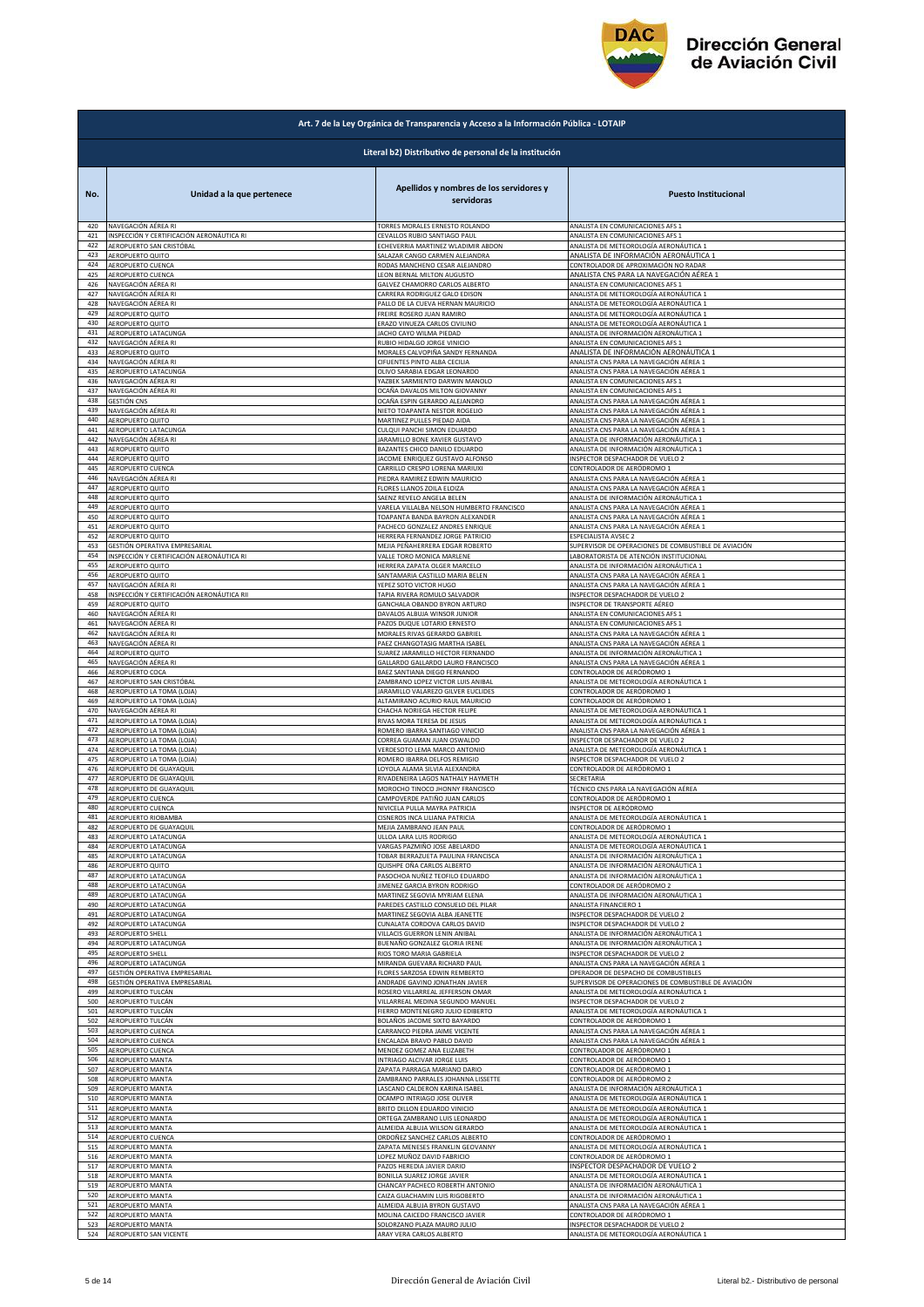

|                   | Art. 7 de la Ley Orgánica de Transparencia y Acceso a la Información Pública - LOTAIP |                                                                                                   |                                                                                                                          |  |
|-------------------|---------------------------------------------------------------------------------------|---------------------------------------------------------------------------------------------------|--------------------------------------------------------------------------------------------------------------------------|--|
|                   | Literal b2) Distributivo de personal de la institución                                |                                                                                                   |                                                                                                                          |  |
| No.               | Unidad a la que pertenece                                                             | Apellidos y nombres de los servidores y<br>servidoras                                             | <b>Puesto Institucional</b>                                                                                              |  |
| 420               | NAVEGACIÓN AÉREA RI                                                                   | TORRES MORALES ERNESTO ROLANDO                                                                    | ANALISTA EN COMUNICACIONES AFS 1                                                                                         |  |
| 421               | INSPECCIÓN Y CERTIFICACIÓN AERONÁUTICA RI                                             | CEVALLOS RUBIO SANTIAGO PAUL                                                                      | ANALISTA EN COMUNICACIONES AFS 1                                                                                         |  |
| 422               | AEROPUERTO SAN CRISTÓBAL                                                              | ECHEVERRIA MARTINEZ WLADIMIR ABDON                                                                | ANALISTA DE METEOROLOGÍA AERONÁUTICA 1                                                                                   |  |
| 423               | AEROPUERTO QUITO                                                                      | SALAZAR CANGO CARMEN ALEJANDRA                                                                    | ANALISTA DE INFORMACIÓN AERONÁUTICA 1                                                                                    |  |
| 424               | AEROPUERTO CUENCA                                                                     | RODAS MANCHENO CESAR ALEJANDRO                                                                    | CONTROLADOR DE APROXIMACIÓN NO RADAR                                                                                     |  |
| 425               | AEROPUERTO CUENCA                                                                     | LEON BERNAL MILTON AUGUSTO                                                                        | ANALISTA CNS PARA LA NAVEGACIÓN AÉREA 1                                                                                  |  |
| 426               | NAVEGACIÓN AÉREA RI                                                                   | GALVEZ CHAMORRO CARLOS ALBERTO                                                                    | ANALISTA EN COMUNICACIONES AFS 1                                                                                         |  |
| 427               | NAVEGACIÓN AÉREA RI                                                                   | CARRERA RODRIGUEZ GALO EDISON                                                                     | ANALISTA DE METEOROLOGÍA AERONÁUTICA 1                                                                                   |  |
| 428               | NAVEGACIÓN AÉREA RI                                                                   | PALLO DE LA CUEVA HERNAN MAURICIO                                                                 | ANALISTA DE METEOROLOGÍA AERONÁUTICA 1                                                                                   |  |
| 429               | AEROPUERTO QUITO                                                                      | FREIRE ROSERO JUAN RAMIRO                                                                         | ANALISTA DE METEOROLOGÍA AERONÁUTICA 1                                                                                   |  |
| 430               | AEROPUERTO QUITO                                                                      | ERAZO VINUEZA CARLOS CIVILINO                                                                     | ANALISTA DE METEOROLOGÍA AERONÁUTICA 1                                                                                   |  |
| 431               | AEROPUERTO LATACUNGA                                                                  | JACHO CAYO WILMA PIEDAD                                                                           | ANALISTA DE INFORMACIÓN AERONÁUTICA 1                                                                                    |  |
| 432               | NAVEGACIÓN AÉREA RI                                                                   | RUBIO HIDALGO JORGE VINICIO                                                                       | ANALISTA EN COMUNICACIONES AFS 1                                                                                         |  |
| 433               | AEROPUERTO QUITO                                                                      | MORALES CALVOPIÑA SANDY FERNANDA                                                                  | ANALISTA DE INFORMACIÓN AERONÁUTICA 1                                                                                    |  |
| 434               | NAVEGACIÓN AÉREA RI                                                                   | CIFUENTES PINTO ALBA CECILIA                                                                      | ANALISTA CNS PARA LA NAVEGACIÓN AÉREA 1                                                                                  |  |
| 435               | AEROPUERTO LATACUNGA                                                                  | OLIVO SARABIA EDGAR LEONARDO                                                                      | ANALISTA CNS PARA LA NAVEGACIÓN AÉREA 1                                                                                  |  |
| 436               | NAVEGACIÓN AÉREA RI                                                                   | YAZBEK SARMIENTO DARWIN MANOLO                                                                    | ANALISTA EN COMUNICACIONES AFS 1                                                                                         |  |
| 437               | NAVEGACIÓN AÉREA RI                                                                   | OCAÑA DAVALOS MILTON GIOVANNY                                                                     | ANALISTA EN COMUNICACIONES AFS 1                                                                                         |  |
| 438<br>439        | GESTIÓN CNS<br>NAVEGACIÓN AÉREA RI<br>AEROPUERTO QUITO                                | OCAÑA ESPIN GERARDO ALEJANDRO<br>NIETO TOAPANTA NESTOR ROGELIO<br>MARTINEZ PULLES PIEDAD AIDA     | ANALISTA CNS PARA LA NAVEGACIÓN AÉREA 1<br>ANALISTA CNS PARA LA NAVEGACIÓN AÉREA 1                                       |  |
| 440<br>441        | AEROPUERTO LATACUNGA                                                                  | CULQUI PANCHI SIMON EDUARDO                                                                       | ANALISTA CNS PARA LA NAVEGACIÓN AÉREA 1<br>ANALISTA CNS PARA LA NAVEGACIÓN AÉREA 1                                       |  |
| 442               | NAVEGACIÓN AÉREA RI                                                                   | JARAMILLO BONE XAVIER GUSTAVO                                                                     | ANALISTA DE INFORMACIÓN AERONÁUTICA 1                                                                                    |  |
| 443               | AEROPUERTO QUITO                                                                      | BAZANTES CHICO DANILO EDUARDO                                                                     | ANALISTA DE INFORMACIÓN AERONÁUTICA 1                                                                                    |  |
| 444<br>445        | AEROPUERTO QUITO<br><b>AEROPUERTO CUENCA</b><br>NAVEGACIÓN AÉREA RI                   | JACOME ENRIQUEZ GUSTAVO ALFONSO<br>CARRILLO CRESPO LORENA MARIUXI                                 | <b>NSPECTOR DESPACHADOR DE VUELO 2</b><br>CONTROLADOR DE AERÓDROMO 1                                                     |  |
| 446               | <b>AEROPUERTO QUITO</b>                                                               | PIEDRA RAMIREZ EDWIN MAURICIO                                                                     | ANALISTA CNS PARA LA NAVEGACIÓN AÉREA 1                                                                                  |  |
| 447               |                                                                                       | FLORES LLANOS ZOILA ELOIZA                                                                        | ANALISTA CNS PARA LA NAVEGACIÓN AÉREA 1                                                                                  |  |
| 448               | AEROPUERTO QUITO                                                                      | SAENZ REVELO ANGELA BELEN                                                                         | ANALISTA DE INFORMACIÓN AERONÁUTICA 1                                                                                    |  |
| 449               | AEROPUERTO QUITO                                                                      | VARELA VILLALBA NELSON HUMBERTO FRANCISCO                                                         | ANALISTA CNS PARA LA NAVEGACIÓN AÉREA 1                                                                                  |  |
| 450               | AEROPUERTO QUITO                                                                      | TOAPANTA BANDA BAYRON ALEXANDER                                                                   | ANALISTA CNS PARA LA NAVEGACIÓN AÉREA 1                                                                                  |  |
| 451               | AEROPUERTO QUITO                                                                      | PACHECO GONZALEZ ANDRES ENRIQUE                                                                   | ANALISTA CNS PARA LA NAVEGACIÓN AÉREA 1                                                                                  |  |
| 452               | AEROPUERTO QUITO                                                                      | HERRERA FERNANDEZ JORGE PATRICIO                                                                  | ESPECIALISTA AVSEC 2                                                                                                     |  |
| 453               | GESTIÓN OPERATIVA EMPRESARIAL                                                         | MEJIA PEÑAHERRERA EDGAR ROBERTO                                                                   | SUPERVISOR DE OPERACIONES DE COMBUSTIBLE DE AVIACIÓN                                                                     |  |
| 454               | INSPECCIÓN Y CERTIFICACIÓN AERONÁUTICA RI                                             | VALLE TORO MONICA MARLENE                                                                         | ABORATORISTA DE ATENCIÓN INSTITUCIONAL                                                                                   |  |
| 455               | AEROPUERTO QUITO                                                                      | HERRERA ZAPATA OLGER MARCELO                                                                      | ANALISTA DE INFORMACIÓN AERONÁUTICA 1                                                                                    |  |
| 456               | AEROPUERTO QUITO                                                                      | SANTAMARIA CASTILLO MARIA BELEN                                                                   | ANALISTA CNS PARA LA NAVEGACIÓN AÉREA 1                                                                                  |  |
| 457               | NAVEGACIÓN AÉREA RI                                                                   | YEPEZ SOTO VICTOR HUGO                                                                            | ANALISTA CNS PARA LA NAVEGACIÓN AÉREA 1                                                                                  |  |
| 458               | INSPECCIÓN Y CERTIFICACIÓN AERONÁUTICA RII                                            | TAPIA RIVERA ROMULO SALVADOR                                                                      | NSPECTOR DESPACHADOR DE VUELO 2                                                                                          |  |
| 459               | AEROPUERTO QUITO                                                                      | GANCHALA OBANDO BYRON ARTURO                                                                      | NSPECTOR DE TRANSPORTE AÉREO                                                                                             |  |
| 460               | NAVEGACIÓN AÉREA RI                                                                   | DAVALOS ALBUJA WINSOR JUNIOR                                                                      | ANALISTA EN COMUNICACIONES AFS 1                                                                                         |  |
| 461               | NAVEGACIÓN AÉREA RI                                                                   | PAZOS DUQUE LOTARIO ERNESTO                                                                       | ANALISTA EN COMUNICACIONES AFS 1                                                                                         |  |
| 462               | NAVEGACIÓN AÉREA RI                                                                   | MORALES RIVAS GERARDO GABRIEL                                                                     | ANALISTA CNS PARA LA NAVEGACIÓN AÉREA 1                                                                                  |  |
| 463               | NAVEGACIÓN AÉREA RI                                                                   | PAEZ CHANGOTASIG MARTHA ISABEI                                                                    | ANALISTA CNS PARA LA NAVEGACIÓN AÉREA 1                                                                                  |  |
| 464               | AEROPUERTO QUITO                                                                      | SUAREZ JARAMILLO HECTOR FERNANDO                                                                  | ANALISTA DE INFORMACIÓN AERONÁUTICA 1                                                                                    |  |
| 465               | NAVEGACIÓN AÉREA RI                                                                   | GALLARDO GALLARDO LAURO FRANCISCO                                                                 | ANALISTA CNS PARA LA NAVEGACIÓN AÉREA 1                                                                                  |  |
| 466               | AEROPUERTO COCA                                                                       | BAEZ SANTIANA DIEGO FERNANDO                                                                      | CONTROLADOR DE AERÓDROMO 1                                                                                               |  |
| 467               | AEROPUERTO SAN CRISTÓBAL                                                              | ZAMBRANO LOPEZ VICTOR LUIS ANIBAL                                                                 | ANALISTA DE METEOROLOGÍA AERONÁUTICA 1                                                                                   |  |
| 468               | AEROPUERTO LA TOMA (LOJA)                                                             | JARAMILLO VALAREZO GILVER EUCLIDES                                                                | CONTROLADOR DE AERÓDROMO 1                                                                                               |  |
| 469               | AEROPUERTO LA TOMA (LOJA)                                                             | ALTAMIRANO ACURIO RAUL MAURICIO                                                                   | CONTROLADOR DE AERÓDROMO 1                                                                                               |  |
| 470               | VAVEGACIÓN AÉREA RI                                                                   | CHACHA NORIEGA HECTOR FELIPE                                                                      | ANALISTA DE METEOROLOGÍA AERONÁUTICA 1                                                                                   |  |
| 471               | AEROPUERTO LA TOMA (LOJA)                                                             | RIVAS MORA TERESA DE JESUS                                                                        | ANALISTA DE METEOROLOGÍA AERONÁUTICA 1                                                                                   |  |
| 472               | AEROPUERTO LA TOMA (LOJA)                                                             | ROMERO IBARRA SANTIAGO VINICIO                                                                    | ANALISTA CNS PARA LA NAVEGACIÓN AÉREA 1                                                                                  |  |
| 473               | AEROPUERTO LA TOMA (LOJA)                                                             | CORREA GUAMAN JUAN OSWALDO                                                                        | NSPECTOR DESPACHADOR DE VUELO 2                                                                                          |  |
| 474               | AEROPUERTO LA TOMA (LOJA)                                                             | VERDESOTO LEMA MARCO ANTONIO                                                                      | ANALISTA DE METEOROLOGÍA AERONÁUTICA 1                                                                                   |  |
| 475               | AEROPUERTO LA TOMA (LOJA)                                                             | ROMERO IBARRA DELFOS REMIGIO                                                                      | <b>NSPECTOR DESPACHADOR DE VUELO 2</b>                                                                                   |  |
| 476<br>477<br>478 | AEROPUERTO DE GUAYAQUIL<br>AEROPUERTO DE GUAYAQUIL                                    | LOYOLA ALAMA SILVIA ALEXANDRA<br>RIVADENEIRA LAGOS NATHALY HAYMETH                                | CONTROLADOR DE AERÓDROMO 1<br>SECRETARIA                                                                                 |  |
| 479               | AEROPUERTO DE GUAYAQUIL                                                               | MOROCHO TINOCO JHONNY FRANCISCO                                                                   | TÉCNICO CNS PARA LA NAVEGACIÓN AÉREA                                                                                     |  |
|                   | AEROPUERTO CUENCA                                                                     | CAMPOVERDE PATIÑO JUAN CARLOS                                                                     | CONTROLADOR DE AERÓDROMO 1                                                                                               |  |
| 481               | AEROPUERTO CUENC<br>AEROPUERTO RIOBAMBA<br>AEROPUERTO DE GUAYAQUIL                    | NIVICELA PULLA MAYRA PATRICIA<br>CISNEROS INCA LILIANA PATRICIA                                   | NSPECTOR DE AERÓDROMO<br>ANALISTA DE METEOROLOGÍA AERONÁUTICA 1<br><b>CONTROLADOR DE AERÓDROMO 1</b>                     |  |
| 482<br>483<br>484 | AEROPUERTO LATACUNGA                                                                  | MEJIA ZAMBRANO JEAN PAUL<br>ULLOA LARA LUIS RODRIGO                                               | ANALISTA DE METEOROLOGÍA AERONÁUTICA 1                                                                                   |  |
| 485<br>486        | AEROPUERTO LATACUNGA<br>AEROPUERTO LATACUNGA<br>AEROPUERTO QUITO                      | VARGAS PAZMIÑO JOSE ABELARDO<br>TOBAR BERRAZUETA PAULINA FRANCISCA<br>QUISHPE OÑA CARLOS ALBERTO  | ANALISTA DE METEOROLOGÍA AERONÁUTICA 1<br>ANALISTA DE INFORMACIÓN AERONÁUTICA 1<br>ANALISTA DE INFORMACIÓN AERONÁUTICA 1 |  |
| 487               | AEROPUERTO LATACUNGA                                                                  | PASOCHOA NUÑEZ TEOFILO EDUARDO                                                                    | ANALISTA DE INFORMACIÓN AERONÁUTICA 1                                                                                    |  |
| 488               | AEROPUERTO LATACUNGA                                                                  | JIMENEZ GARCIA BYRON RODRIGO                                                                      | CONTROLADOR DE AERÓDROMO 2                                                                                               |  |
| 489               | AEROPUERTO LATACUNGA                                                                  | MARTINEZ SEGOVIA MYRIAM ELENA                                                                     | ANALISTA DE INFORMACIÓN AERONÁUTICA 1                                                                                    |  |
| 490               | AEROPUERTO LATACUNGA                                                                  | PAREDES CASTILLO CONSUELO DEL PILAR                                                               | ANALISTA FINANCIERO 1                                                                                                    |  |
| 491               | AEROPUERTO LATACUNGA                                                                  | MARTINEZ SEGOVIA ALBA JEANETTE                                                                    | NSPECTOR DESPACHADOR DE VUELO 2                                                                                          |  |
| 492               | AEROPUERTO LATACUNGA                                                                  | CUNALATA CORDOVA CARLOS DAVID                                                                     | NSPECTOR DESPACHADOR DE VUELO 2                                                                                          |  |
| 493               | <b>AEROPUERTO SHELL</b>                                                               | VILLACIS GUERRON LENIN ANIBAL                                                                     | ANALISTA DE INFORMACIÓN AERONÁUTICA 1                                                                                    |  |
| 494               | AEROPUERTO LATACUNGA                                                                  | BUENAÑO GONZALEZ GLORIA IRENE                                                                     | ANALISTA DE INFORMACIÓN AERONÁUTICA 1                                                                                    |  |
| 495               | <b>AEROPUERTO SHELL</b>                                                               | RIOS TORO MARIA GABRIELA                                                                          | NSPECTOR DESPACHADOR DE VUELO 2                                                                                          |  |
| 496               | AEROPUERTO LATACUNGA                                                                  | MIRANDA GUEVARA RICHARD PAUL                                                                      | ANALISTA CNS PARA LA NAVEGACIÓN AÉREA 1                                                                                  |  |
| 497               | GESTIÓN OPERATIVA EMPRESARIAL                                                         | FLORES SARZOSA EDWIN REMBERTO                                                                     | OPERADOR DE DESPACHO DE COMBUSTIBLES                                                                                     |  |
| 498               | GESTIÓN OPERATIVA EMPRESARIAL                                                         | ANDRADE GAVINO JONATHAN JAVIER                                                                    | SUPERVISOR DE OPERACIONES DE COMBUSTIBLE DE AVIACIÓN                                                                     |  |
| 499               | AEROPUERTO TULCÁN                                                                     | ROSERO VILLARREAL JEFFERSON OMAR                                                                  | ANALISTA DE METEOROLOGÍA AERONÁUTICA 1                                                                                   |  |
| 500               | AEROPUERTO TULCÁN                                                                     | VILLARREAL MEDINA SEGUNDO MANUEL                                                                  | NSPECTOR DESPACHADOR DE VUELO 2                                                                                          |  |
| 501               | AEROPUERTO TULCÁN                                                                     | FIERRO MONTENEGRO JULIO EDIBERTO                                                                  | ANALISTA DE METEOROLOGÍA AERONÁUTICA 1                                                                                   |  |
| 502               | AEROPUERTO TULCÁN                                                                     | BOLAÑOS JACOME SIXTO BAYARDO                                                                      | CONTROLADOR DE AERÓDROMO 1                                                                                               |  |
| 503               | AEROPUERTO CUENCA                                                                     | CARRANCO PIEDRA JAIME VICENTE                                                                     | ANALISTA CNS PARA LA NAVEGACIÓN AÉREA 1                                                                                  |  |
| 504               | <b>AEROPUERTO CUENCA</b>                                                              | ENCALADA BRAVO PABLO DAVID                                                                        | ANALISTA CNS PARA LA NAVEGACIÓN AÉREA 1                                                                                  |  |
| 505<br>506        | AEROPUERTO CUENCA                                                                     | MENDEZ GOMEZ ANA ELIZABETH                                                                        | CONTROLADOR DE AERÓDROMO 1                                                                                               |  |
| 507<br>508        | AEROPUERTO MANTA<br><b>AEROPUERTO MANTA</b><br>AEROPUERTO MANTA                       | INTRIAGO ALCIVAR JORGE LUIS<br>ZAPATA PARRAGA MARIANO DARIO<br>ZAMBRANO PARRALES JOHANNA LISSETTE | CONTROLADOR DE AERÓDROMO 1<br>ONTROLADOR DE AERÓDROMO 1<br>CONTROLADOR DE AERÓDROMO 2                                    |  |
| 509               | AEROPUERTO MANTA                                                                      | LASCANO CALDERON KARINA ISABEL                                                                    | ANALISTA DE INFORMACIÓN AERONÁUTICA 1                                                                                    |  |
| 510               | AEROPUERTO MANTA                                                                      | OCAMPO INTRIAGO JOSE OLIVER                                                                       | ANALISTA DE METEOROLOGÍA AERONÁUTICA 1                                                                                   |  |
| 511               | AEROPUERTO MANTA                                                                      | BRITO DILLON EDUARDO VINICIO                                                                      | ANALISTA DE METEOROLOGÍA AERONÁUTICA 1                                                                                   |  |
| 512               | AEROPUERTO MANTA                                                                      | ORTEGA ZAMBRANO LUIS LEONARDO                                                                     | ANALISTA DE METEOROLOGÍA AERONÁUTICA 1                                                                                   |  |
| 513               | AEROPUERTO MANTA                                                                      | ALMEIDA ALBUJA WILSON GERARDO                                                                     | ANALISTA DE METEOROLOGÍA AERONÁUTICA 1                                                                                   |  |
| 514               | AEROPUERTO CUENCA                                                                     | ORDOÑEZ SANCHEZ CARLOS ALBERTO                                                                    | CONTROLADOR DE AERÓDROMO 1                                                                                               |  |
| 515               | AEROPUERTO MANTA                                                                      | ZAPATA MENESES FRANKLIN GEOVANNY                                                                  | ANALISTA DE METEOROLOGÍA AERONÁUTICA 1                                                                                   |  |
| 516               | AEROPUERTO MANTA                                                                      | LOPEZ MUÑOZ DAVID FABRICIO                                                                        | CONTROLADOR DE AERÓDROMO 1                                                                                               |  |
| 517               | AEROPUERTO MANTA                                                                      | PAZOS HEREDIA JAVIER DARIO                                                                        | INSPECTOR DESPACHADOR DE VUELO 2                                                                                         |  |
| 518               | AEROPUERTO MANTA                                                                      | BONILLA SUAREZ JORGE JAVIER                                                                       | ANALISTA DE METEOROLOGÍA AERONÁUTICA 1                                                                                   |  |
| 519               | AEROPUERTO MANTA                                                                      | CHANCAY PACHECO ROBERTH ANTONIO                                                                   | ANALISTA DE INFORMACIÓN AERONÁUTICA 1                                                                                    |  |
| 520               | AEROPUERTO MANTA                                                                      | CAIZA GUACHAMIN LUIS RIGOBERTO                                                                    | ANALISTA DE INFORMACIÓN AERONÁUTICA 1                                                                                    |  |
| 521               | AEROPUERTO MANTA                                                                      | ALMEIDA ALBUJA BYRON GUSTAVO                                                                      | ANALISTA CNS PARA LA NAVEGACIÓN AÉREA 1                                                                                  |  |
| 522               | AEROPUERTO MANTA                                                                      | MOLINA CAICEDO FRANCISCO JAVIER                                                                   | CONTROLADOR DE AERÓDROMO 1                                                                                               |  |
| 523               | AEROPUERTO MANTA                                                                      | SOLORZANO PLAZA MAURO JULIO                                                                       | <b>NSPECTOR DESPACHADOR DE VUELO 2</b>                                                                                   |  |
| 524               | AEROPUERTO SAN VICENTE                                                                | ARAY VERA CARLOS ALBERTO                                                                          | ANALISTA DE METEOROLOGÍA AERONÁUTICA 1                                                                                   |  |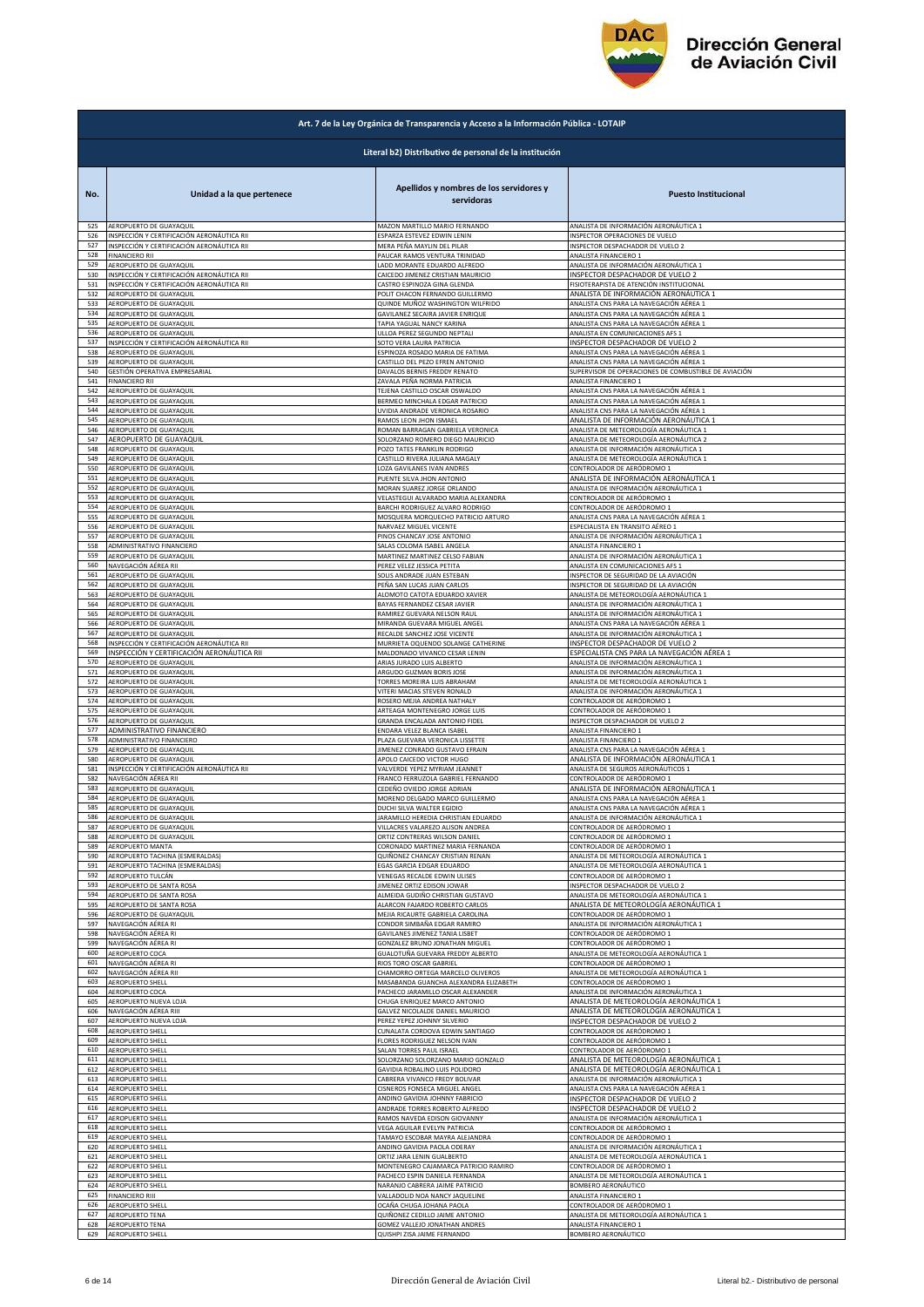

|            | Art. 7 de la Ley Orgánica de Transparencia y Acceso a la Información Pública - LOTAIP |                                                                  |                                                                      |  |
|------------|---------------------------------------------------------------------------------------|------------------------------------------------------------------|----------------------------------------------------------------------|--|
|            |                                                                                       | Literal b2) Distributivo de personal de la institución           |                                                                      |  |
| No.        | Unidad a la que pertenece                                                             | Apellidos y nombres de los servidores y<br>servidoras            | <b>Puesto Institucional</b>                                          |  |
| 525        | AEROPUERTO DE GUAYAQUIL                                                               | MAZON MARTILLO MARIO FERNANDO                                    | ANALISTA DE INFORMACIÓN AERONÁUTICA 1                                |  |
| 526        | INSPECCIÓN Y CERTIFICACIÓN AERONÁUTICA RII                                            | ESPARZA ESTEVEZ EDWIN LENIN                                      | <b>NSPECTOR OPERACIONES DE VUELO</b>                                 |  |
| 527        | INSPECCIÓN Y CERTIFICACIÓN AERONÁUTICA RII                                            | MERA PEÑA MAYLIN DEL PILAR                                       | INSPECTOR DESPACHADOR DE VUELO 2                                     |  |
| 528        | <b>FINANCIERO RII</b>                                                                 | PAUCAR RAMOS VENTURA TRINIDAD                                    | ANALISTA FINANCIERO 1                                                |  |
| 529        | AEROPUERTO DE GUAYAQUIL                                                               | LADD MORANTE EDUARDO ALFREDO                                     | ANALISTA DE INFORMACIÓN AERONÁUTICA 1                                |  |
| 530        | INSPECCIÓN Y CERTIFICACIÓN AERONÁUTICA RII                                            | CAICEDO JIMENEZ CRISTIAN MAURICIO                                | INSPECTOR DESPACHADOR DE VUELO 2                                     |  |
| 531<br>532 | INSPECCIÓN Y CERTIFICACIÓN AERONÁUTICA RII                                            | CASTRO ESPINOZA GINA GLENDA                                      | FISIOTERAPISTA DE ATENCIÓN INSTITUCIONAL                             |  |
| 533        | AEROPUERTO DE GUAYAQUIL                                                               | POLIT CHACON FERNANDO GUILLERMO                                  | ANALISTA DE INFORMACIÓN AERONÁUTICA 1                                |  |
|            | AEROPUERTO DE GUAYAQUIL                                                               | QUINDE MUÑOZ WASHINGTON WILFRIDO                                 | ANALISTA CNS PARA LA NAVEGACIÓN AÉREA 1                              |  |
| 534        | AEROPUERTO DE GUAYAQUIL                                                               | GAVILANEZ SECAIRA JAVIER ENRIQUE                                 | ANALISTA CNS PARA LA NAVEGACIÓN AÉREA 1                              |  |
| 535        | AEROPUERTO DE GUAYAQUIL                                                               | TAPIA YAGUAL NANCY KARINA                                        | ANALISTA CNS PARA LA NAVEGACIÓN AÉREA 1                              |  |
| 536        | AEROPUERTO DE GUAYAQUIL                                                               | ULLOA PEREZ SEGUNDO NEPTALI                                      | ANALISTA EN COMUNICACIONES AFS 1                                     |  |
| 537        | INSPECCIÓN Y CERTIFICACIÓN AERONÁUTICA RII                                            | SOTO VERA LAURA PATRICIA                                         | NSPECTOR DESPACHADOR DE VUELO 2                                      |  |
| 538        | AEROPUERTO DE GUAYAQUIL                                                               | ESPINOZA ROSADO MARIA DE FATIMA                                  | INALISTA CNS PARA LA NAVEGACIÓN AÉREA 1                              |  |
| 539        | AEROPUERTO DE GUAYAQUIL                                                               | CASTILLO DEL PEZO EFREN ANTONIO                                  | ANALISTA CNS PARA LA NAVEGACIÓN AÉREA 1                              |  |
| 540<br>541 | GESTIÓN OPERATIVA EMPRESARIAL                                                         | DAVALOS BERNIS FREDDY RENATO                                     | SUPERVISOR DE OPERACIONES DE COMBUSTIBLE DE AVIACIÓN                 |  |
| 542        | <b>FINANCIERO RII</b>                                                                 | ZAVALA PEÑA NORMA PATRICIA                                       | ANALISTA FINANCIERO 1                                                |  |
|            | AEROPUERTO DE GUAYAQUIL                                                               | TEJENA CASTILLO OSCAR OSWALDO                                    | ANALISTA CNS PARA LA NAVEGACIÓN AÉREA 1                              |  |
| 543        | AEROPUERTO DE GUAYAQUIL                                                               | BERMEO MINCHALA EDGAR PATRICIO                                   | ANALISTA CNS PARA LA NAVEGACIÓN AÉREA 1                              |  |
| 544        | AEROPUERTO DE GUAYAQUIL                                                               | UVIDIA ANDRADE VERONICA ROSARIO                                  | ANALISTA CNS PARA LA NAVEGACIÓN AÉREA 1                              |  |
| 545        | AEROPUERTO DE GUAYAQUIL                                                               | RAMOS LEON JHON ISMAEL                                           | ANALISTA DE INFORMACIÓN AERONÁUTICA 1                                |  |
| 546        | AEROPUERTO DE GUAYAQUIL                                                               | ROMAN BARRAGAN GABRIELA VERONICA                                 | ANALISTA DE METEOROLOGÍA AERONÁUTICA 1                               |  |
| 547        | AEROPUERTO DE GUAYAQUIL                                                               | SOLORZANO ROMERO DIEGO MAURICIO                                  | ANALISTA DE METEOROLOGÍA AERONÁUTICA 2                               |  |
| 548        | AEROPUERTO DE GUAYAQUIL                                                               | POZO TATES FRANKLIN RODRIGO                                      | ANALISTA DE INFORMACIÓN AERONÁUTICA 1                                |  |
| 549<br>550 | AEROPUERTO DE GUAYAQUIL                                                               | CASTILLO RIVERA JULIANA MAGALY                                   | ANALISTA DE METEOROLOGÍA AERONÁUTICA 1<br>CONTROLADOR DE AERÓDROMO 1 |  |
| 551        | AEROPUERTO DE GUAYAQUIL<br>AEROPUERTO DE GUAYAQUIL                                    | LOZA GAVILANES IVAN ANDRES<br>PUENTE SILVA JHON ANTONIO          | ANALISTA DE INFORMACIÓN AERONÁUTICA 1                                |  |
| 552        | AEROPUERTO DE GUAYAQUIL                                                               | MORAN SUAREZ JORGE ORLANDO                                       | ANALISTA DE INFORMACIÓN AERONÁUTICA 1                                |  |
| 553        | AEROPUERTO DE GUAYAQUIL                                                               | VELASTEGUI ALVARADO MARIA ALEXANDRA                              | CONTROLADOR DE AERÓDROMO 1                                           |  |
| 554        | AEROPUERTO DE GUAYAQUIL                                                               | BARCHI RODRIGUEZ ALVARO RODRIGO                                  | CONTROLADOR DE AERÓDROMO 1                                           |  |
| 555        | AEROPUERTO DE GUAYAQUIL                                                               | MOSQUERA MORQUECHO PATRICIO ARTURO                               | ANALISTA CNS PARA LA NAVEGACIÓN AÉREA 1                              |  |
| 556        | AEROPUERTO DE GUAYAQUIL                                                               | NARVAEZ MIGUEL VICENTE                                           | ESPECIALISTA EN TRANSITO AÉREO 1                                     |  |
| 557        | AEROPUERTO DE GUAYAQUIL                                                               | PINOS CHANCAY JOSE ANTONIO                                       | ANALISTA DE INFORMACIÓN AERONÁUTICA 1                                |  |
| 558        | ADMINISTRATIVO FINANCIERO                                                             | SALAS COLOMA ISABEL ANGELA                                       | ANALISTA FINANCIERO 1                                                |  |
| 559        | AEROPUERTO DE GUAYAQUIL                                                               | MARTINEZ MARTINEZ CELSO FABIAN                                   | ANALISTA DE INFORMACIÓN AERONÁUTICA 1                                |  |
| 560        | NAVEGACIÓN AÉREA RII                                                                  | PEREZ VELEZ JESSICA PETITA                                       | ANALISTA EN COMUNICACIONES AFS 1                                     |  |
| 561        | AEROPUERTO DE GUAYAQUIL                                                               | SOLIS ANDRADE JUAN ESTEBAN                                       | INSPECTOR DE SEGURIDAD DE LA AVIACIÓN                                |  |
| 562        | AEROPUERTO DE GUAYAQUIL                                                               | PEÑA SAN LUCAS JUAN CARLOS                                       | INSPECTOR DE SEGURIDAD DE LA AVIACIÓN                                |  |
| 563        | AEROPUERTO DE GUAYAQUIL                                                               | ALOMOTO CATOTA EDUARDO XAVIER                                    | ANALISTA DE METEOROLOGÍA AERONÁUTICA 1                               |  |
| 564        | AEROPUERTO DE GUAYAQUIL                                                               | BAYAS FERNANDEZ CESAR JAVIER                                     | ANALISTA DE INFORMACIÓN AERONÁUTICA 1                                |  |
| 565        | AEROPUERTO DE GUAYAQUIL                                                               | RAMIREZ GUEVARA NELSON RAUL                                      | ANALISTA DE INFORMACIÓN AERONÁUTICA 1                                |  |
| 566        | AEROPUERTO DE GUAYAQUIL                                                               | MIRANDA GUEVARA MIGUEL ANGEL                                     | ANALISTA CNS PARA LA NAVEGACIÓN AÉREA 1                              |  |
| 567        | AEROPUERTO DE GUAYAQUIL                                                               | RECALDE SANCHEZ JOSE VICENTE                                     | ANALISTA DE INFORMACIÓN AERONÁUTICA 1                                |  |
| 568        | INSPECCIÓN Y CERTIFICACIÓN AERONÁUTICA RII                                            | MURRIETA OQUENDO SOLANGE CATHERINE                               | INSPECTOR DESPACHADOR DE VUELO 2                                     |  |
| 569<br>570 | INSPECCIÓN Y CERTIFICACIÓN AERONÁUTICA RII                                            | MALDONADO VIVANCO CESAR LENIN                                    | ESPECIALISTA CNS PARA LA NAVEGACIÓN AÉREA 1                          |  |
| 571        | AEROPUERTO DE GUAYAQUIL                                                               | ARIAS JURADO LUIS ALBERTO                                        | ANALISTA DE INFORMACIÓN AERONÁUTICA 1                                |  |
|            | AEROPUERTO DE GUAYAQUIL                                                               | ARGUDO GUZMAN BORIS JOSE                                         | ANALISTA DE INFORMACIÓN AERONÁUTICA 1                                |  |
| 572        | AEROPUERTO DE GUAYAQUIL                                                               | TORRES MOREIRA LUIS ABRAHAM                                      | ANALISTA DE METEOROLOGÍA AERONÁUTICA 1                               |  |
| 573        | AEROPUERTO DE GUAYAQUIL                                                               | VITERI MACIAS STEVEN RONALD                                      | ANALISTA DE INFORMACIÓN AERONÁUTICA 1                                |  |
| 574        | AEROPUERTO DE GUAYAQUIL                                                               | ROSERO MEJIA ANDREA NATHALY                                      | CONTROLADOR DE AERÓDROMO 1                                           |  |
| 575        | AEROPUERTO DE GUAYAQUIL                                                               | ARTEAGA MONTENEGRO JORGE LUIS                                    | CONTROLADOR DE AERÓDROMO 1                                           |  |
| 576        | AEROPUERTO DE GUAYAQUIL                                                               | GRANDA ENCALADA ANTONIO FIDEL                                    | NSPECTOR DESPACHADOR DE VUELO 2                                      |  |
| 577        | ADMINISTRATIVO FINANCIERO                                                             | ENDARA VELEZ BLANCA ISABEL                                       | ANALISTA FINANCIERO 1                                                |  |
| 578        | ADMINISTRATIVO FINANCIERO                                                             | PLAZA GUEVARA VERONICA LISSETTE                                  | ANALISTA FINANCIERO 1                                                |  |
| 579        | AEROPUERTO DE GUAYAQUIL                                                               | JIMENEZ CONRADO GUSTAVO EFRAIN                                   | ANALISTA CNS PARA LA NAVEGACIÓN AÉREA 1                              |  |
| 580        | AEROPUERTO DE GUAYAQUIL                                                               | APOLO CAICEDO VICTOR HUGO                                        | ANALISTA DE INFORMACIÓN AERONÁUTICA 1                                |  |
| 581        | INSPECCIÓN Y CERTIFICACIÓN AERONÁUTICA RII                                            | VALVERDE YEPEZ MYRIAM JEANNET                                    | ANALISTA DE SEGUROS AERONÁUTICOS 1                                   |  |
| 582        | NAVEGACIÓN AÉREA RII                                                                  | FRANCO FERRUZOLA GABRIEL FERNANDO                                | CONTROLADOR DE AERÓDROMO 1                                           |  |
| 583        | AEROPUERTO DE GUAYAQUIL                                                               | CEDEÑO OVIEDO JORGE ADRIAN                                       | ANALISTA DE INFORMACIÓN AERONÁUTICA 1                                |  |
| 584        | AEROPUERTO DE GUAYAQUIL                                                               | MORENO DELGADO MARCO GUILLERMO                                   | ANALISTA CNS PARA LA NAVEGACIÓN AÉREA 1                              |  |
| 585        | AEROPUERTO DE GUAYAQUII                                                               |                                                                  | ANALISTA CNS PARA LA NAVEGACIÓN AÉREA                                |  |
| 586        | AEROPUERTO DE GUAYAQUIL                                                               | DUCHI SILVA WALTER EGIDIC<br>JARAMILLO HEREDIA CHRISTIAN EDUARDO | ANALISTA DE INFORMACIÓN AERONÁUTICA 1                                |  |
| 587        | AEROPUERTO DE GUAYAQUIL                                                               | VILLACRES VALAREZO ALISON ANDREA                                 | CONTROLADOR DE AERÓDROMO 1                                           |  |
| 588        | AEROPUERTO DE GUAYAQUIL                                                               | ORTIZ CONTRERAS WILSON DANIEL                                    | CONTROLADOR DE AERÓDROMO 1                                           |  |
| 589        | AEROPUERTO MANTA                                                                      | CORONADO MARTINEZ MARIA FERNANDA                                 | CONTROLADOR DE AERÓDROMO 1                                           |  |
| 590        | AEROPUERTO TACHINA (ESMERALDAS)                                                       | QUIÑONEZ CHANCAY CRISTIAN RENAN                                  | ANALISTA DE METEOROLOGÍA AERONÁUTICA 1                               |  |
| 591        | AEROPUERTO TACHINA (ESMERALDAS)                                                       | EGAS GARCIA EDGAR EDUARDO                                        | ANALISTA DE METEOROLOGÍA AERONÁUTICA 1                               |  |
| 592        | AEROPUERTO TULCÁN                                                                     | VENEGAS RECALDE EDWIN ULISES                                     | CONTROLADOR DE AERÓDROMO 1                                           |  |
| 593        | AEROPUERTO DE SANTA ROSA                                                              | JIMENEZ ORTIZ EDISON JOWAR                                       | INSPECTOR DESPACHADOR DE VUELO 2                                     |  |
| 594        | AEROPUERTO DE SANTA ROSA                                                              | ALMEIDA GUDIÑO CHRISTIAN GUSTAVO                                 | ANALISTA DE METEOROLOGÍA AERONÁUTICA 1                               |  |
| 595        | AEROPUERTO DE SANTA ROSA                                                              | ALARCON FAJARDO ROBERTO CARLOS                                   | ANALISTA DE METEOROLOGÍA AERONÁUTICA 1                               |  |
| 596        | AEROPUERTO DE GUAYAQUIL                                                               | MEJIA RICAURTE GABRIELA CAROLINA                                 | CONTROLADOR DE AERÓDROMO 1                                           |  |
| 597        | NAVEGACIÓN AÉREA RI                                                                   | CONDOR SIMBAÑA EDGAR RAMIRO                                      | ANALISTA DE INFORMACIÓN AERONÁUTICA 1                                |  |
| 598        | NAVEGACIÓN AÉREA RI                                                                   | GAVILANES JIMENEZ TANIA LISBET                                   | CONTROLADOR DE AERÓDROMO 1                                           |  |
| 599        | NAVEGACIÓN AÉREA RI                                                                   | GONZALEZ BRUNO JONATHAN MIGUEL                                   | CONTROLADOR DE AERÓDROMO 1                                           |  |
| 600        | AEROPUERTO COCA                                                                       | GUALOTUÑA GUEVARA FREDDY ALBERTO                                 | ANALISTA DE METEOROLOGÍA AERONÁUTICA 1                               |  |
| 601        | NAVEGACIÓN AÉREA RI                                                                   | RIOS TORO OSCAR GABRIEL                                          | CONTROLADOR DE AERÓDROMO 1                                           |  |
| 602        | NAVEGACIÓN AÉREA RII                                                                  | CHAMORRO ORTEGA MARCELO OLIVEROS                                 | ANALISTA DE METEOROLOGÍA AERONÁUTICA 1                               |  |
| 603        | AEROPUERTO SHELL                                                                      | MASABANDA GUANCHA ALEXANDRA ELIZABETH                            | CONTROLADOR DE AERÓDROMO 1                                           |  |
| 604        | AEROPUERTO COCA                                                                       | PACHECO JARAMILLO OSCAR ALEXANDER                                | ANALISTA DE INFORMACIÓN AERONÁUTICA 1                                |  |
| 605        | AEROPUERTO NUEVA LOJA                                                                 | CHUGA ENRIQUEZ MARCO ANTONIO                                     | ANALISTA DE METEOROLOGÍA AERONÁUTICA 1                               |  |
| 606        | NAVEGACIÓN AÉREA RIII                                                                 | GALVEZ NICOLALDE DANIEL MAURICIO                                 | ANALISTA DE METEOROLOGÍA AERONÁUTICA 1                               |  |
| 607        | AEROPUERTO NUEVA LOJA                                                                 | PEREZ YEPEZ JOHNNY SILVERIO                                      | INSPECTOR DESPACHADOR DE VUELO 2                                     |  |
| 608        | AEROPUERTO SHELL                                                                      | CUNALATA CORDOVA EDWIN SANTIAGO                                  | CONTROLADOR DE AERÓDROMO 1                                           |  |
| 609        | AEROPUERTO SHELL                                                                      | FLORES RODRIGUEZ NELSON IVAN                                     | CONTROLADOR DE AERÓDROMO 1                                           |  |
| 610        | AEROPUERTO SHELL                                                                      | SALAN TORRES PAUL ISRAEL                                         | CONTROLADOR DE AERÓDROMO 1                                           |  |
| 611        | AEROPUERTO SHELL                                                                      | SOLORZANO SOLORZANO MARIO GONZALO                                | ANALISTA DE METEOROLOGÍA AERONÁUTICA 1                               |  |
| 612        | AEROPUERTO SHELL                                                                      | GAVIDIA ROBALINO LUIS POLIDORO                                   | ANALISTA DE METEOROLOGÍA AERONÁUTICA 1                               |  |
| 613        | AEROPUERTO SHELL                                                                      | CABRERA VIVANCO FREDY BOLIVAR                                    | ANALISTA DE INFORMACIÓN AERONÁUTICA 1                                |  |
| 614        | AEROPUERTO SHELL                                                                      | CISNEROS FONSECA MIGUEL ANGEL                                    | ANALISTA CNS PARA LA NAVEGACIÓN AÉREA 1                              |  |
| 615        | AEROPUERTO SHELL                                                                      | ANDINO GAVIDIA JOHNNY FABRICIO                                   | INSPECTOR DESPACHADOR DE VUELO 2                                     |  |
| 616        | AEROPUERTO SHELL                                                                      | ANDRADE TORRES ROBERTO ALFREDO                                   | INSPECTOR DESPACHADOR DE VUELO 2                                     |  |
| 617        | AEROPUERTO SHELL                                                                      | RAMOS NAVEDA EDISON GIOVANNY                                     | ANALISTA DE INFORMACIÓN AERONÁUTICA 1                                |  |
| 618        | <b>AEROPUERTO SHELL</b>                                                               | VEGA AGUILAR EVELYN PATRICIA                                     | CONTROLADOR DE AERÓDROMO 1                                           |  |
| 619        | AEROPUERTO SHELL                                                                      | TAMAYO ESCOBAR MAYRA ALEJANDRA                                   | CONTROLADOR DE AERÓDROMO 1                                           |  |
| 620        | AEROPUERTO SHELL                                                                      | ANDINO GAVIDIA PAOLA ODERAY                                      | ANALISTA DE INFORMACIÓN AERONÁUTICA 1                                |  |
| 621        | AEROPUERTO SHELL                                                                      | ORTIZ JARA LENIN GUALBERTO                                       | ANALISTA DE METEOROLOGÍA AERONÁUTICA 1                               |  |
| 622        | <b>AEROPUERTO SHELL</b>                                                               | MONTENEGRO CAJAMARCA PATRICIO RAMIRO                             | CONTROLADOR DE AERÓDROMO 1                                           |  |
| 623        | AEROPUERTO SHELL                                                                      | PACHECO ESPIN DANIELA FERNANDA                                   | ANALISTA DE METEOROLOGÍA AERONÁUTICA 1                               |  |
| 624        | AEROPUERTO SHELL                                                                      | NARANJO CABRERA JAIME PATRICIO                                   | BOMBERO AERONÁUTICO                                                  |  |
| 625        | <b>FINANCIERO RIII</b>                                                                | VALLADOLID NOA NANCY JAQUELINE                                   | <b>NALISTA FINANCIERO 1</b>                                          |  |
| 626        | AEROPUERTO SHELL                                                                      | OCAÑA CHUGA JOHANA PAOLA                                         | CONTROLADOR DE AERÓDROMO 1                                           |  |
| 627        | AEROPUERTO TENA                                                                       | QUIÑONEZ CEDILLO JAIME ANTONIO                                   | ANALISTA DE METEOROLOGÍA AERONÁUTICA 1                               |  |
| 628        | AEROPUERTO TENA                                                                       | GOMEZ VALLEJO JONATHAN ANDRES                                    | ANALISTA FINANCIERO 1                                                |  |
| 629        | <b>AEROPUERTO SHELL</b>                                                               | QUISHPI ZISA JAIME FERNANDO                                      | BOMBERO AERONÁUTICO                                                  |  |
|            |                                                                                       |                                                                  |                                                                      |  |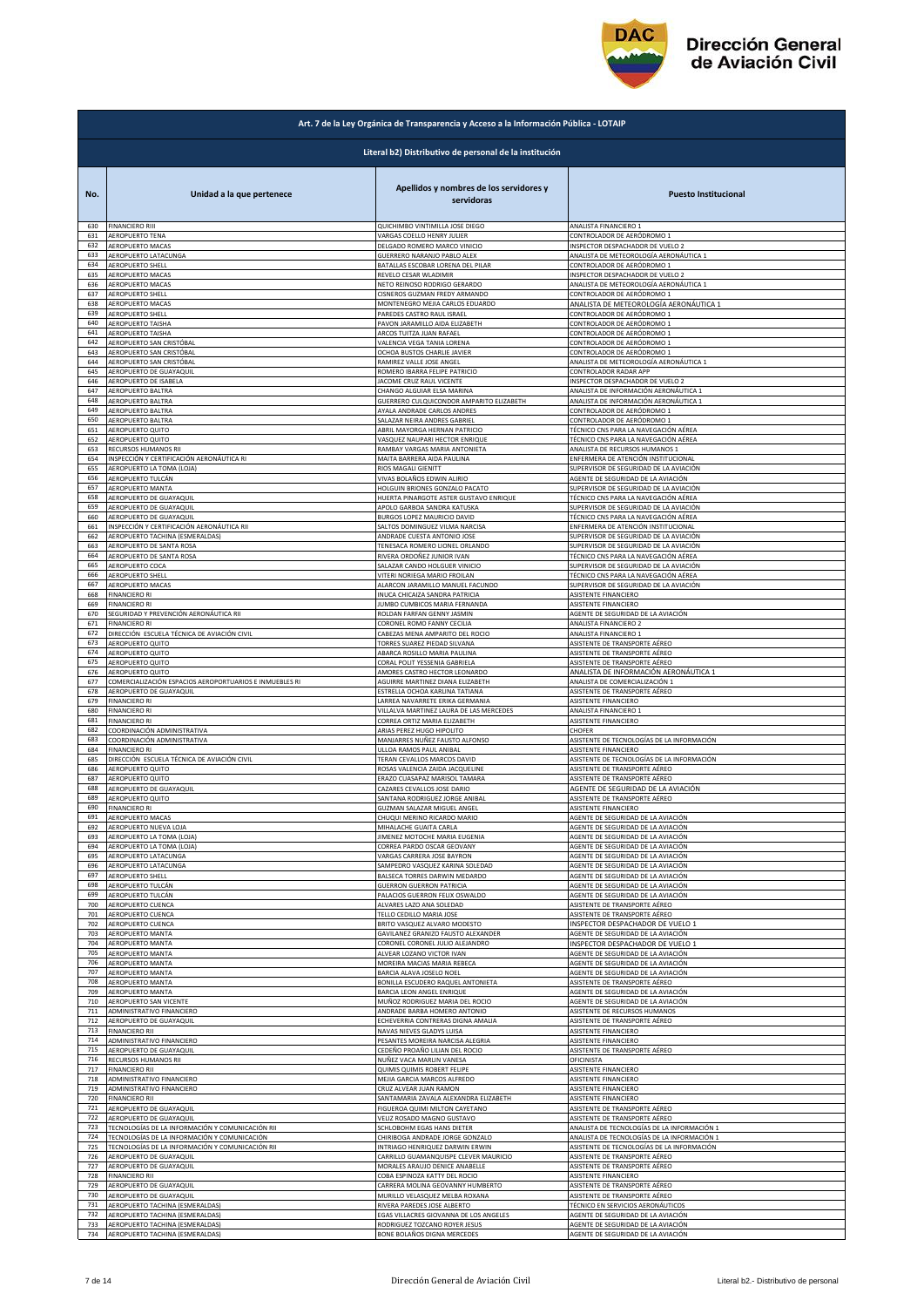

|     | Art. 7 de la Ley Orgánica de Transparencia y Acceso a la Información Pública - LOTAIP |                                                        |                                             |  |
|-----|---------------------------------------------------------------------------------------|--------------------------------------------------------|---------------------------------------------|--|
|     |                                                                                       | Literal b2) Distributivo de personal de la institución |                                             |  |
| No. | Unidad a la que pertenece                                                             | Apellidos y nombres de los servidores y<br>servidoras  | <b>Puesto Institucional</b>                 |  |
| 630 | <b>FINANCIERO RIII</b>                                                                | QUICHIMBO VINTIMILLA JOSE DIEGO                        | ANALISTA FINANCIERO 1                       |  |
| 631 | AEROPUERTO TENA                                                                       | VARGAS COELLO HENRY JULIER                             | CONTROLADOR DE AERÓDROMO 1                  |  |
| 632 | AEROPUERTO MACAS                                                                      | DELGADO ROMERO MARCO VINICIO                           | INSPECTOR DESPACHADOR DE VUELO 2            |  |
| 633 | AEROPUERTO LATACUNGA                                                                  | GUERRERO NARANJO PABLO ALEX                            | ANALISTA DE METEOROLOGÍA AERONÁUTICA 1      |  |
| 634 | AEROPUERTO SHELL                                                                      | BATALLAS ESCOBAR LORENA DEL PILAR                      | CONTROLADOR DE AERÓDROMO 1                  |  |
| 635 | AEROPUERTO MACAS                                                                      | REVELO CESAR WLADIMIR                                  | INSPECTOR DESPACHADOR DE VUELO 2            |  |
| 636 | AEROPUERTO MACAS                                                                      | NETO REINOSO RODRIGO GERARDO                           | ANALISTA DE METEOROLOGÍA AERONÁUTICA 1      |  |
| 637 | AEROPUERTO SHELL                                                                      | CISNEROS GUZMAN FREDY ARMANDO                          | CONTROLADOR DE AERÓDROMO 1                  |  |
| 638 | <b>AEROPUERTO MACAS</b>                                                               | MONTENEGRO MEJIA CARLOS EDUARDO                        | ANALISTA DE METEOROLOGÍA AERONÁUTICA 1      |  |
| 639 | AEROPUERTO SHELL                                                                      | PAREDES CASTRO RAUL ISRAEL                             | CONTROLADOR DE AERÓDROMO 1                  |  |
| 640 | <b>AEROPUERTO TAISHA</b>                                                              | PAVON JARAMILLO AIDA ELIZABETH                         | CONTROLADOR DE AERÓDROMO 1                  |  |
| 641 | <b>AEROPUERTO TAISHA</b>                                                              | ARCOS TUITZA JUAN RAFAEL                               | CONTROLADOR DE AERÓDROMO 1                  |  |
| 642 | AEROPUERTO SAN CRISTÓBAL                                                              | VALENCIA VEGA TANIA LORENA                             | CONTROLADOR DE AERÓDROMO 1                  |  |
| 643 | AEROPUERTO SAN CRISTÓBAL                                                              | OCHOA BUSTOS CHARLIE JAVIER                            | CONTROLADOR DE AERÓDROMO 1                  |  |
| 644 | AEROPUERTO SAN CRISTÓBAL                                                              | RAMIREZ VALLE JOSE ANGEL                               | ANALISTA DE METEOROLOGÍA AERONÁUTICA 1      |  |
| 645 | AEROPUERTO DE GUAYAQUIL                                                               | ROMERO IBARRA FELIPE PATRICIO                          | CONTROLADOR RADAR APP                       |  |
| 646 | AEROPUERTO DE ISABELA                                                                 | JACOME CRUZ RAUL VICENTE                               | <b>INSPECTOR DESPACHADOR DE VUELO 2</b>     |  |
| 647 | AEROPUERTO BALTRA                                                                     | CHANGO ALGUIAR ELSA MARINA                             | ANALISTA DE INFORMACIÓN AERONÁUTICA 1       |  |
| 648 | AEROPUERTO BALTRA                                                                     | GUERRERO CULQUICONDOR AMPARITO ELIZABETH               | ANALISTA DE INFORMACIÓN AERONÁUTICA 1       |  |
| 649 | AEROPUERTO BALTRA                                                                     | AYALA ANDRADE CARLOS ANDRES                            | CONTROLADOR DE AERÓDROMO 1                  |  |
| 650 | AEROPUERTO BALTRA                                                                     | SALAZAR NEIRA ANDRES GABRIEL                           | CONTROLADOR DE AERÓDROMO 1                  |  |
| 651 | AEROPUERTO QUITO                                                                      | ABRIL MAYORGA HERNAN PATRICIO                          | TÉCNICO CNS PARA LA NAVEGACIÓN AÉREA        |  |
| 652 | AEROPUERTO QUITO                                                                      | VASQUEZ NAUPARI HECTOR ENRIQUE                         | TÉCNICO CNS PARA LA NAVEGACIÓN AÉREA        |  |
| 653 | RECURSOS HUMANOS RII                                                                  | RAMBAY VARGAS MARIA ANTONIETA                          | ANALISTA DE RECURSOS HUMANOS 1              |  |
| 654 | INSPECCIÓN Y CERTIFICACIÓN AERONÁUTICA RI                                             | MAITA BARRERA AIDA PAULINA                             | ENFERMERA DE ATENCIÓN INSTITUCIONAL         |  |
| 655 | AEROPUERTO LA TOMA (LOJA)                                                             | RIOS MAGALI GIENITT                                    | SUPERVISOR DE SEGURIDAD DE LA AVIACIÓN      |  |
| 656 | AEROPUERTO TULCÁN                                                                     | VIVAS BOLAÑOS EDWIN ALIRIO                             | AGENTE DE SEGURIDAD DE LA AVIACIÓN          |  |
| 657 | AEROPUERTO MANTA                                                                      | HOLGUIN BRIONES GONZALO PACATO                         | SUPERVISOR DE SEGURIDAD DE LA AVIACIÓN      |  |
| 658 | AEROPUERTO DE GUAYAQUIL                                                               | HUERTA PINARGOTE ASTER GUSTAVO ENRIQUE                 | TÉCNICO CNS PARA LA NAVEGACIÓN AÉREA        |  |
| 659 | AEROPUERTO DE GUAYAQUIL                                                               | APOLO GARBOA SANDRA KATUSKA                            | SUPERVISOR DE SEGURIDAD DE LA AVIACIÓN      |  |
| 660 | AEROPUERTO DE GUAYAQUIL                                                               | BURGOS LOPEZ MAURICIO DAVID                            | <u>TÉCNICO CNS PARA LA NAVEGACIÓN AÉREA</u> |  |
| 661 | INSPECCIÓN Y CERTIFICACIÓN AERONÁUTICA RII                                            | SALTOS DOMINGUEZ VILMA NARCISA                         | ENFERMERA DE ATENCIÓN INSTITUCIONAL         |  |
| 662 | AEROPUERTO TACHINA (ESMERALDAS)                                                       | ANDRADE CUESTA ANTONIO JOSE                            | SUPERVISOR DE SEGURIDAD DE LA AVIACIÓN      |  |
| 663 | AEROPUERTO DE SANTA ROSA                                                              | TENESACA ROMERO LIONEL ORLANDO                         | SUPERVISOR DE SEGURIDAD DE LA AVIACIÓN      |  |
| 664 | AEROPUERTO DE SANTA ROSA                                                              | RIVERA ORDOÑEZ JUNIOR IVAN                             | TÉCNICO CNS PARA LA NAVEGACIÓN AÉREA        |  |
| 665 | AEROPUERTO COCA                                                                       | SALAZAR CANDO HOLGUER VINICIO                          | SUPERVISOR DE SEGURIDAD DE LA AVIACIÓN      |  |
| 666 | AEROPUERTO SHELL                                                                      | VITERI NORIEGA MARIO FROILAN                           | TÉCNICO CNS PARA LA NAVEGACIÓN AÉREA        |  |
| 667 | AEROPUERTO MACAS                                                                      | ALARCON JARAMILLO MANUEL FACUNDO                       | SUPERVISOR DE SEGURIDAD DE LA AVIACIÓN      |  |
| 668 | <b>FINANCIERO RI</b>                                                                  | INUCA CHICAIZA SANDRA PATRICIA                         | ASISTENTE FINANCIERO                        |  |
| 669 | FINANCIERO RI                                                                         | JUMBO CUMBICOS MARIA FERNANDA                          | ASISTENTE FINANCIERO                        |  |
| 670 | SEGURIDAD Y PREVENCIÓN AERONÁUTICA RII                                                | ROLDAN FARFAN GENNY JASMIN                             | AGENTE DE SEGURIDAD DE LA AVIACIÓN          |  |
| 671 | <b>FINANCIERO RI</b>                                                                  | CORONEL ROMO FANNY CECILIA                             | ANALISTA FINANCIERO 2                       |  |
| 672 | DIRECCIÓN ESCUELA TÉCNICA DE AVIACIÓN CIVIL                                           | CABEZAS MENA AMPARITO DEL ROCIO                        | ANALISTA FINANCIERO 1                       |  |
| 673 | AEROPUERTO QUITO                                                                      | TORRES SUAREZ PIEDAD SILVANA                           | ASISTENTE DE TRANSPORTE AÉREO               |  |
| 674 | AEROPUERTO QUITO                                                                      | ABARCA ROSILLO MARIA PAULINA                           | ASISTENTE DE TRANSPORTE AÉREO               |  |
| 675 | AEROPUERTO QUITO                                                                      | CORAL POLIT YESSENIA GABRIELA                          | ASISTENTE DE TRANSPORTE AÉREO               |  |
| 676 | AEROPUERTO QUITO                                                                      | AMORES CASTRO HECTOR LEONARDO                          | ANALISTA DE INFORMACIÓN AERONÁUTICA 1       |  |
| 677 | COMERCIALIZACIÓN ESPACIOS AEROPORTUARIOS E INMUEBLES RI                               | AGUIRRE MARTINEZ DIANA ELIZABETH                       | ANALISTA DE COMERCIALIZACIÓN :              |  |
| 678 | AEROPUERTO DE GUAYAQUIL                                                               | ESTRELLA OCHOA KARLINA TATIANA                         | ASISTENTE DE TRANSPORTE AÉREO               |  |
| 679 | <b>FINANCIERO RI</b>                                                                  | LARREA NAVARRETE ERIKA GERMANIA                        | ASISTENTE FINANCIERO                        |  |
| 680 | <b>FINANCIERO RI</b>                                                                  | VILLALVA MARTINEZ LAURA DE LAS MERCEDES                | ANALISTA FINANCIERO 1                       |  |
| 681 | FINANCIERO RI                                                                         | CORREA ORTIZ MARIA ELIZABETH                           | ASISTENTE FINANCIERO                        |  |
| 682 | COORDINACIÓN ADMINISTRATIVA                                                           | ARIAS PEREZ HUGO HIPOLITO                              | CHOFER                                      |  |
| 683 | COORDINACIÓN ADMINISTRATIVA                                                           | MANJARRES NUÑEZ FAUSTO ALFONSO                         | ASISTENTE DE TECNOLOGÍAS DE LA INFORMACIÓN  |  |
| 684 | <b>FINANCIERO RI</b>                                                                  | ULLOA RAMOS PAUL ANIBAL                                | ASISTENTE FINANCIERO                        |  |
| 685 | DIRECCIÓN ESCUELA TÉCNICA DE AVIACIÓN CIVIL                                           | TERAN CEVALLOS MARCOS DAVID                            | ASISTENTE DE TECNOLOGÍAS DE LA INFORMACIÓN  |  |
| 686 | AEROPUERTO QUITO                                                                      | ROSAS VALENCIA ZAIDA JACQUELINE                        | ASISTENTE DE TRANSPORTE AÉREO               |  |
| 687 | AEROPUERTO QUITO                                                                      | ERAZO CUASAPAZ MARISOL TAMARA                          | ASISTENTE DE TRANSPORTE AÉREO               |  |
| 688 | AEROPUERTO DE GUAYAQUIL                                                               | CAZARES CEVALLOS JOSE DARIO                            | AGENTE DE SEGURIDAD DE LA AVIACIÓN          |  |
| 689 | AEROPUERTO QUITO                                                                      | SANTANA RODRIGUEZ JORGE ANIBAL                         | ASISTENTE DE TRANSPORTE AÉREO               |  |
|     | <b>FINANCIFRO RI</b>                                                                  | SUZMAN SALAZAR MIGUEL ANGEL                            | <b>ASISTENTE FINANCIERO</b>                 |  |
| 691 | AEROPUERTO MACAS                                                                      | CHUQUI MERINO RICARDO MARIO                            | AGENTE DE SEGURIDAD DE LA AVIACIÓN          |  |
| 692 | AEROPUERTO NUEVA LOJA                                                                 | MIHALACHE GUAITA CARLA                                 | AGENTE DE SEGURIDAD DE LA AVIACIÓN          |  |
| 693 | AEROPUERTO LA TOMA (LOJA)                                                             | <b>IIMENEZ MOTOCHE MARIA EUGENIA</b>                   | AGENTE DE SEGURIDAD DE LA AVIACIÓN          |  |
| 694 | AEROPUERTO LA TOMA (LOJA)                                                             | CORREA PARDO OSCAR GEOVANY                             | AGENTE DE SEGURIDAD DE LA AVIACIÓN          |  |
| 695 | AEROPUERTO LATACUNGA                                                                  | VARGAS CARRERA JOSE BAYRON                             | AGENTE DE SEGURIDAD DE LA AVIACIÓN          |  |
| 696 | AEROPUERTO LATACUNGA                                                                  | SAMPEDRO VASQUEZ KARINA SOLEDAD                        | AGENTE DE SEGURIDAD DE LA AVIACIÓN          |  |
| 697 | AEROPUERTO SHELL                                                                      | BALSECA TORRES DARWIN MEDARDO                          | AGENTE DE SEGURIDAD DE LA AVIACIÓN          |  |
| 698 | AEROPUERTO TULCÁN                                                                     | <b>GUERRON GUERRON PATRICIA</b>                        | AGENTE DE SEGURIDAD DE LA AVIACIÓN          |  |
| 699 | AEROPUERTO TULCÁN                                                                     | PALACIOS GUERRON FELIX OSWALDO                         | AGENTE DE SEGURIDAD DE LA AVIACIÓN          |  |
| 700 | AEROPUERTO CUENCA                                                                     | ALVARES LAZO ANA SOLEDAD                               | ASISTENTE DE TRANSPORTE AÉREO               |  |
| 701 | AEROPUERTO CUENCA                                                                     | TELLO CEDILLO MARIA JOSE                               | ASISTENTE DE TRANSPORTE AÉREO               |  |
| 702 | AEROPUERTO CUENCA                                                                     | BRITO VASQUEZ ALVARO MODESTO                           | INSPECTOR DESPACHADOR DE VUELO 1            |  |
| 703 | AEROPUERTO MANTA                                                                      | GAVILANEZ GRANIZO FAUSTO ALEXANDER                     | AGENTE DE SEGURIDAD DE LA AVIACIÓN          |  |
| 704 | AEROPUERTO MANTA                                                                      | CORONEL CORONEL JULIO ALEJANDRO                        | INSPECTOR DESPACHADOR DE VUELO 1            |  |
| 705 | AEROPUERTO MANTA                                                                      | ALVEAR LOZANO VICTOR IVAN                              | AGENTE DE SEGURIDAD DE LA AVIACIÓN          |  |
| 706 | AEROPUERTO MANTA                                                                      | MOREIRA MACIAS MARIA REBECA                            | AGENTE DE SEGURIDAD DE LA AVIACIÓN          |  |
| 707 | AEROPUERTO MANTA                                                                      | BARCIA ALAVA JOSELO NOEL                               | AGENTE DE SEGURIDAD DE LA AVIACIÓN          |  |
| 708 | AEROPUERTO MANTA                                                                      | BONILLA ESCUDERO RAQUEL ANTONIETA                      | ASISTENTE DE TRANSPORTE AÉREO               |  |
| 709 | AEROPUERTO MANTA                                                                      | BARCIA LEON ANGEL ENRIQUE                              | AGENTE DE SEGURIDAD DE LA AVIACIÓN          |  |
| 710 | AEROPUERTO SAN VICENTE                                                                | MUÑOZ RODRIGUEZ MARIA DEL ROCIO                        | AGENTE DE SEGURIDAD DE LA AVIACIÓN          |  |
| 711 | ADMINISTRATIVO FINANCIERO                                                             | ANDRADE BARBA HOMERO ANTONIO                           | ASISTENTE DE RECURSOS HUMANOS               |  |
| 712 | AEROPUERTO DE GUAYAQUIL                                                               | ECHEVERRIA CONTRERAS DIGNA AMALIA                      | ASISTENTE DE TRANSPORTE AÉREO               |  |
| 713 | <b>FINANCIERO RII</b>                                                                 | NAVAS NIEVES GLADYS LUISA                              | ASISTENTE FINANCIERO                        |  |
| 714 | ADMINISTRATIVO FINANCIERO                                                             | PESANTES MOREIRA NARCISA ALEGRIA                       | ASISTENTE FINANCIERO                        |  |
| 715 | AEROPUERTO DE GUAYAQUIL                                                               | CEDEÑO PROAÑO LILIAN DEL ROCIO                         | ASISTENTE DE TRANSPORTE AÉREO               |  |
| 716 | RECURSOS HUMANOS RII                                                                  | NUÑEZ VACA MARLIN VANESA                               | OFICINISTA                                  |  |
| 717 | <b>FINANCIERO RII</b>                                                                 | QUIMIS QUIMIS ROBERT FELIPE                            | ASISTENTE FINANCIERO                        |  |
| 718 | ADMINISTRATIVO FINANCIERO                                                             | MEJIA GARCIA MARCOS ALFREDO                            | ASISTENTE FINANCIERO                        |  |
| 719 | ADMINISTRATIVO FINANCIERO                                                             | CRUZ ALVEAR JUAN RAMON                                 | ASISTENTE FINANCIERO                        |  |
| 720 | <b>FINANCIERO RII</b>                                                                 | SANTAMARIA ZAVALA ALEXANDRA ELIZABETH                  | ASISTENTE FINANCIERO                        |  |
| 721 | AEROPUERTO DE GUAYAQUIL                                                               | FIGUEROA QUIMI MILTON CAYETANO                         | ASISTENTE DE TRANSPORTE AÉREO               |  |
| 722 | AEROPUERTO DE GUAYAQUIL                                                               | VELIZ ROSADO MAGNO GUSTAVO                             | ASISTENTE DE TRANSPORTE AÉREO               |  |
| 723 | TECNOLOGÍAS DE LA INFORMACIÓN Y COMUNICACIÓN RII                                      | SCHLOBOHM EGAS HANS DIETER                             | ANALISTA DE TECNOLOGÍAS DE LA INFORMACIÓN 1 |  |
| 724 | TECNOLOGÍAS DE LA INFORMACIÓN Y COMUNICACIÓN                                          | CHIRIBOGA ANDRADE JORGE GONZALO                        | ANALISTA DE TECNOLOGÍAS DE LA INFORMACIÓN 1 |  |
| 725 | TECNOLOGÍAS DE LA INFORMACIÓN Y COMUNICACIÓN RII                                      | INTRIAGO HENRIQUEZ DARWIN ERWIN                        | ASISTENTE DE TECNOLOGÍAS DE LA INFORMACIÓN  |  |
| 726 | AEROPUERTO DE GUAYAQUIL                                                               | CARRILLO GUAMANQUISPE CLEVER MAURICIO                  | ASISTENTE DE TRANSPORTE AÉREO               |  |
| 727 | AEROPUERTO DE GUAYAQUIL                                                               | MORALES ARAUJO DENICE ANABELLE                         | ASISTENTE DE TRANSPORTE AÉREO               |  |
| 728 | <b>FINANCIERO RII</b>                                                                 | COBA ESPINOZA KATTY DEL ROCIO                          | ASISTENTE FINANCIERO                        |  |
| 729 | AEROPUERTO DE GUAYAQUIL                                                               | CARRERA MOLINA GEOVANNY HUMBERTO                       | ASISTENTE DE TRANSPORTE AÉREO               |  |
| 730 | AEROPUERTO DE GUAYAQUIL                                                               | MURILLO VELASQUEZ MELBA ROXANA                         | ASISTENTE DE TRANSPORTE AÉREO               |  |
| 731 | AEROPUERTO TACHINA (ESMERALDAS)                                                       | RIVERA PAREDES JOSE ALBERTO                            | TÉCNICO EN SERVICIOS AERONÁUTICOS           |  |
| 732 | AEROPUERTO TACHINA (ESMERALDAS)                                                       | EGAS VILLACRES GIOVANNA DE LOS ANGELES                 | AGENTE DE SEGURIDAD DE LA AVIACIÓN          |  |
| 733 | AEROPUERTO TACHINA (ESMERALDAS)                                                       | RODRIGUEZ TOZCANO ROYER JESUS                          | AGENTE DE SEGURIDAD DE LA AVIACIÓN          |  |
| 734 | AEROPUERTO TACHINA (ESMERALDAS)                                                       | BONE BOLAÑOS DIGNA MERCEDES                            | AGENTE DE SEGURIDAD DE LA AVIACIÓN          |  |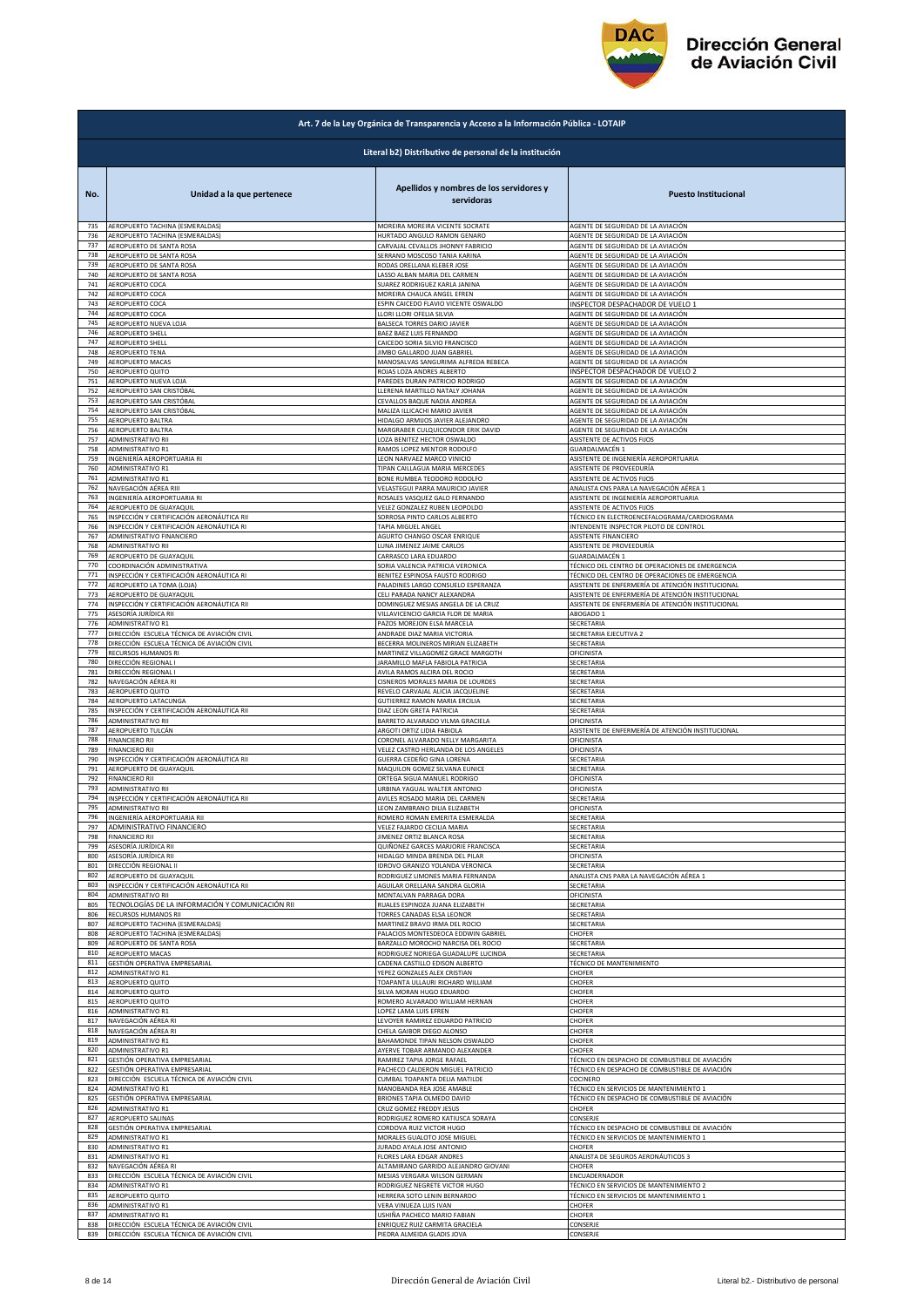

|            | Art. 7 de la Ley Orgánica de Transparencia y Acceso a la Información Pública - LOTAIP |                                                                          |                                                         |  |
|------------|---------------------------------------------------------------------------------------|--------------------------------------------------------------------------|---------------------------------------------------------|--|
|            | Literal b2) Distributivo de personal de la institución                                |                                                                          |                                                         |  |
| No.        | Unidad a la que pertenece                                                             | Apellidos y nombres de los servidores y<br>servidoras                    | <b>Puesto Institucional</b>                             |  |
| 735        | AEROPUERTO TACHINA (ESMERALDAS)                                                       | MOREIRA MOREIRA VICENTE SOCRATE                                          | AGENTE DE SEGURIDAD DE LA AVIACIÓN                      |  |
| 736        | AEROPUERTO TACHINA (ESMERALDAS)                                                       | HURTADO ANGULO RAMON GENARO                                              | AGENTE DE SEGURIDAD DE LA AVIACIÓN                      |  |
| 737        | AEROPUERTO DE SANTA ROSA                                                              | CARVAJAL CEVALLOS JHONNY FABRICIO                                        | AGENTE DE SEGURIDAD DE LA AVIACIÓN                      |  |
| 738        | AEROPUERTO DE SANTA ROSA                                                              | SERRANO MOSCOSO TANIA KARINA                                             | AGENTE DE SEGURIDAD DE LA AVIACIÓN                      |  |
| 739        | AEROPUERTO DE SANTA ROSA                                                              | RODAS ORELLANA KLEBER JOSE                                               | AGENTE DE SEGURIDAD DE LA AVIACIÓN                      |  |
| 740        | AEROPUERTO DE SANTA ROSA                                                              | LASSO ALBAN MARIA DEL CARMEN                                             | AGENTE DE SEGURIDAD DE LA AVIACIÓN                      |  |
| 741<br>742 | AEROPUERTO COCA                                                                       | SUAREZ RODRIGUEZ KARLA JANINA                                            | AGENTE DE SEGURIDAD DE LA AVIACIÓN                      |  |
| 743        | AEROPUERTO COCA                                                                       | MOREIRA CHAUCA ANGEL EFREN                                               | AGENTE DE SEGURIDAD DE LA AVIACIÓN                      |  |
|            | AEROPUERTO COCA                                                                       | ESPIN CAICEDO FLAVIO VICENTE OSWALDO                                     | INSPECTOR DESPACHADOR DE VUELO 1                        |  |
| 744        | AEROPUERTO COCA                                                                       | LLORI LLORI OFELIA SILVIA                                                | AGENTE DE SEGURIDAD DE LA AVIACIÓN                      |  |
| 745        | AEROPUERTO NUEVA LOJA                                                                 | BALSECA TORRES DARIO JAVIER                                              | AGENTE DE SEGURIDAD DE LA AVIACIÓN                      |  |
| 746        | AEROPUERTO SHELL                                                                      | BAEZ BAEZ LUIS FERNANDO                                                  | AGENTE DE SEGURIDAD DE LA AVIACIÓN                      |  |
| 747        | AEROPUERTO SHELL                                                                      | CAICEDO SORIA SILVIO FRANCISCO                                           | AGENTE DE SEGURIDAD DE LA AVIACIÓN                      |  |
| 748        | AEROPUERTO TENA                                                                       | <b>IIMBO GALLARDO JUAN GABRIEL</b>                                       | AGENTE DE SEGURIDAD DE LA AVIACIÓN                      |  |
| 749        | AEROPUERTO MACAS                                                                      | MANOSALVAS SANGURIMA ALFREDA REBECA                                      | AGENTE DE SEGURIDAD DE LA AVIACIÓN                      |  |
| 750        | AEROPUERTO QUITO                                                                      | ROJAS LOZA ANDRES ALBERTO                                                | INSPECTOR DESPACHADOR DE VUELO 2                        |  |
| 751        | AEROPUERTO NUEVA LOJA                                                                 | PAREDES DURAN PATRICIO RODRIGO                                           | AGENTE DE SEGURIDAD DE LA AVIACIÓN                      |  |
| 752        | AEROPUERTO SAN CRISTÓBAL                                                              | LLERENA MARTILLO NATALY JOHANA                                           | AGENTE DE SEGURIDAD DE LA AVIACIÓN                      |  |
| 753        | AEROPUERTO SAN CRISTÓBAL                                                              | CEVALLOS BAQUE NADIA ANDREA                                              | AGENTE DE SEGURIDAD DE LA AVIACIÓN                      |  |
| 754        | AEROPUERTO SAN CRISTÓBAL                                                              | MALIZA ILLICACHI MARIO JAVIER                                            | AGENTE DE SEGURIDAD DE LA AVIACIÓN                      |  |
| 755        | AEROPUERTO BALTRA                                                                     | HIDALGO ARMIJOS JAVIER ALEJANDRO                                         | AGENTE DE SEGURIDAD DE LA AVIACIÓN                      |  |
| 756        | AEROPUERTO BALTRA                                                                     | MARGRABER CULQUICONDOR ERIK DAVID                                        | AGENTE DE SEGURIDAD DE LA AVIACIÓN                      |  |
| 757<br>758 | ADMINISTRATIVO RII<br>ADMINISTRATIVO R1                                               | LOZA BENITEZ HECTOR OSWALDO                                              | ASISTENTE DE ACTIVOS FIJOS                              |  |
| 759        | INGENIERÍA AEROPORTUARIA RI                                                           | RAMOS LOPEZ MENTOR RODOLFO<br>LEON NARVAEZ MARCO VINICIO                 | GUARDALMACÉN 1<br>ASISTENTE DE INGENIERÍA AEROPORTUARIA |  |
| 760        | ADMINISTRATIVO R1                                                                     | TIPAN CAILLAGUA MARIA MERCEDES                                           | ASISTENTE DE PROVEEDURÍA                                |  |
| 761        | ADMINISTRATIVO R1                                                                     | BONE RUMBEA TEODORO RODOLFO                                              | ASISTENTE DE ACTIVOS FIJOS                              |  |
| 762        | NAVEGACIÓN AÉREA RIII                                                                 | VELASTEGUI PARRA MAURICIO JAVIER                                         | ANALISTA CNS PARA LA NAVEGACIÓN AÉREA 1                 |  |
| 763        | INGENIERÍA AEROPORTUARIA RI                                                           | ROSALES VASQUEZ GALO FERNANDO                                            | ASISTENTE DE INGENIERÍA AEROPORTUARIA                   |  |
| 764        | AEROPUERTO DE GUAYAQUIL                                                               | VELEZ GONZALEZ RUBEN LEOPOLDO                                            | ASISTENTE DE ACTIVOS FIJOS                              |  |
| 765        | INSPECCIÓN Y CERTIFICACIÓN AERONÁUTICA RII                                            | SORROSA PINTO CARLOS ALBERTO                                             | TÉCNICO EN ELECTROENCEFALOGRAMA/CARDIOGRAMA             |  |
| 766        | INSPECCIÓN Y CERTIFICACIÓN AERONÁUTICA RI                                             | TAPIA MIGUEL ANGEL                                                       | INTENDENTE INSPECTOR PILOTO DE CONTROL                  |  |
| 767        | ADMINISTRATIVO FINANCIERO                                                             | AGURTO CHANGO OSCAR ENRIQUE                                              | ASISTENTE FINANCIERO                                    |  |
| 768        | ADMINISTRATIVO RII                                                                    | LUNA JIMENEZ JAIME CARLOS                                                | ASISTENTE DE PROVEEDURÍA                                |  |
| 769        | AEROPUERTO DE GUAYAQUIL                                                               | CARRASCO LARA EDUARDO                                                    | GUARDALMACÉN 1                                          |  |
| 770        | COORDINACIÓN ADMINISTRATIVA                                                           | SORIA VALENCIA PATRICIA VERONICA                                         | TÉCNICO DEL CENTRO DE OPERACIONES DE EMERGENCIA         |  |
| 771        | INSPECCIÓN Y CERTIFICACIÓN AERONÁUTICA RI                                             | BENITEZ ESPINOSA FAUSTO RODRIGO                                          | TÉCNICO DEL CENTRO DE OPERACIONES DE EMERGENCIA         |  |
| 772        | AEROPUERTO LA TOMA (LOJA)                                                             | PALADINES LARGO CONSUELO ESPERANZA                                       | ASISTENTE DE ENFERMERÍA DE ATENCIÓN INSTITUCIONAL       |  |
| 773        | AEROPUERTO DE GUAYAQUIL                                                               | CELI PARADA NANCY ALEXANDRA                                              | ASISTENTE DE ENFERMERÍA DE ATENCIÓN INSTITUCIONAL       |  |
| 774        | INSPECCIÓN Y CERTIFICACIÓN AERONÁUTICA RII                                            | DOMINGUEZ MESIAS ANGELA DE LA CRUZ                                       | ASISTENTE DE ENFERMERÍA DE ATENCIÓN INSTITUCIONAL       |  |
| 775        | ASESORÍA JURÍDICA RII                                                                 | VILLAVICENCIO GARCIA FLOR DE MARIA                                       | ABOGADO 1                                               |  |
| 776        | <b>ADMINISTRATIVO R1</b>                                                              | PAZOS MOREJON ELSA MARCELA                                               | SECRETARIA                                              |  |
| 777        | DIRECCIÓN ESCUELA TÉCNICA DE AVIACIÓN CIVIL                                           | ANDRADE DIAZ MARIA VICTORIA                                              | SECRETARIA EJECUTIVA 2                                  |  |
| 778        | DIRECCIÓN ESCUELA TÉCNICA DE AVIACIÓN CIVIL                                           | BECERRA MOLINEROS MIRIAN ELIZABETH                                       | SECRETARIA                                              |  |
| 779        | RECURSOS HUMANOS RI                                                                   | MARTINEZ VILLAGOMEZ GRACE MARGOTH                                        | OFICINISTA                                              |  |
| 780        | DIRECCIÓN REGIONAL I                                                                  | ARAMILLO MAFLA FABIOLA PATRICIA                                          | SECRETARIA                                              |  |
| 781        | DIRECCIÓN REGIONAL I                                                                  | AVILA RAMOS ALCIRA DEL ROCIO                                             | SECRETARIA                                              |  |
| 782        | NAVEGACIÓN AÉREA RI                                                                   | CISNEROS MORALES MARIA DE LOURDES                                        | SECRETARIA                                              |  |
| 783        | AEROPUERTO QUITO                                                                      | REVELO CARVAJAL ALICIA JACQUELINE                                        | SECRETARIA                                              |  |
| 784        | AEROPUERTO LATACUNGA                                                                  | GUTIERREZ RAMON MARIA ERCILIA                                            | SECRETARIA                                              |  |
| 785        | INSPECCIÓN Y CERTIFICACIÓN AERONÁUTICA RII                                            | DIAZ LEON GRETA PATRICIA                                                 | SECRETARIA                                              |  |
| 786        | ADMINISTRATIVO RII                                                                    | BARRETO ALVARADO VILMA GRACIELA                                          | OFICINISTA                                              |  |
| 787        | AEROPUERTO TULCÁN                                                                     | ARGOTI ORTIZ LIDIA FABIOLA                                               | ASISTENTE DE ENFERMERÍA DE ATENCIÓN INSTITUCIONAL       |  |
| 788        | <b>FINANCIERO RII</b>                                                                 | CORONEL ALVARADO NELLY MARGARITA                                         | OFICINISTA                                              |  |
| 789        | <b>FINANCIERO RII</b>                                                                 | VELEZ CASTRO HERLANDA DE LOS ANGELES                                     | OFICINISTA                                              |  |
| 790        | INSPECCIÓN Y CERTIFICACIÓN AERONÁUTICA RII                                            | GUERRA CEDEÑO GINA LORENA                                                | SECRETARIA                                              |  |
| 791        | AEROPUERTO DE GUAYAQUIL                                                               | MAQUILON GOMEZ SILVANA EUNICE                                            | SECRETARIA                                              |  |
| 792        | <b>FINANCIERO RII</b>                                                                 | ORTEGA SIGUA MANUEL RODRIGO                                              | OFICINISTA                                              |  |
| 793        | ADMINISTRATIVO RII                                                                    | URBINA YAGUAL WALTER ANTONIO                                             | OFICINISTA                                              |  |
| 794        | INSPECCIÓN Y CERTIFICACIÓN AERONÁUTICA RII                                            | AVILES ROSADO MARIA DEL CARMEN                                           | SECRETARIA                                              |  |
| 795        | ADMINISTRATIVO KII                                                                    | LEUN ZAMBKANU DILIA ELIZABETH                                            | JFILINIS I A                                            |  |
| 796        | INGENIERÍA AEROPORTUARIA RII                                                          | ROMERO ROMAN EMERITA ESMERALDA                                           | SECRETARIA                                              |  |
| 797        | ADMINISTRATIVO FINANCIERO                                                             | VELEZ FAJARDO CECILIA MARIA                                              | SECRETARIA                                              |  |
| 798        | <b>FINANCIERO RII</b>                                                                 | <b>IIMENEZ ORTIZ BLANCA ROSA</b>                                         | SECRETARIA                                              |  |
| 799        | ASESORÍA JURÍDICA RII                                                                 | QUIÑONEZ GARCES MARJORIE FRANCISCA                                       | SECRETARIA                                              |  |
| 800        | ASESORÍA JURÍDICA RII                                                                 | HIDALGO MINDA BRENDA DEL PILAR<br><b>IDROVO GRANIZO YOLANDA VERONICA</b> | OFICINISTA                                              |  |
| 801        | DIRECCIÓN REGIONAL II                                                                 | RODRIGUEZ LIMONES MARIA FERNANDA                                         | SECRETARIA                                              |  |
| 802        | AEROPUERTO DE GUAYAQUIL                                                               |                                                                          | ANALISTA CNS PARA LA NAVEGACIÓN AÉREA 1                 |  |
| 803        | INSPECCIÓN Y CERTIFICACIÓN AERONÁUTICA RII                                            | AGUILAR ORELLANA SANDRA GLORIA                                           | SECRETARIA                                              |  |
| 804        | ADMINISTRATIVO RII                                                                    | MONTALVAN PARRAGA DORA                                                   | OFICINISTA                                              |  |
| 805        | TECNOLOGÍAS DE LA INFORMACIÓN Y COMUNICACIÓN RII                                      | RUALES ESPINOZA JUANA ELIZABETH                                          | SECRETARIA                                              |  |
| 806        | RECURSOS HUMANOS RII                                                                  | TORRES CANADAS ELSA LEONOR                                               | SECRETARIA                                              |  |
| 807        | AEROPUERTO TACHINA (ESMERALDAS)                                                       | MARTINEZ BRAVO IRMA DEL ROCIO                                            | SECRETARIA                                              |  |
| 808        | AEROPUERTO TACHINA (ESMERALDAS)                                                       | PALACIOS MONTESDEOCA EDDWIN GABRIEL                                      | CHOFER                                                  |  |
| 809        | AEROPUERTO DE SANTA ROSA                                                              | BARZALLO MOROCHO NARCISA DEL ROCIO                                       | SECRETARIA                                              |  |
| 810        | AEROPUERTO MACAS                                                                      | RODRIGUEZ NORIEGA GUADALUPE LUCINDA                                      | SECRETARIA                                              |  |
| 811        | GESTIÓN OPERATIVA EMPRESARIAL                                                         | CADENA CASTILLO EDISON ALBERTO                                           | TÉCNICO DE MANTENIMIENTO                                |  |
| 812        | <b>ADMINISTRATIVO R1</b>                                                              | YEPEZ GONZALES ALEX CRISTIAN                                             | <b>CHOFER</b>                                           |  |
| 813        | AEROPUERTO QUITO                                                                      | TOAPANTA ULLAURI RICHARD WILLIAM                                         | CHOFER                                                  |  |
| 814        | AEROPUERTO QUITO                                                                      | SILVA MORAN HUGO EDUARDO                                                 | CHOFER                                                  |  |
| 815        | <b>AEROPUERTO QUITO</b>                                                               | ROMERO ALVARADO WILLIAM HERNAN                                           | CHOFER                                                  |  |
| 816        | <b>ADMINISTRATIVO R1</b>                                                              | LOPEZ LAMA LUIS EFREN                                                    | CHOFER                                                  |  |
| 817        | NAVEGACIÓN AÉREA RI                                                                   | LEVOYER RAMIREZ EDUARDO PATRICIO                                         | CHOFER                                                  |  |
| 818        | NAVEGACIÓN AÉREA RI                                                                   | CHELA GAIBOR DIEGO ALONSO                                                | CHOFER                                                  |  |
| 819        | ADMINISTRATIVO R1                                                                     | BAHAMONDE TIPAN NELSON OSWALDO                                           | CHOFER                                                  |  |
| 820        | ADMINISTRATIVO R1                                                                     | AYERVE TOBAR ARMANDO ALEXANDER                                           | CHOFER                                                  |  |
| 821        | GESTIÓN OPERATIVA EMPRESARIAL                                                         | RAMIREZ TAPIA JORGE RAFAEL                                               | TÉCNICO EN DESPACHO DE COMBUSTIBLE DE AVIACIÓN          |  |
| 822        | GESTIÓN OPERATIVA EMPRESARIAL                                                         | PACHECO CALDERON MIGUEL PATRICIO                                         | TÉCNICO EN DESPACHO DE COMBUSTIBLE DE AVIACIÓN          |  |
| 823        | DIRECCIÓN ESCUELA TÉCNICA DE AVIACIÓN CIVIL                                           | CUMBAL TOAPANTA DELIA MATILDE                                            | COCINERO                                                |  |
| 824        | ADMINISTRATIVO R1                                                                     | MANOBANDA REA JOSE AMABLE                                                | TÉCNICO EN SERVICIOS DE MANTENIMIENTO 1                 |  |
| 825        | GESTIÓN OPERATIVA EMPRESARIAL                                                         | BRIONES TAPIA OLMEDO DAVID                                               | TÉCNICO EN DESPACHO DE COMBUSTIBLE DE AVIACIÓN          |  |
| 826        | <b>ADMINISTRATIVO R1</b>                                                              | CRUZ GOMEZ FREDDY JESUS                                                  | CHOFER                                                  |  |
| 827        | AEROPUERTO SALINAS                                                                    | RODRIGUEZ ROMERO KATIUSCA SORAYA                                         | CONSERJE                                                |  |
| 828        | GESTIÓN OPERATIVA EMPRESARIAL                                                         | CORDOVA RUIZ VICTOR HUGO                                                 | TÉCNICO EN DESPACHO DE COMBUSTIBLE DE AVIACIÓN          |  |
| 829        | ADMINISTRATIVO R1                                                                     | MORALES GUALOTO JOSE MIGUEL                                              | TÉCNICO EN SERVICIOS DE MANTENIMIENTO 1                 |  |
| 830        | ADMINISTRATIVO R1                                                                     | JURADO AYALA JOSE ANTONIO                                                | CHOFER                                                  |  |
| 831        | ADMINISTRATIVO R1                                                                     | FLORES LARA EDGAR ANDRES                                                 | ANALISTA DE SEGUROS AERONÁUTICOS 3                      |  |
| 832        | NAVEGACIÓN AÉREA RI                                                                   | ALTAMIRANO GARRIDO ALEJANDRO GIOVANI                                     | CHOFER                                                  |  |
| 833        | DIRECCIÓN ESCUELA TÉCNICA DE AVIACIÓN CIVIL                                           | MESIAS VERGARA WILSON GERMAN                                             | ENCUADERNADOR                                           |  |
| 834        | ADMINISTRATIVO R1                                                                     | RODRIGUEZ NEGRETE VICTOR HUGO                                            | TÉCNICO EN SERVICIOS DE MANTENIMIENTO 2                 |  |
| 835        | AEROPUERTO QUITO                                                                      | HERRERA SOTO LENIN BERNARDO                                              | TÉCNICO EN SERVICIOS DE MANTENIMIENTO 1                 |  |
| 836        | <b>ADMINISTRATIVO R1</b>                                                              | VERA VINUEZA LUIS IVAN                                                   | CHOFER                                                  |  |
| 837        | ADMINISTRATIVO R1                                                                     | USHIÑA PACHECO MARIO FABIAN                                              | CHOFER                                                  |  |
| 838        | DIRECCIÓN ESCUELA TÉCNICA DE AVIACIÓN CIVIL                                           | ENRIQUEZ RUIZ CARMITA GRACIELA                                           | CONSERJE                                                |  |
| 839        | DIRECCIÓN ESCUELA TÉCNICA DE AVIACIÓN CIVIL                                           | PIEDRA ALMEIDA GLADIS JOVA                                               | CONSERJE                                                |  |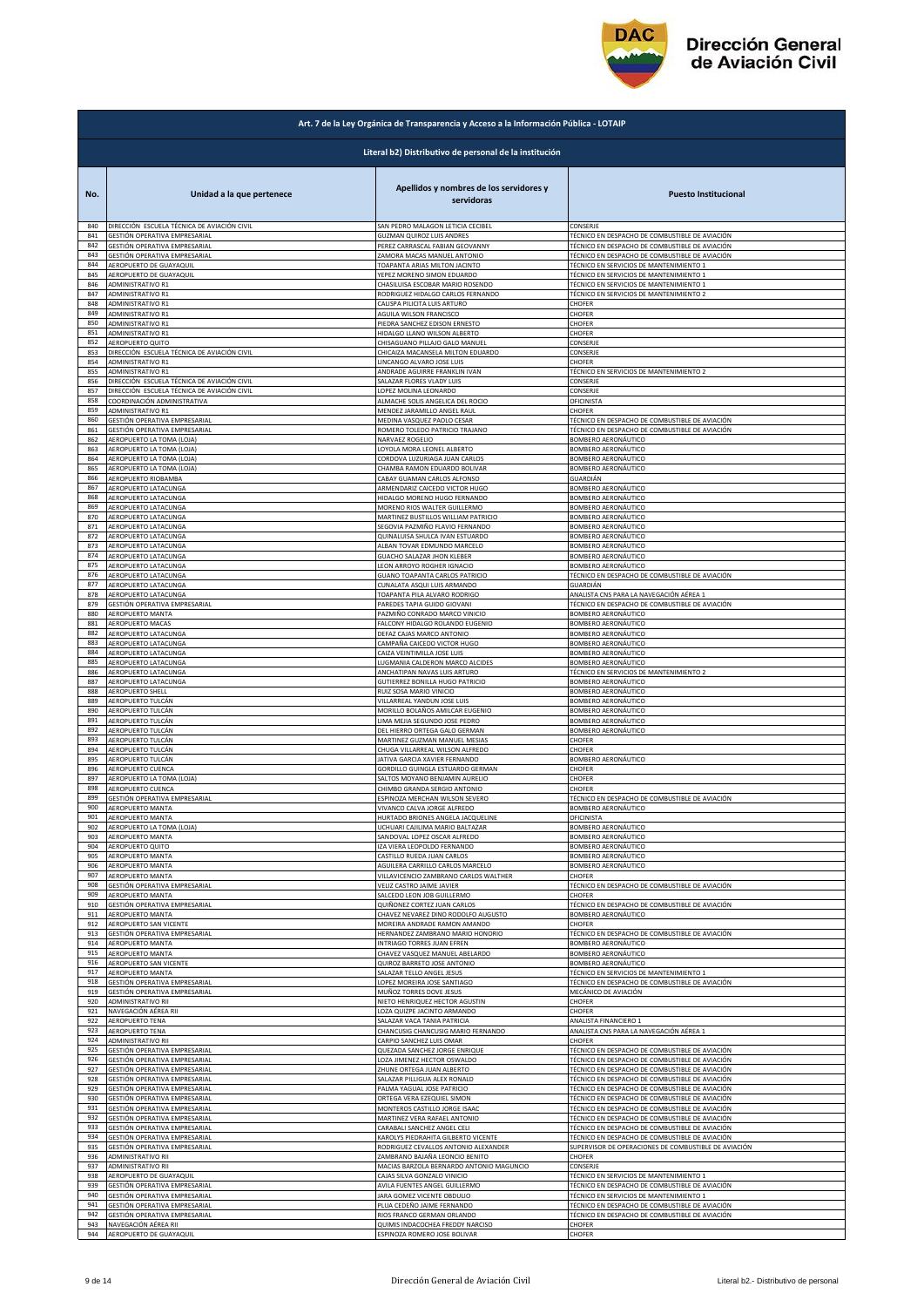

|            | Art. 7 de la Ley Orgánica de Transparencia y Acceso a la Información Pública - LOTAIP |                                                                    |                                                                |  |
|------------|---------------------------------------------------------------------------------------|--------------------------------------------------------------------|----------------------------------------------------------------|--|
|            | Literal b2) Distributivo de personal de la institución                                |                                                                    |                                                                |  |
| No.        | Unidad a la que pertenece                                                             | Apellidos y nombres de los servidores y<br>servidoras              | <b>Puesto Institucional</b>                                    |  |
| 840        | DIRECCIÓN ESCUELA TÉCNICA DE AVIACIÓN CIVIL                                           | SAN PEDRO MALAGON LETICIA CECIBEL                                  | CONSERJE                                                       |  |
| 841        | GESTIÓN OPERATIVA EMPRESARIAL                                                         | GUZMAN QUIROZ LUIS ANDRES                                          | TÉCNICO EN DESPACHO DE COMBUSTIBLE DE AVIACIÓN                 |  |
| 842        | GESTIÓN OPERATIVA EMPRESARIAL                                                         | PEREZ CARRASCAL FABIAN GEOVANNY                                    | TÉCNICO EN DESPACHO DE COMBUSTIBLE DE AVIACIÓN                 |  |
| 843        | GESTIÓN OPERATIVA EMPRESARIAL                                                         | ZAMORA MACAS MANUEL ANTONIO                                        | TÉCNICO EN DESPACHO DE COMBUSTIBLE DE AVIACIÓN                 |  |
| 844        | AEROPUERTO DE GUAYAQUIL                                                               | TOAPANTA ARIAS MILTON JACINTO                                      | TÉCNICO EN SERVICIOS DE MANTENIMIENTO 1                        |  |
| 845        | AEROPUERTO DE GUAYAQUIL                                                               | YEPEZ MORENO SIMON EDUARDO                                         | TÉCNICO EN SERVICIOS DE MANTENIMIENTO 1                        |  |
| 846        | ADMINISTRATIVO R1                                                                     | CHASILUISA ESCOBAR MARIO ROSENDO                                   | TÉCNICO EN SERVICIOS DE MANTENIMIENTO 1                        |  |
| 847        | <b>ADMINISTRATIVO R1</b>                                                              | RODRIGUEZ HIDALGO CARLOS FERNANDO                                  | TÉCNICO EN SERVICIOS DE MANTENIMIENTO 2                        |  |
| 848        | <b>ADMINISTRATIVO R1</b>                                                              | CALISPA PILICITA LUIS ARTURO                                       | CHOFER                                                         |  |
| 849        | ADMINISTRATIVO R1                                                                     | AGUILA WILSON FRANCISCO                                            | CHOFER                                                         |  |
| 850        | ADMINISTRATIVO R1                                                                     | PIEDRA SANCHEZ EDISON ERNESTO                                      | CHOFER                                                         |  |
| 851        | ADMINISTRATIVO R1                                                                     | HIDALGO LLANO WILSON ALBERTO                                       | CHOFER                                                         |  |
| 852        | AEROPUERTO QUITO                                                                      | CHISAGUANO PILLAJO GALO MANUEL                                     | CONSERJE                                                       |  |
| 853<br>854 | DIRECCIÓN ESCUELA TÉCNICA DE AVIACIÓN CIVIL                                           | CHICAIZA MACANSELA MILTON EDUARDO                                  | CONSERJE<br>CHOFER                                             |  |
| 855        | ADMINISTRATIVO R1<br>ADMINISTRATIVO R1                                                | LINCANGO ALVARO JOSE LUIS<br>ANDRADE AGUIRRE FRANKLIN IVAN         | TÉCNICO EN SERVICIOS DE MANTENIMIENTO 2                        |  |
| 856        | DIRECCIÓN ESCUELA TÉCNICA DE AVIACIÓN CIVIL                                           | SALAZAR FLORES VLADY LUIS                                          | CONSERJE                                                       |  |
| 857        | DIRECCIÓN ESCUELA TÉCNICA DE AVIACIÓN CIVIL                                           | LOPEZ MOLINA LEONARDO                                              | CONSERJE                                                       |  |
| 858        | COORDINACIÓN ADMINISTRATIVA                                                           | ALMACHE SOLIS ANGELICA DEL ROCIO                                   | OFICINISTA                                                     |  |
| 859        | ADMINISTRATIVO R1                                                                     | MENDEZ JARAMILLO ANGEL RAUL                                        | CHOFER                                                         |  |
| 860        | GESTIÓN OPERATIVA EMPRESARIAL                                                         | MEDINA VASQUEZ PAOLO CESAR                                         | TÉCNICO EN DESPACHO DE COMBUSTIBLE DE AVIACIÓN                 |  |
| 861        | GESTIÓN OPERATIVA EMPRESARIAL                                                         | ROMERO TOLEDO PATRICIO TRAJANO                                     | TÉCNICO EN DESPACHO DE COMBUSTIBLE DE AVIACIÓN                 |  |
| 862        | AEROPUERTO LA TOMA (LOJA)                                                             | NARVAEZ ROGELIO                                                    | BOMBERO AERONÁUTICO                                            |  |
| 863        | AEROPUERTO LA TOMA (LOJA)                                                             | LOYOLA MORA LEONEL ALBERTO                                         | BOMBERO AERONÁUTICO                                            |  |
| 864        | AEROPUERTO LA TOMA (LOJA)                                                             | CORDOVA LUZURIAGA JUAN CARLOS                                      | BOMBERO AERONÁUTICO                                            |  |
| 865        | AEROPUERTO LA TOMA (LOJA)                                                             | CHAMBA RAMON EDUARDO BOLIVAR                                       | BOMBERO AERONÁUTICO                                            |  |
| 866        | AEROPUERTO RIOBAMBA                                                                   | CABAY GUAMAN CARLOS ALFONSO                                        | GUARDIÁN                                                       |  |
| 867        | AEROPUERTO LATACUNGA                                                                  | ARMENDARIZ CAICEDO VICTOR HUGO                                     | BOMBERO AERONÁUTICO                                            |  |
| 868        | AEROPUERTO LATACUNGA                                                                  | HIDALGO MORENO HUGO FERNANDO                                       | BOMBERO AERONÁUTICO                                            |  |
| 869        | AEROPUERTO LATACUNGA                                                                  | MORENO RIOS WALTER GUILLERMO                                       | BOMBERO AERONÁUTICO                                            |  |
| 870        | AEROPUERTO LATACUNGA                                                                  | MARTINEZ BUSTILLOS WILLIAM PATRICIO                                | BOMBERO AERONÁUTICO                                            |  |
| 871        | AEROPUERTO LATACUNGA                                                                  | SEGOVIA PAZMIÑO FLAVIO FERNANDO                                    | BOMBERO AERONÁUTICO                                            |  |
| 872        | AEROPUERTO LATACUNGA                                                                  | QUINALUISA SHULCA IVAN ESTUARDO                                    | <b>BOMBERO AERONÁUTICO</b>                                     |  |
| 873        | AEROPUERTO LATACUNGA                                                                  | ALBAN TOVAR EDMUNDO MARCELO                                        | BOMBERO AERONÁUTICO                                            |  |
| 874        | AEROPUERTO LATACUNGA                                                                  | GUACHO SALAZAR JHON KLEBER                                         | BOMBERO AERONÁUTICO                                            |  |
| 875        | AEROPUERTO LATACUNGA                                                                  | LEON ARROYO ROGHER IGNACIO                                         | BOMBERO AERONÁUTICO                                            |  |
| 876        | AEROPUERTO LATACUNGA                                                                  | GUANO TOAPANTA CARLOS PATRICIO                                     | TÉCNICO EN DESPACHO DE COMBUSTIBLE DE AVIACIÓN                 |  |
| 877        | AEROPUERTO LATACUNGA                                                                  | CUNALATA ASQUI LUIS ARMANDO                                        | GUARDIÁN                                                       |  |
| 878        | AEROPUERTO LATACUNGA                                                                  | TOAPANTA PILA ALVARO RODRIGO                                       | ANALISTA CNS PARA LA NAVEGACIÓN AÉREA 1                        |  |
| 879        | GESTIÓN OPERATIVA EMPRESARIAL                                                         | PAREDES TAPIA GUIDO GIOVANI                                        | TÉCNICO EN DESPACHO DE COMBUSTIBLE DE AVIACIÓN                 |  |
| 880        | AEROPUERTO MANTA                                                                      | PAZMIÑO CONRADO MARCO VINICIO                                      | BOMBERO AERONÁUTICO                                            |  |
| 881        | AEROPUERTO MACAS                                                                      | FALCONY HIDALGO ROLANDO EUGENIO                                    | BOMBERO AERONÁUTICO                                            |  |
| 882        | AEROPUERTO LATACUNGA                                                                  | DEFAZ CAJAS MARCO ANTONIO                                          | BOMBERO AERONÁUTICO                                            |  |
| 883        | AEROPUERTO LATACUNGA                                                                  | CAMPAÑA CAICEDO VICTOR HUGO                                        | BOMBERO AERONÁUTICO                                            |  |
| 884        | AEROPUERTO LATACUNGA                                                                  | CAIZA VEINTIMILLA JOSE LUIS                                        | BOMBERO AERONÁUTICO                                            |  |
| 885<br>886 | AEROPUERTO LATACUNGA                                                                  | LUGMANIA CALDERON MARCO ALCIDES                                    | BOMBERO AERONÁUTICO<br>TÉCNICO EN SERVICIOS DE MANTENIMIENTO 2 |  |
| 887        | AEROPUERTO LATACUNGA<br>AEROPUERTO LATACUNGA                                          | ANCHATIPAN NAVAS LUIS ARTURO<br>GUTIERREZ BONILLA HUGO PATRICIO    | BOMBERO AERONÁUTICO                                            |  |
| 888        | <b>AEROPUERTO SHELL</b>                                                               | RUIZ SOSA MARIO VINICIO                                            | BOMBERO AERONÁUTICO                                            |  |
| 889        | AEROPUERTO TULCÁN                                                                     | VILLARREAL YANDUN JOSE LUIS                                        | BOMBERO AERONÁUTICO                                            |  |
| 890        | AEROPUERTO TULCÁN                                                                     | MORILLO BOLAÑOS AMILCAR EUGENIO                                    | BOMBERO AERONÁUTICO                                            |  |
| 891        | AEROPUERTO TULCÁN                                                                     | LIMA MEJIA SEGUNDO JOSE PEDRO                                      | BOMBERO AERONÁUTICO                                            |  |
| 892        | AEROPUERTO TULCÁN                                                                     | DEL HIERRO ORTEGA GALO GERMAN                                      | BOMBERO AERONÁUTICO                                            |  |
| 893        | AEROPUERTO TULCÁN                                                                     | MARTINEZ GUZMAN MANUEL MESIAS                                      | CHOFER                                                         |  |
| 894        | AEROPUERTO TULCÁN                                                                     | CHUGA VILLARREAL WILSON ALFREDO                                    | CHOFER                                                         |  |
| 895        | AEROPUERTO TULCÁN                                                                     | JATIVA GARCIA XAVIER FERNANDO                                      | BOMBERO AERONÁUTICO                                            |  |
| 896        | AEROPUERTO CUENCA                                                                     | GORDILLO GUINGLA ESTUARDO GERMAN<br>SALTOS MOYANO BENJAMIN AURELIO | CHOFER                                                         |  |
| 897        | AEROPUERTO LA TOMA (LOJA)                                                             | CHIMBO GRANDA SERGIO ANTONIO                                       | CHOFER                                                         |  |
| 898        | AEROPUERTO CUENCA                                                                     |                                                                    | CHOFER                                                         |  |
| 899        | GESTIÓN OPERATIVA EMPRESARIAL                                                         | ESPINOZA MERCHAN WILSON SEVERO                                     | TÉCNICO EN DESPACHO DE COMBUSTIBLE DE AVIACIÓN                 |  |
|            | AEROPUERTO MANT.                                                                      | VIVANCO CALVA JORGE ALFREDO                                        | BOMBERO AERONÁUTIC                                             |  |
| 901        | AEROPUERTO MANTA                                                                      | HURTADO BRIONES ANGELA JACQUELINE                                  | OFICINISTA                                                     |  |
| 902        | AEROPUERTO LA TOMA (LOJA)                                                             | JCHUARI CAJILIMA MARIO BALTAZAR                                    | BOMBERO AERONÁUTICO                                            |  |
| 903        | AEROPUERTO MANTA                                                                      | SANDOVAL LOPEZ OSCAR ALFREDO                                       | <b>BOMBERO AERONÁUTICO</b>                                     |  |
| 904        | AEROPUERTO QUITO                                                                      | ZA VIERA LEOPOLDO FERNANDO                                         | BOMBERO AERONÁUTICO                                            |  |
| 905<br>906 | <b>AEROPUERTO MANTA</b>                                                               | CASTILLO RUEDA JUAN CARLOS<br>AGUILERA CARRILLO CARLOS MARCELO     | BOMBERO AERONÁUTICO                                            |  |
| 907        | AEROPUERTO MANTA<br>AEROPUERTO MANTA                                                  | VILLAVICENCIO ZAMBRANO CARLOS WALTHER                              | BOMBERO AERONÁUTICO<br>CHOFER                                  |  |
| 908        | GESTIÓN OPERATIVA EMPRESARIAL                                                         | VELIZ CASTRO JAIME JAVIER                                          | TÉCNICO EN DESPACHO DE COMBUSTIBLE DE AVIACIÓN                 |  |
| 909        | AEROPUERTO MANTA                                                                      | SALCEDO LEON JOB GUILLERMO                                         | CHOFER                                                         |  |
| 910        | GESTIÓN OPERATIVA EMPRESARIAL                                                         | QUIÑONEZ CORTEZ JUAN CARLOS                                        | TÉCNICO EN DESPACHO DE COMBUSTIBLE DE AVIACIÓN                 |  |
| 911        | AEROPUERTO MANTA                                                                      | CHAVEZ NEVAREZ DINO RODOLFO AUGUSTO                                | <b>BOMBERO AERONÁUTICO</b>                                     |  |
| 912        | AEROPUERTO SAN VICENTE                                                                | MOREIRA ANDRADE RAMON AMANDO                                       | CHOFER                                                         |  |
| 913        | GESTIÓN OPERATIVA EMPRESARIAL                                                         | HERNANDEZ ZAMBRANO MARIO HONORIO                                   | TÉCNICO EN DESPACHO DE COMBUSTIBLE DE AVIACIÓN                 |  |
| 914        | AEROPUERTO MANTA                                                                      | INTRIAGO TORRES JUAN EFREN                                         | BOMBERO AERONÁUTICO                                            |  |
| 915        | AEROPUERTO MANTA                                                                      | CHAVEZ VASQUEZ MANUEL ABELARDO                                     | BOMBERO AERONÁUTICO                                            |  |
| 916        | AEROPUERTO SAN VICENTE                                                                | QUIROZ BARRETO JOSE ANTONIO                                        | BOMBERO AERONÁUTICO                                            |  |
| 917        | AEROPUERTO MANTA                                                                      | SALAZAR TELLO ANGEL JESUS                                          | TÉCNICO EN SERVICIOS DE MANTENIMIENTO 1                        |  |
| 918        | GESTIÓN OPERATIVA EMPRESARIAL                                                         | LOPEZ MOREIRA JOSE SANTIAGO                                        | TÉCNICO EN DESPACHO DE COMBUSTIBLE DE AVIACIÓN                 |  |
| 919        | GESTIÓN OPERATIVA EMPRESARIAL                                                         | MUÑOZ TORRES DOVE JESUS                                            | MECÁNICO DE AVIACIÓN                                           |  |
| 920        | ADMINISTRATIVO RII                                                                    | NIETO HENRIQUEZ HECTOR AGUSTIN                                     | CHOFER                                                         |  |
| 921        | NAVEGACIÓN AÉREA RII                                                                  | LOZA QUIZPE JACINTO ARMANDO                                        | CHOFER                                                         |  |
| 922        | AEROPUERTO TENA                                                                       | SALAZAR VACA TANIA PATRICIA                                        | ANALISTA FINANCIERO 1                                          |  |
| 923        | AEROPUERTO TENA                                                                       | CHANCUSIG CHANCUSIG MARIO FERNANDO                                 | ANALISTA CNS PARA LA NAVEGACIÓN AÉREA 1                        |  |
| 924        | ADMINISTRATIVO RII                                                                    | CARPIO SANCHEZ LUIS OMAR                                           | CHOFER                                                         |  |
| 925<br>926 | GESTIÓN OPERATIVA EMPRESARIAL                                                         | QUEZADA SANCHEZ JORGE ENRIQUE                                      | TÉCNICO EN DESPACHO DE COMBUSTIBLE DE AVIACIÓN                 |  |
| 927        | GESTIÓN OPERATIVA EMPRESARIAL                                                         | LOZA JIMENEZ HECTOR OSWALDO                                        | TÉCNICO EN DESPACHO DE COMBUSTIBLE DE AVIACIÓN                 |  |
|            | GESTIÓN OPERATIVA EMPRESARIAL                                                         | ZHUNE ORTEGA JUAN ALBERTO                                          | TÉCNICO EN DESPACHO DE COMBUSTIBLE DE AVIACIÓN                 |  |
| 928        | GESTIÓN OPERATIVA EMPRESARIAL                                                         | SALAZAR PILLIGUA ALEX RONALD                                       | TÉCNICO EN DESPACHO DE COMBUSTIBLE DE AVIACIÓN                 |  |
| 929        | GESTIÓN OPERATIVA EMPRESARIAL                                                         | PALMA YAGUAL JOSE PATRICIO                                         | TÉCNICO EN DESPACHO DE COMBUSTIBLE DE AVIACIÓN                 |  |
| 930        | GESTIÓN OPERATIVA EMPRESARIAL                                                         | ORTEGA VERA EZEQUIEL SIMON                                         | TÉCNICO EN DESPACHO DE COMBUSTIBLE DE AVIACIÓN                 |  |
| 931        | GESTIÓN OPERATIVA EMPRESARIAL                                                         | MONTEROS CASTILLO JORGE ISAAC                                      | TÉCNICO EN DESPACHO DE COMBUSTIBLE DE AVIACIÓN                 |  |
| 932        | GESTIÓN OPERATIVA EMPRESARIAL                                                         | MARTINEZ VERA RAFAEL ANTONIO                                       | TÉCNICO EN DESPACHO DE COMBUSTIBLE DE AVIACIÓN                 |  |
| 933        | GESTIÓN OPERATIVA EMPRESARIAL                                                         | CARABALI SANCHEZ ANGEL CELI                                        | TÉCNICO EN DESPACHO DE COMBUSTIBLE DE AVIACIÓN                 |  |
| 934        | GESTIÓN OPERATIVA EMPRESARIAL                                                         | KAROLYS PIEDRAHITA GILBERTO VICENTE                                | TÉCNICO EN DESPACHO DE COMBUSTIBLE DE AVIACIÓN                 |  |
| 935        | GESTIÓN OPERATIVA EMPRESARIAL                                                         | RODRIGUEZ CEVALLOS ANTONIO ALEXANDER                               | SUPERVISOR DE OPERACIONES DE COMBUSTIBLE DE AVIACIÓN           |  |
| 936        | ADMINISTRATIVO RII                                                                    | ZAMBRANO BAJAÑA LEONCIO BENITO                                     | CHOFER                                                         |  |
| 937        | ADMINISTRATIVO RII                                                                    | MACIAS BARZOLA BERNARDO ANTONIO MAGUNCIO                           | CONSERJE                                                       |  |
| 938        | AEROPUERTO DE GUAYAQUIL                                                               | CAJAS SILVA GONZALO VINICIO                                        | TÉCNICO EN SERVICIOS DE MANTENIMIENTO 1                        |  |
| 939        | GESTIÓN OPERATIVA EMPRESARIAL                                                         | AVILA FUENTES ANGEL GUILLERMO                                      | TÉCNICO EN DESPACHO DE COMBUSTIBLE DE AVIACIÓN                 |  |
| 940        | GESTIÓN OPERATIVA EMPRESARIAL                                                         | JARA GOMEZ VICENTE OBDULIO                                         | TÉCNICO EN SERVICIOS DE MANTENIMIENTO 1                        |  |
| 941        | GESTIÓN OPERATIVA EMPRESARIAL                                                         | PLUA CEDEÑO JAIME FERNANDO                                         | TÉCNICO EN DESPACHO DE COMBUSTIBLE DE AVIACIÓN                 |  |
| 942        | GESTIÓN OPERATIVA EMPRESARIAL                                                         | RIOS FRANCO GERMAN ORLANDO                                         | TÉCNICO EN DESPACHO DE COMBUSTIBLE DE AVIACIÓN                 |  |
| 943        | NAVEGACIÓN AÉREA RII                                                                  | QUIMIS INDACOCHEA FREDDY NARCISO                                   | CHOFER                                                         |  |
| 944        | AEROPUERTO DE GUAYAQUIL                                                               | ESPINOZA ROMERO JOSE BOLIVAR                                       | CHOFER                                                         |  |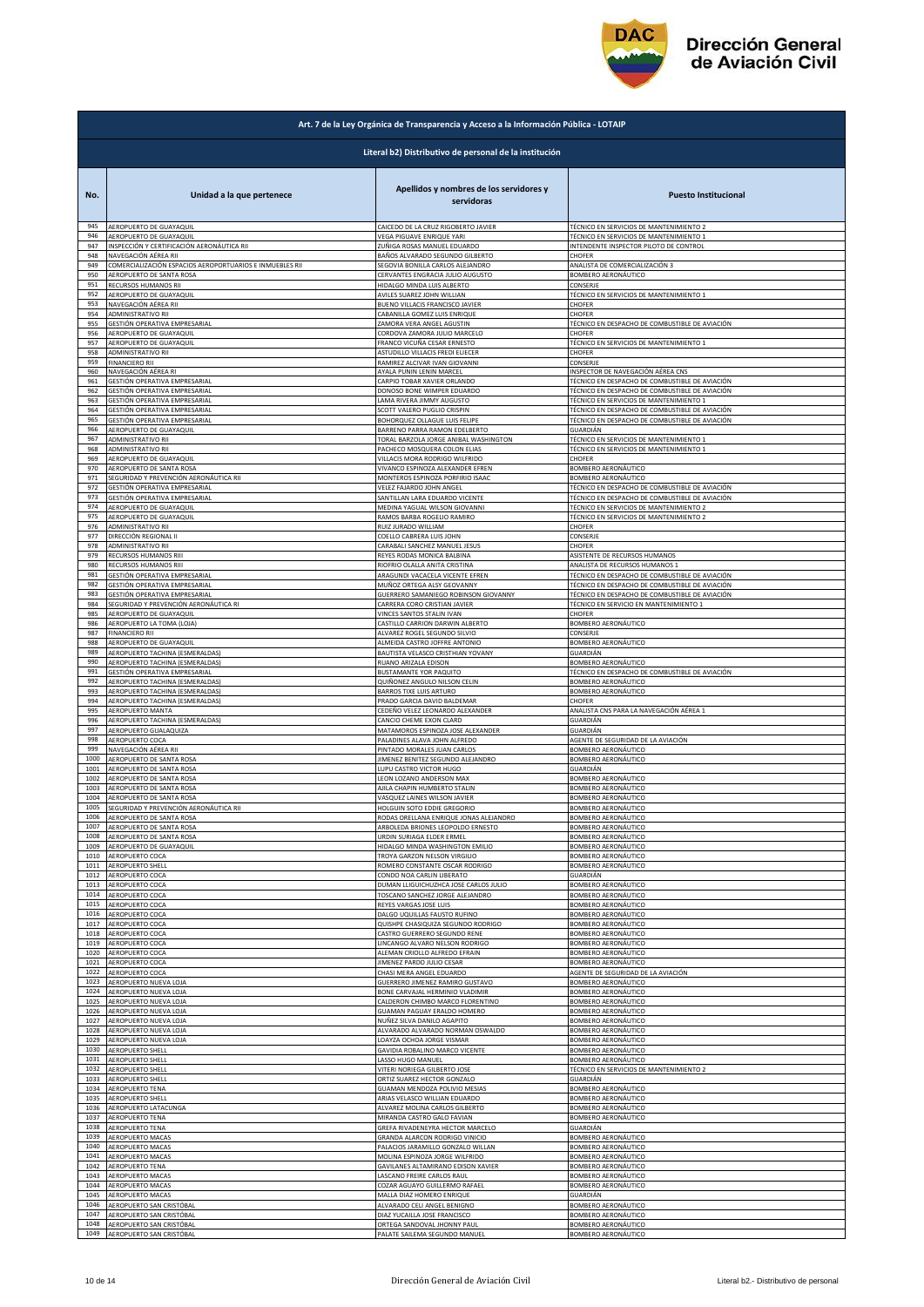

|      | Art. 7 de la Ley Orgánica de Transparencia y Acceso a la Información Pública - LOTAIP |                                                       |                                                |  |
|------|---------------------------------------------------------------------------------------|-------------------------------------------------------|------------------------------------------------|--|
|      | Literal b2) Distributivo de personal de la institución                                |                                                       |                                                |  |
| No.  | Unidad a la que pertenece                                                             | Apellidos y nombres de los servidores y<br>servidoras | <b>Puesto Institucional</b>                    |  |
| 945  | AEROPUERTO DE GUAYAQUIL                                                               | CAICEDO DE LA CRUZ RIGOBERTO JAVIER                   | TÉCNICO EN SERVICIOS DE MANTENIMIENTO 2        |  |
| 946  | AEROPUERTO DE GUAYAQUIL                                                               | VEGA PIGUAVE ENRIQUE YARI                             | TÉCNICO EN SERVICIOS DE MANTENIMIENTO 1        |  |
| 947  | INSPECCIÓN Y CERTIFICACIÓN AERONÁUTICA RII                                            | ZUÑIGA ROSAS MANUEL EDUARDO                           | INTENDENTE INSPECTOR PILOTO DE CONTROL         |  |
| 948  | NAVEGACIÓN AÉREA RII                                                                  | BAÑOS ALVARADO SEGUNDO GILBERTO                       | CHOFER                                         |  |
| 949  | COMERCIALIZACIÓN ESPACIOS AEROPORTUARIOS E INMUEBLES RII                              | SEGOVIA BONILLA CARLOS ALEJANDRO                      | ANALISTA DE COMERCIALIZACIÓN 3                 |  |
| 950  | AEROPUERTO DE SANTA ROSA                                                              | CERVANTES ENGRACIA JULIO AUGUSTO                      | BOMBERO AERONÁUTICO                            |  |
| 951  | RECURSOS HUMANOS RII                                                                  | HIDALGO MINDA LUIS ALBERTO                            | CONSERJE                                       |  |
| 952  | AEROPUERTO DE GUAYAQUIL                                                               | AVILES SUAREZ JOHN WILLIAN                            | TÉCNICO EN SERVICIOS DE MANTENIMIENTO 1        |  |
| 953  | NAVEGACIÓN AÉREA RII                                                                  | BUENO VILLACIS FRANCISCO JAVIER                       | CHOFER                                         |  |
| 954  | ADMINISTRATIVO RII                                                                    | CABANILLA GOMEZ LUIS ENRIQUE                          | CHOFER                                         |  |
| 955  | GESTIÓN OPERATIVA EMPRESARIAL                                                         | ZAMORA VERA ANGEL AGUSTIN                             | TÉCNICO EN DESPACHO DE COMBUSTIBLE DE AVIACIÓN |  |
| 956  | AEROPUERTO DE GUAYAQUIL                                                               | CORDOVA ZAMORA JULIO MARCELO                          | CHOFER                                         |  |
| 957  | AEROPUERTO DE GUAYAQUIL                                                               | FRANCO VICUÑA CESAR ERNESTO                           | TÉCNICO EN SERVICIOS DE MANTENIMIENTO 1        |  |
| 958  | ADMINISTRATIVO RII                                                                    | ASTUDILLO VILLACIS FREDI ELIECER                      | CHOFER                                         |  |
| 959  | <b>FINANCIERO RII</b>                                                                 | RAMIREZ ALCIVAR IVAN GIOVANNI                         | CONSERJE                                       |  |
| 960  | NAVEGACIÓN AÉREA RI                                                                   | AYALA PUNIN LENIN MARCEL                              | INSPECTOR DE NAVEGACIÓN AÉREA CNS              |  |
| 961  | GESTIÓN OPERATIVA EMPRESARIAL                                                         | CARPIO TOBAR XAVIER ORLANDO                           | TÉCNICO EN DESPACHO DE COMBUSTIBLE DE AVIACIÓN |  |
| 962  | GESTIÓN OPERATIVA EMPRESARIAL                                                         | DONOSO BONE WIMPER EDUARDO                            | TÉCNICO EN DESPACHO DE COMBUSTIBLE DE AVIACIÓN |  |
| 963  | SESTIÓN OPERATIVA EMPRESARIAL                                                         | AMA RIVERA JIMMY AUGUSTO                              | TÉCNICO EN SERVICIOS DE MANTENIMIENTO 1        |  |
| 964  | GESTIÓN OPERATIVA EMPRESARIAL                                                         | SCOTT VALERO PUGLIO CRISPIN                           | TÉCNICO EN DESPACHO DE COMBUSTIBLE DE AVIACIÓN |  |
| 965  | GESTIÓN OPERATIVA EMPRESARIAL                                                         | BOHORQUEZ OLLAGUE LUIS FELIPE                         | TÉCNICO EN DESPACHO DE COMBUSTIBLE DE AVIACIÓN |  |
| 966  | AEROPUERTO DE GUAYAQUIL                                                               | BARRENO PARRA RAMON EDELBERTO                         | GUARDIÁN                                       |  |
| 967  | ADMINISTRATIVO RII                                                                    | TORAL BARZOLA JORGE ANIBAL WASHINGTON                 | TÉCNICO EN SERVICIOS DE MANTENIMIENTO 1        |  |
| 968  | ADMINISTRATIVO RII                                                                    | PACHECO MOSQUERA COLON ELIAS                          | TÉCNICO EN SERVICIOS DE MANTENIMIENTO 1        |  |
| 969  | AEROPUERTO DE GUAYAQUIL                                                               | VILLACIS MORA RODRIGO WILFRIDO                        | CHOFER                                         |  |
| 970  | AEROPUERTO DE SANTA ROSA                                                              | VIVANCO ESPINOZA ALEXANDER EFREN                      | BOMBERO AERONÁUTICO                            |  |
| 971  | SEGURIDAD Y PREVENCIÓN AERONÁUTICA RII                                                | MONTEROS ESPINOZA PORFIRIO ISAAC                      | <b>BOMBERO AERONÁUTICO</b>                     |  |
| 972  | GESTIÓN OPERATIVA EMPRESARIAL                                                         | VELEZ FAJARDO JOHN ANGEL                              | TÉCNICO EN DESPACHO DE COMBUSTIBLE DE AVIACIÓN |  |
| 973  | GESTIÓN OPERATIVA EMPRESARIAL                                                         | SANTILLAN LARA EDUARDO VICENTE                        | TÉCNICO EN DESPACHO DE COMBUSTIBLE DE AVIACIÓN |  |
| 974  | AEROPUERTO DE GUAYAQUIL                                                               | MEDINA YAGUAL WILSON GIOVANNI                         | TÉCNICO EN SERVICIOS DE MANTENIMIENTO 2        |  |
| 975  | AEROPUERTO DE GUAYAQUIL                                                               | RAMOS BARBA ROGELIO RAMIRO                            | TÉCNICO EN SERVICIOS DE MANTENIMIENTO 2        |  |
| 976  | ADMINISTRATIVO RII                                                                    | RUIZ JURADO WILLIAM                                   | CHOFER                                         |  |
| 977  | DIRECCIÓN REGIONAL II                                                                 | COELLO CABRERA LUIS JOHN                              | CONSERJE                                       |  |
| 978  | ADMINISTRATIVO RII                                                                    | CARABALI SANCHEZ MANUEL JESUS                         | CHOFER                                         |  |
| 979  | RECURSOS HUMANOS RIII                                                                 | REYES RODAS MONICA BALBINA                            | ASISTENTE DE RECURSOS HUMANOS                  |  |
| 980  | RECURSOS HUMANOS RIII                                                                 | RIOFRIO OLALLA ANITA CRISTINA                         | ANALISTA DE RECURSOS HUMANOS 1                 |  |
| 981  | GESTIÓN OPERATIVA EMPRESARIAL                                                         | ARAGUNDI VACACELA VICENTE EFREN                       | TÉCNICO EN DESPACHO DE COMBUSTIBLE DE AVIACIÓN |  |
| 982  | GESTIÓN OPERATIVA EMPRESARIAL                                                         | MUÑOZ ORTEGA ALSY GEOVANNY                            | TÉCNICO EN DESPACHO DE COMBUSTIBLE DE AVIACIÓN |  |
| 983  | GESTIÓN OPERATIVA EMPRESARIAL                                                         | GUERRERO SAMANIEGO ROBINSON GIOVANNY                  | TÉCNICO EN DESPACHO DE COMBUSTIBLE DE AVIACIÓN |  |
| 984  | SEGURIDAD Y PREVENCIÓN AERONÁUTICA RI                                                 | CARRERA CORO CRISTIAN JAVIER                          | TÉCNICO EN SERVICIO EN MANTENIMIENTO 1         |  |
| 985  | AEROPUERTO DE GUAYAQUIL                                                               | VINCES SANTOS STALIN IVAN                             | CHOFER                                         |  |
| 986  | AEROPUERTO LA TOMA (LOJA)                                                             | CASTILLO CARRION DARWIN ALBERTO                       | BOMBERO AERONÁUTICO                            |  |
| 987  | FINANCIERO RII                                                                        | ALVAREZ ROGEL SEGUNDO SILVIO                          | CONSERJE                                       |  |
| 988  | AEROPUERTO DE GUAYAQUIL                                                               | ALMEIDA CASTRO JOFFRE ANTONIO                         | BOMBERO AERONÁUTICO                            |  |
| 989  | AEROPUERTO TACHINA (ESMERALDAS)                                                       | BAUTISTA VELASCO CRISTHIAN YOVANY                     | GUARDIÁN                                       |  |
| 990  | AEROPUERTO TACHINA (ESMERALDAS)                                                       | RUANO ARIZALA EDISON                                  | BOMBERO AERONÁUTICO                            |  |
| 991  | GESTIÓN OPERATIVA EMPRESARIAL                                                         | BUSTAMANTE YOR PAQUITO                                | TÉCNICO EN DESPACHO DE COMBUSTIBLE DE AVIACIÓN |  |
| 992  | AEROPUERTO TACHINA (ESMERALDAS)                                                       | QUIÑONEZ ANGULO NILSON CELIN                          | BOMBERO AERONÁUTICO                            |  |
| 993  | AEROPUERTO TACHINA (ESMERALDAS)                                                       | BARROS TIXE LUIS ARTURO                               | BOMBERO AERONÁUTICO                            |  |
| 994  | AEROPUERTO TACHINA (ESMERALDAS)                                                       | PRADO GARCIA DAVID BALDEMAR                           | CHOFER                                         |  |
| 995  | AEROPUERTO MANTA                                                                      | CEDEÑO VELEZ LEONARDO ALEXANDER                       | ANALISTA CNS PARA LA NAVEGACIÓN AÉREA 1        |  |
| 996  | AEROPUERTO TACHINA (ESMERALDAS)                                                       | CANCIO CHEME EXON CLARD                               | GUARDIÁN                                       |  |
| 997  | AEROPUERTO GUALAQUIZA                                                                 | MATAMOROS ESPINOZA JOSE ALEXANDER                     | GUARDIÁN                                       |  |
| 998  | AEROPUERTO COCA                                                                       | PALADINES ALAVA JOHN ALFREDO                          | AGENTE DE SEGURIDAD DE LA AVIACIÓN             |  |
| 999  | NAVEGACIÓN AÉREA RII                                                                  | PINTADO MORALES JUAN CARLOS                           | BOMBERO AERONÁUTICO                            |  |
| 1000 | AEROPUERTO DE SANTA ROSA                                                              | IIMENEZ BENITEZ SEGUNDO ALEJANDRO                     | BOMBERO AERONÁUTICO                            |  |
| 1001 | AEROPUERTO DE SANTA ROSA                                                              | LUPU CASTRO VICTOR HUGO                               | GUARDIÁN                                       |  |
| 1002 | AEROPUERTO DE SANTA ROSA                                                              | LEON LOZANO ANDERSON MAX                              | BOMBERO AERONÁUTICO                            |  |
| 1003 | AEROPUERTO DE SANTA ROSA                                                              | AJILA CHAPIN HUMBERTO STALIN                          | BOMBERO AERONÁUTICO                            |  |
| 1004 | AEROPUERTO DE SANTA ROSA                                                              | VASQUEZ LAINES WILSON JAVIER                          | BOMBERO AERONÁUTICO                            |  |
| 1005 | SEGURIDAD Y PREVENCIÓN AERONÁUTICA RII                                                | HOLGUIN SOTO EDDIE GREGORIO                           | BOMBERO AERONÁUTICO                            |  |
| 1006 | AEROPUERTO DE SANTA ROSA                                                              | RODAS ORELLANA ENRIQUE JONAS ALEJANDRO                | BOMBERO AERONÁUTICO                            |  |
| 1007 | AEROPUERTO DE SANTA ROSA                                                              | ARBOLEDA BRIONES LEOPOLDO ERNESTO                     | BOMBERO AERONÁUTICO                            |  |
| 1008 | AEROPUERTO DE SANTA ROSA                                                              | URDIN SURIAGA ELDER ERMEL                             | BOMBERO AERONÁUTICO                            |  |
| 1009 | AEROPUERTO DE GUAYAQUIL                                                               | HIDALGO MINDA WASHINGTON EMILIO                       | BOMBERO AERONÁUTICO                            |  |
| 1010 | AEROPUERTO COCA                                                                       | TROYA GARZON NELSON VIRGILIO                          | BOMBERO AERONÁUTICO                            |  |
| 1011 | AEROPUERTO SHELI                                                                      | ROMERO CONSTANTE OSCAR RODRIGO                        | BOMBERO AERONÁUTICO                            |  |
| 1012 | AEROPUERTO COCA                                                                       | CONDO NOA CARLIN LIBERATO                             | GUARDIÁN                                       |  |
| 1013 | AEROPUERTO COCA                                                                       | DUMAN LLIGUICHUZHCA JOSE CARLOS JULIO                 | BOMBERO AERONÁUTICO                            |  |
| 1014 | AEROPUERTO COCA                                                                       | TOSCANO SANCHEZ JORGE ALEJANDRO                       | BOMBERO AERONÁUTICO                            |  |
| 1015 | AEROPUERTO COCA                                                                       | REYES VARGAS JOSE LUIS                                | BOMBERO AERONÁUTICO                            |  |
| 1016 | AEROPUERTO COCA                                                                       | DALGO UQUILLAS FAUSTO RUFINO                          | BOMBERO AERONÁUTICO                            |  |
| 1017 | AEROPUERTO COCA                                                                       | QUISHPE CHASIQUIZA SEGUNDO RODRIGO                    | BOMBERO AERONÁUTICO                            |  |
| 1018 | AEROPUERTO COCA                                                                       | CASTRO GUERRERO SEGUNDO RENE                          | BOMBERO AERONÁUTICO                            |  |
| 1019 | AEROPUERTO COCA                                                                       | LINCANGO ALVARO NELSON RODRIGO                        | BOMBERO AERONÁUTICO                            |  |
| 1020 | AEROPUERTO COCA                                                                       | ALEMAN CRIOLLO ALFREDO EFRAIN                         | BOMBERO AERONÁUTICO                            |  |
| 1021 | AEROPUERTO COCA                                                                       | <b>IIMENEZ PARDO JULIO CESAR</b>                      | BOMBERO AERONÁUTICO                            |  |
| 1022 | AEROPUERTO COCA                                                                       | CHASI MERA ANGEL EDUARDO                              | AGENTE DE SEGURIDAD DE LA AVIACIÓN             |  |
| 1023 | AEROPUERTO NUEVA LOJA                                                                 | GUERRERO JIMENEZ RAMIRO GUSTAVO                       | BOMBERO AERONÁUTICO                            |  |
| 1024 | AEROPUERTO NUEVA LOJA                                                                 | BONE CARVAJAL HERMINIO VLADIMIR                       | BOMBERO AERONÁUTICO                            |  |
| 1025 | <b>AEROPUERTO NUEVA LOJA</b>                                                          | CALDERON CHIMBO MARCO FLORENTINO                      | BOMBERO AERONÁUTICO                            |  |
| 1026 | AEROPUERTO NUEVA LOJA                                                                 | GUAMAN PAGUAY ERALDO HOMERO                           | BOMBERO AERONÁUTICO                            |  |
| 1027 | AEROPUERTO NUEVA LOJA                                                                 | NUÑEZ SILVA DANILO AGAPITO                            | BOMBERO AERONÁUTICO                            |  |
| 1028 | AEROPUERTO NUEVA LOJA                                                                 | ALVARADO ALVARADO NORMAN OSWALDO                      | BOMBERO AERONÁUTICO                            |  |
| 1029 | AEROPUERTO NUEVA LOJA                                                                 | LOAYZA OCHOA JORGE VISMAR                             | BOMBERO AERONÁUTICO                            |  |
| 1030 | AEROPUERTO SHELL                                                                      | GAVIDIA ROBALINO MARCO VICENTE                        | BOMBERO AERONÁUTICO                            |  |
| 1031 | AEROPUERTO SHELL                                                                      | LASSO HUGO MANUEL                                     | BOMBERO AERONÁUTICO                            |  |
| 1032 | AEROPUERTO SHELL                                                                      | VITERI NORIEGA GILBERTO JOSE                          | TÉCNICO EN SERVICIOS DE MANTENIMIENTO 2        |  |
| 1033 | AEROPUERTO SHELL                                                                      | ORTIZ SUAREZ HECTOR GONZALO                           | GUARDIÁN                                       |  |
| 1034 | AEROPUERTO TENA                                                                       | GUAMAN MENDOZA POLIVIO MESIAS                         | BOMBERO AERONÁUTICO                            |  |
| 1035 | AEROPUERTO SHELL                                                                      | ARIAS VELASCO WILLIAN EDUARDO                         | BOMBERO AERONÁUTICO                            |  |
| 1036 | AEROPUERTO LATACUNGA                                                                  | ALVAREZ MOLINA CARLOS GILBERTO                        | BOMBERO AERONÁUTICO                            |  |
| 1037 | <b>AEROPUERTO TENA</b>                                                                | MIRANDA CASTRO GALO FAVIAN                            | BOMBERO AERONÁUTICO                            |  |
| 1038 | <b>AEROPUERTO TENA</b>                                                                | GREFA RIVADENEYRA HECTOR MARCELO                      | GUARDIÁN                                       |  |
| 1039 | AEROPUERTO MACAS                                                                      | GRANDA ALARCON RODRIGO VINICIO                        | <b>BOMBERO AERONÁUTICO</b>                     |  |
| 1040 | AEROPUERTO MACAS                                                                      | PALACIOS JARAMILLO GONZALO WILLAN                     | BOMBERO AERONÁUTICO                            |  |
| 1041 | AEROPUERTO MACAS                                                                      | MOLINA ESPINOZA JORGE WILFRIDO                        | BOMBERO AERONÁUTICO                            |  |
| 1042 | AEROPUERTO TENA                                                                       | GAVILANES ALTAMIRANO EDISON XAVIER                    | BOMBERO AERONÁUTICO                            |  |
| 1043 | AEROPUERTO MACAS                                                                      | LASCANO FREIRE CARLOS RAUL                            | BOMBERO AERONÁUTICO                            |  |
| 1044 | AEROPUERTO MACAS                                                                      | COZAR AGUAYO GUILLERMO RAFAEL                         | BOMBERO AERONÁUTICO                            |  |
| 1045 | AEROPUERTO MACAS                                                                      | MALLA DIAZ HOMERO ENRIQUE                             | GUARDIÁN                                       |  |
| 1046 | AEROPUERTO SAN CRISTÓBAL                                                              | ALVARADO CELI ANGEL BENIGNO                           | BOMBERO AERONÁUTICO                            |  |
| 1047 | AEROPUERTO SAN CRISTÓBAL                                                              | DIAZ YUCAILLA JOSE FRANCISCO                          | BOMBERO AERONÁUTICO                            |  |
| 1048 | AEROPUERTO SAN CRISTÓBAL                                                              | ORTEGA SANDOVAL JHONNY PAUL                           | BOMBERO AERONÁUTICO                            |  |
| 1049 | AEROPUERTO SAN CRISTÓBAL                                                              | PALATE SAILEMA SEGUNDO MANUEL                         | BOMBERO AERONÁUTICO                            |  |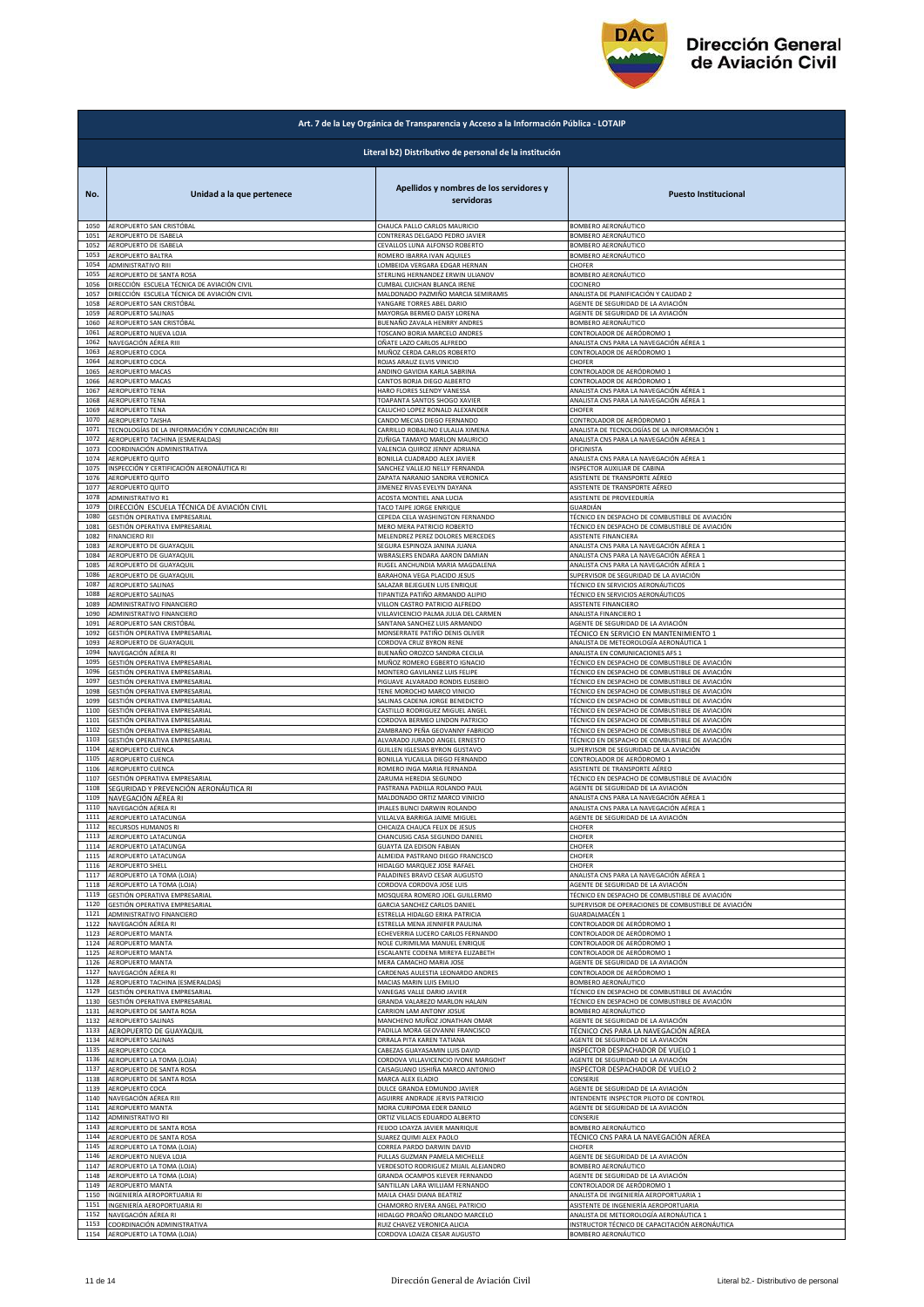

|              | Art. 7 de la Ley Orgánica de Transparencia y Acceso a la Información Pública - LOTAIP |                                                                    |                                                                       |  |
|--------------|---------------------------------------------------------------------------------------|--------------------------------------------------------------------|-----------------------------------------------------------------------|--|
|              | Literal b2) Distributivo de personal de la institución                                |                                                                    |                                                                       |  |
| No.          | Unidad a la que pertenece                                                             | Apellidos y nombres de los servidores y<br>servidoras              | <b>Puesto Institucional</b>                                           |  |
| 1050         | AEROPUERTO SAN CRISTÓBAL                                                              | CHAUCA PALLO CARLOS MAURICIO                                       | BOMBERO AERONÁUTICO                                                   |  |
| 1051         | AEROPUERTO DE ISABELA                                                                 | CONTRERAS DELGADO PEDRO JAVIER                                     | BOMBERO AERONÁUTICO                                                   |  |
| 1052         | AEROPUERTO DE ISABELA                                                                 | CEVALLOS LUNA ALFONSO ROBERTO                                      | BOMBERO AERONÁUTICO                                                   |  |
| 1053         | AEROPUERTO BALTRA                                                                     | ROMERO IBARRA IVAN AQUILES                                         | BOMBERO AERONÁUTICO                                                   |  |
| 1054         | ADMINISTRATIVO RIII                                                                   | LOMBEIDA VERGARA EDGAR HERNAN                                      | CHOFER                                                                |  |
| 1055         | AEROPUERTO DE SANTA ROSA                                                              | STERLING HERNANDEZ ERWIN ULIANOV                                   | BOMBERO AERONÁUTICO                                                   |  |
| 1056         | DIRECCIÓN ESCUELA TÉCNICA DE AVIACIÓN CIVIL                                           | CUMBAL CUICHAN BLANCA IRENE                                        | COCINERO                                                              |  |
| 1057         | DIRECCIÓN ESCUELA TÉCNICA DE AVIACIÓN CIVIL                                           | MALDONADO PAZMIÑO MARCIA SEMIRAMIS                                 | ANALISTA DE PLANIFICACIÓN Y CALIDAD 2                                 |  |
| 1058         | AEROPUERTO SAN CRISTÓBAL                                                              | YANGARE TORRES ABEL DARIO                                          | AGENTE DE SEGURIDAD DE LA AVIACIÓN                                    |  |
| 1059         | AEROPUERTO SALINAS                                                                    | MAYORGA BERMEO DAISY LORENA                                        | AGENTE DE SEGURIDAD DE LA AVIACIÓN                                    |  |
| 1060         | AEROPUERTO SAN CRISTÓBAL                                                              | BUENAÑO ZAVALA HENRRY ANDRES                                       | BOMBERO AERONÁUTICO                                                   |  |
| 1061         | AEROPUERTO NUEVA LOJA                                                                 | TOSCANO BORJA MARCELO ANDRES                                       | CONTROLADOR DE AERÓDROMO 1                                            |  |
| 1062         | NAVEGACIÓN AÉREA RIII                                                                 | OÑATE LAZO CARLOS ALFREDO                                          | ANALISTA CNS PARA LA NAVEGACIÓN AÉREA 1                               |  |
| 1063         | AEROPUERTO COCA                                                                       | MUÑOZ CERDA CARLOS ROBERTO                                         | CONTROLADOR DE AERÓDROMO 1                                            |  |
| 1064         | AEROPUERTO COCA                                                                       | ROJAS ARAUZ ELVIS VINICIO                                          | CHOFER                                                                |  |
| 1065         | <b>AEROPUERTO MACAS</b>                                                               | ANDINO GAVIDIA KARLA SABRINA                                       | CONTROLADOR DE AERÓDROMO 1                                            |  |
| 1066         | AEROPUERTO MACAS                                                                      | CANTOS BORJA DIEGO ALBERTO                                         | CONTROLADOR DE AERÓDROMO 1                                            |  |
| 1067         | AEROPUERTO TENA                                                                       | HARO FLORES SLENDY VANESSA                                         | ANALISTA CNS PARA LA NAVEGACIÓN AÉREA 1                               |  |
| 1068         | AEROPUERTO TENA                                                                       | TOAPANTA SANTOS SHOGO XAVIER                                       | ANALISTA CNS PARA LA NAVEGACIÓN AÉREA 1                               |  |
| 1069         | AEROPUERTO TENA                                                                       | CALUCHO LOPEZ RONALD ALEXANDER                                     | CHOFER                                                                |  |
| 1070         | <b>AEROPUERTO TAISHA</b>                                                              | CANDO MECIAS DIEGO FERNANDO                                        | CONTROLADOR DE AERÓDROMO 1                                            |  |
| 1071         | TECNOLOGÍAS DE LA INFORMACIÓN Y COMUNICACIÓN RIII                                     | CARRILLO ROBALINO EULALIA XIMENA                                   | ANALISTA DE TECNOLOGÍAS DE LA INFORMACIÓN 1                           |  |
| 1072         | AEROPUERTO TACHINA (ESMERALDAS)                                                       | ZUÑIGA TAMAYO MARLON MAURICIO                                      | ANALISTA CNS PARA LA NAVEGACIÓN AÉREA 1                               |  |
| 1073         | COORDINACIÓN ADMINISTRATIVA                                                           | VALENCIA QUIROZ JENNY ADRIANA                                      | OFICINISTA                                                            |  |
| 1074         | AEROPUERTO QUITO                                                                      | BONILLA CUADRADO ALEX JAVIER                                       | ANALISTA CNS PARA LA NAVEGACIÓN AÉREA 1                               |  |
| 1075         | INSPECCIÓN Y CERTIFICACIÓN AERONÁUTICA RI                                             | SANCHEZ VALLEJO NELLY FERNANDA                                     | INSPECTOR AUXILIAR DE CABINA                                          |  |
| 1076         | AEROPUERTO QUITO                                                                      | ZAPATA NARANJO SANDRA VERONICA                                     | ASISTENTE DE TRANSPORTE AÉREO                                         |  |
| 1077         | AEROPUERTO QUITO                                                                      | JIMENEZ RIVAS EVELYN DAYANA                                        | ASISTENTE DE TRANSPORTE AÉREO                                         |  |
| 1078         | ADMINISTRATIVO R1                                                                     | ACOSTA MONTIEL ANA LUCIA                                           | ASISTENTE DE PROVEEDURÍA                                              |  |
| 1079         | DIRECCIÓN ESCUELA TÉCNICA DE AVIACIÓN CIVIL                                           | TACO TAIPE JORGE ENRIQUE                                           | GUARDIÁN                                                              |  |
| 1080         | GESTIÓN OPERATIVA EMPRESARIAL                                                         | CEPEDA CELA WASHINGTON FERNANDO                                    | TÉCNICO EN DESPACHO DE COMBUSTIBLE DE AVIACIÓN                        |  |
| 1081         | GESTIÓN OPERATIVA EMPRESARIAL                                                         | MERO MERA PATRICIO ROBERTO                                         | TÉCNICO EN DESPACHO DE COMBUSTIBLE DE AVIACIÓN                        |  |
| 1082         | <b>FINANCIERO RII</b>                                                                 | MELENDREZ PEREZ DOLORES MERCEDES                                   | ASISTENTE FINANCIERA                                                  |  |
| 1083         | AEROPUERTO DE GUAYAQUIL                                                               | SEGURA ESPINOZA JANINA JUANA                                       | ANALISTA CNS PARA LA NAVEGACIÓN AÉREA 1                               |  |
| 1084         | AEROPUERTO DE GUAYAQUIL                                                               | WBRASLERS ENDARA AARON DAMIAN                                      | ANALISTA CNS PARA LA NAVEGACIÓN AÉREA 1                               |  |
| 1085         | AEROPUERTO DE GUAYAQUIL                                                               | RUGEL ANCHUNDIA MARIA MAGDALENA                                    | ANALISTA CNS PARA LA NAVEGACIÓN AÉREA 1                               |  |
| 1086         | AEROPUERTO DE GUAYAQUIL                                                               | BARAHONA VEGA PLACIDO JESUS                                        | SUPERVISOR DE SEGURIDAD DE LA AVIACIÓN                                |  |
| 1087         | AEROPUERTO SALINAS                                                                    | SALAZAR BEJEGUEN LUIS ENRIQUE                                      | TÉCNICO EN SERVICIOS AERONÁUTICOS                                     |  |
| 1088         | AEROPUERTO SALINAS                                                                    | TIPANTIZA PATIÑO ARMANDO ALIPIO                                    | TÉCNICO EN SERVICIOS AERONÁUTICOS                                     |  |
| 1089         | ADMINISTRATIVO FINANCIERO                                                             | VILLON CASTRO PATRICIO ALFREDO                                     | ASISTENTE FINANCIERO                                                  |  |
| 1090         | ADMINISTRATIVO FINANCIERO                                                             | VILLAVICENCIO PALMA JULIA DEL CARMEN                               | ANALISTA FINANCIERO 1                                                 |  |
| 1091         | AEROPUERTO SAN CRISTÓBAL                                                              | SANTANA SANCHEZ LUIS ARMANDO                                       | AGENTE DE SEGURIDAD DE LA AVIACIÓN                                    |  |
| 1092         | GESTIÓN OPERATIVA EMPRESARIAL                                                         | MONSERRATE PATIÑO DENIS OLIVER                                     | TÉCNICO EN SERVICIO EN MANTENIMIENTO 1                                |  |
| 1093         | AEROPUERTO DE GUAYAQUIL                                                               | CORDOVA CRUZ BYRON RENE                                            | ANALISTA DE METEOROLOGÍA AERONÁUTICA 1                                |  |
| 1094         | NAVEGACIÓN AÉREA RI                                                                   | BUENAÑO OROZCO SANDRA CECILIA                                      | ANALISTA EN COMUNICACIONES AFS 1                                      |  |
| 1095         | GESTIÓN OPERATIVA EMPRESARIAL                                                         | MUÑOZ ROMERO EGBERTO IGNACIO                                       | TÉCNICO EN DESPACHO DE COMBUSTIBLE DE AVIACIÓN                        |  |
| 1096         | GESTIÓN OPERATIVA EMPRESARIAL                                                         | MONTERO GAVILANEZ LUIS FELIPE                                      | TÉCNICO EN DESPACHO DE COMBUSTIBLE DE AVIACIÓN                        |  |
| 1097         | GESTIÓN OPERATIVA EMPRESARIAL                                                         | PIGUAVE ALVARADO RONDIS EUSEBIO                                    | TÉCNICO EN DESPACHO DE COMBUSTIBLE DE AVIACIÓN                        |  |
| 1098         | GESTIÓN OPERATIVA EMPRESARIAL                                                         | TENE MOROCHO MARCO VINICIO                                         | TÉCNICO EN DESPACHO DE COMBUSTIBLE DE AVIACIÓN                        |  |
| 1099         | GESTIÓN OPERATIVA EMPRESARIAL                                                         | SALINAS CADENA JORGE BENEDICTO                                     | TÉCNICO EN DESPACHO DE COMBUSTIBLE DE AVIACIÓN                        |  |
| 1100         | GESTIÓN OPERATIVA EMPRESARIAL                                                         | CASTILLO RODRIGUEZ MIGUEL ANGEI                                    | TÉCNICO EN DESPACHO DE COMBUSTIBLE DE AVIACIÓN                        |  |
| 1101         | GESTIÓN OPERATIVA EMPRESARIAL                                                         | CORDOVA BERMEO LINDON PATRICIO                                     | TÉCNICO EN DESPACHO DE COMBUSTIBLE DE AVIACIÓN                        |  |
| 1102         | GESTIÓN OPERATIVA EMPRESARIAL                                                         | ZAMBRANO PEÑA GEOVANNY FABRICIO                                    | TÉCNICO EN DESPACHO DE COMBUSTIBLE DE AVIACIÓN                        |  |
| 1103         | GESTIÓN OPERATIVA EMPRESARIAL                                                         | ALVARADO JURADO ANGEL ERNESTO                                      | TÉCNICO EN DESPACHO DE COMBUSTIBLE DE AVIACIÓN                        |  |
| 1104         | AEROPUERTO CUENCA                                                                     | GUILLEN IGLESIAS BYRON GUSTAVO                                     | SUPERVISOR DE SEGURIDAD DE LA AVIACIÓN                                |  |
| 1105         | AEROPUERTO CUENCA                                                                     | BONILLA YUCAILLA DIEGO FERNANDO                                    | CONTROLADOR DE AERÓDROMO 1                                            |  |
| 1106         | AEROPUERTO CUENCA                                                                     | ROMERO INGA MARIA FERNANDA                                         | ASISTENTE DE TRANSPORTE AÉREO                                         |  |
| 1107         | GESTIÓN OPERATIVA EMPRESARIAL                                                         | ZARUMA HEREDIA SEGUNDO                                             | TÉCNICO EN DESPACHO DE COMBUSTIBLE DE AVIACIÓN                        |  |
| 1108         | SEGURIDAD Y PREVENCIÓN AERONÁUTICA RI                                                 | PASTRANA PADILLA ROLANDO PAUL                                      | AGENTE DE SEGURIDAD DE LA AVIACIÓN                                    |  |
| 1109         | NAVEGACIÓN AÉREA RI                                                                   | MALDONADO ORTIZ MARCO VINICIO                                      | ANALISTA CNS PARA LA NAVEGACIÓN AÉREA 1                               |  |
| 1110         | NAVEGACIÓN AÉREA RI                                                                   | IPIALES BUNCLDARWIN ROLANDO                                        | ANALISTA CNS PARA LA NAVEGACIÓN AÉREA 1                               |  |
| 1111         | AEROPUERTO LATACUNGA                                                                  | VILLALVA BARRIGA JAIME MIGUEL                                      | AGENTE DE SEGURIDAD DE LA AVIACIÓN                                    |  |
| 1112         | RECURSOS HUMANOS RI                                                                   | CHICAIZA CHAUCA FELIX DE JESUS                                     | CHOFER                                                                |  |
| 1113         | AEROPUERTO LATACUNGA                                                                  | CHANCUSIG CASA SEGUNDO DANIEL                                      | CHOFER                                                                |  |
| 1114         | AEROPUERTO LATACUNGA                                                                  | GUAYTA IZA EDISON FABIAN                                           | CHOFER                                                                |  |
| 1115         | AEROPUERTO LATACUNGA                                                                  | ALMEIDA PASTRANO DIEGO FRANCISCO                                   | CHOFER                                                                |  |
| 1116         | AEROPUERTO SHELL                                                                      | HIDALGO MARQUEZ JOSE RAFAEL                                        | CHOFER                                                                |  |
| 1117         | AEROPUERTO LA TOMA (LOJA)                                                             | PALADINES BRAVO CESAR AUGUSTO                                      | ANALISTA CNS PARA LA NAVEGACIÓN AÉREA 1                               |  |
| 1118         | AEROPUERTO LA TOMA (LOJA)                                                             | CORDOVA CORDOVA JOSE LUIS                                          | AGENTE DE SEGURIDAD DE LA AVIACIÓN                                    |  |
| 1119         | GESTIÓN OPERATIVA EMPRESARIAL                                                         | MOSQUERA ROMERO JOEL GUILLERMO                                     | TÉCNICO EN DESPACHO DE COMBUSTIBLE DE AVIACIÓN                        |  |
| 1120         | GESTIÓN OPERATIVA EMPRESARIAL                                                         | GARCIA SANCHEZ CARLOS DANIEL                                       | SUPERVISOR DE OPERACIONES DE COMBUSTIBLE DE AVIACIÓN                  |  |
| 1121         | ADMINISTRATIVO FINANCIERO                                                             | ESTRELLA HIDALGO ERIKA PATRICIA                                    | GUARDALMACÉN 1                                                        |  |
| 1122<br>1123 | NAVEGACIÓN AÉREA RI                                                                   | ESTRELLA MENA JENNIFER PAULINA                                     | CONTROLADOR DE AERÓDROMO 1<br>CONTROLADOR DE AERÓDROMO 1              |  |
| 1124         | AEROPUERTO MANTA<br><b>AEROPUERTO MANTA</b>                                           | ECHEVERRIA LUCERO CARLOS FERNANDO<br>NOLE CURIMILMA MANUEL ENRIQUE | CONTROLADOR DE AERÓDROMO 1                                            |  |
| 1125         | AEROPUERTO MANTA                                                                      | ESCALANTE CODENA MIREYA ELIZABETH                                  | CONTROLADOR DE AERÓDROMO 1                                            |  |
| 1126         | AEROPUERTO MANTA                                                                      | MERA CAMACHO MARIA JOSE                                            | AGENTE DE SEGURIDAD DE LA AVIACIÓN                                    |  |
| 1127         | NAVEGACIÓN AÉREA RI                                                                   | CARDENAS AULESTIA LEONARDO ANDRES                                  | CONTROLADOR DE AERÓDROMO 1                                            |  |
| 1128         | AEROPUERTO TACHINA (ESMERALDAS)                                                       | MACIAS MARIN LUIS EMILIO                                           | BOMBERO AERONÁUTICO                                                   |  |
| 1129         | GESTIÓN OPERATIVA EMPRESARIAL                                                         | VANEGAS VALLE DARIO JAVIER                                         | TÉCNICO EN DESPACHO DE COMBUSTIBLE DE AVIACIÓN                        |  |
| 1130         | GESTIÓN OPERATIVA EMPRESARIAL                                                         | GRANDA VALAREZO MARLON HALAIN                                      |                                                                       |  |
| 1131         | AEROPUERTO DE SANTA ROSA                                                              | CARRION LAM ANTONY JOSUE                                           | TÉCNICO EN DESPACHO DE COMBUSTIBLE DE AVIACIÓN<br>BOMBERO AERONÁUTICO |  |
| 1132         | AEROPUERTO SALINAS                                                                    | MANCHENO MUÑOZ JONATHAN OMAR                                       | AGENTE DE SEGURIDAD DE LA AVIACIÓN                                    |  |
| 1133         | AEROPUERTO DE GUAYAQUIL                                                               | PADILLA MORA GEOVANNI FRANCISCO                                    | TÉCNICO CNS PARA LA NAVEGACIÓN AÉREA                                  |  |
| 1134         | AEROPUERTO SALINAS                                                                    | ORRALA PITA KAREN TATIANA                                          | AGENTE DE SEGURIDAD DE LA AVIACIÓN                                    |  |
| 1135         | AEROPUERTO COCA                                                                       | CABEZAS GUAYASAMIN LUIS DAVID                                      | INSPECTOR DESPACHADOR DE VUELO 1                                      |  |
| 1136         | AEROPUERTO LA TOMA (LOJA)                                                             | CORDOVA VILLAVICENCIO IVONE MARGOHT                                | AGENTE DE SEGURIDAD DE LA AVIACIÓN                                    |  |
| 1137         | AEROPUERTO DE SANTA ROSA                                                              | CAISAGUANO USHIÑA MARCO ANTONIO                                    | INSPECTOR DESPACHADOR DE VUELO 2                                      |  |
| 1138         | AEROPUERTO DE SANTA ROSA                                                              | MARCA ALEX ELADIO                                                  | CONSERJE                                                              |  |
| 1139         | AEROPUERTO COCA                                                                       | DULCE GRANDA EDMUNDO JAVIER                                        | AGENTE DE SEGURIDAD DE LA AVIACIÓN                                    |  |
| 1140         | NAVEGACIÓN AÉREA RIII                                                                 | AGUIRRE ANDRADE JERVIS PATRICIO                                    | INTENDENTE INSPECTOR PILOTO DE CONTROL                                |  |
| 1141<br>1142 | AEROPUERTO MANTA                                                                      | MORA CURIPOMA EDER DANILO                                          | AGENTE DE SEGURIDAD DE LA AVIACIÓN                                    |  |
| 1143         | ADMINISTRATIVO RII                                                                    | ORTIZ VILLACIS EDUARDO ALBERTO                                     | CONSERJE                                                              |  |
|              | AEROPUERTO DE SANTA ROSA                                                              | FEIJOO LOAYZA JAVIER MANRIQUE                                      | BOMBERO AERONÁUTICO                                                   |  |
| 1144         | AEROPUERTO DE SANTA ROSA                                                              | SUAREZ QUIMI ALEX PAOLO                                            | TÉCNICO CNS PARA LA NAVEGACIÓN AÉREA                                  |  |
| 1145         | AEROPUERTO LA TOMA (LOJA)                                                             | CORREA PARDO DARWIN DAVID                                          | CHOFER                                                                |  |
| 1146         | AEROPUERTO NUEVA LOJA                                                                 | PULLAS GUZMAN PAMELA MICHELLE                                      | AGENTE DE SEGURIDAD DE LA AVIACIÓN                                    |  |
| 1147         | AEROPUERTO LA TOMA (LOJA)                                                             | VERDESOTO RODRIGUEZ MIJAIL ALEJANDRO                               | BOMBERO AERONÁUTICO                                                   |  |
| 1148         | AEROPUERTO LA TOMA (LOJA)                                                             | GRANDA OCAMPOS KLEVER FERNANDO                                     | AGENTE DE SEGURIDAD DE LA AVIACIÓN                                    |  |
| 1149         | AEROPUERTO MANTA                                                                      | SANTILLAN LARA WILLIAM FERNANDO                                    | CONTROLADOR DE AERÓDROMO 1                                            |  |
| 1150         | INGENIERÍA AEROPORTUARIA RI                                                           | MAILA CHASI DIANA BEATRIZ                                          | ANALISTA DE INGENIERÍA AEROPORTUARIA 1                                |  |
| 1151         | INGENIERÍA AEROPORTUARIA RI                                                           | CHAMORRO RIVERA ANGEL PATRICIO                                     | ASISTENTE DE INGENIERÍA AEROPORTUARIA                                 |  |
| 1152         | NAVEGACIÓN AÉREA RI                                                                   | HIDALGO PROAÑO ORLANDO MARCELO                                     | ANALISTA DE METEOROLOGÍA AERONÁUTICA 1                                |  |
| 1153         | COORDINACIÓN ADMINISTRATIVA                                                           | RUIZ CHAVEZ VERONICA ALICIA                                        | INSTRUCTOR TÉCNICO DE CAPACITACIÓN AERONÁUTICA                        |  |
| 1154         | AEROPUERTO LA TOMA (LOJA)                                                             | CORDOVA LOAIZA CESAR AUGUSTO                                       | BOMBERO AERONÁUTICO                                                   |  |
|              |                                                                                       |                                                                    |                                                                       |  |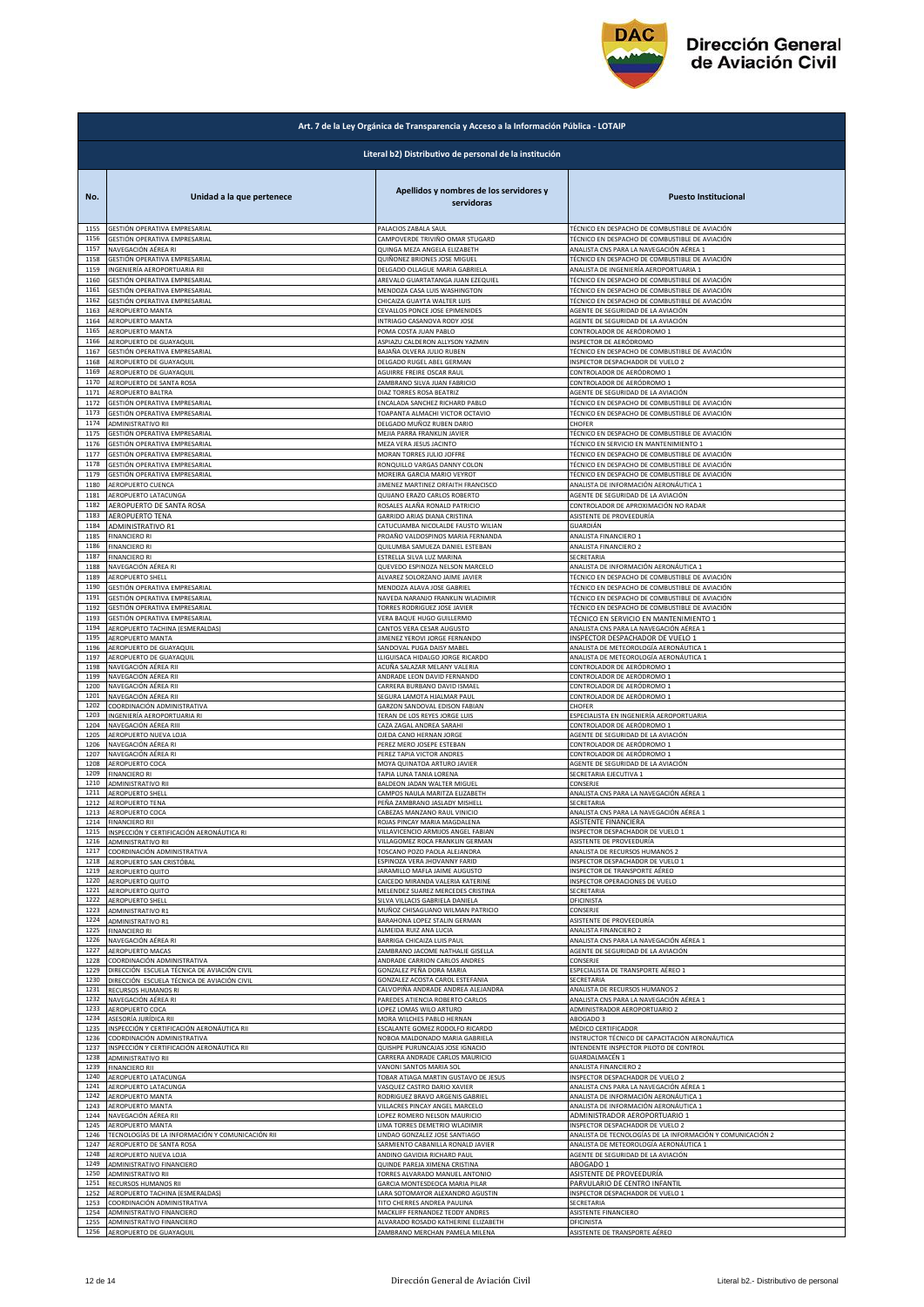

| Art. 7 de la Ley Orgánica de Transparencia y Acceso a la Información Pública - LOTAIP |                                                        |                                                                      |                                                            |  |
|---------------------------------------------------------------------------------------|--------------------------------------------------------|----------------------------------------------------------------------|------------------------------------------------------------|--|
|                                                                                       | Literal b2) Distributivo de personal de la institución |                                                                      |                                                            |  |
| No.                                                                                   | Unidad a la que pertenece                              | Apellidos y nombres de los servidores y<br>servidoras                | <b>Puesto Institucional</b>                                |  |
| 1155                                                                                  | GESTIÓN OPERATIVA EMPRESARIAL                          | PALACIOS ZABALA SAUL                                                 | TÉCNICO EN DESPACHO DE COMBUSTIBLE DE AVIACIÓN             |  |
| 1156                                                                                  | GESTIÓN OPERATIVA EMPRESARIAL                          | CAMPOVERDE TRIVIÑO OMAR STUGARD                                      | TÉCNICO EN DESPACHO DE COMBUSTIBLE DE AVIACIÓN             |  |
| 1157                                                                                  | NAVEGACIÓN AÉREA RI                                    | QUINGA MEZA ANGELA ELIZABETH                                         | ANALISTA CNS PARA LA NAVEGACIÓN AÉREA 1                    |  |
| 1158                                                                                  | GESTIÓN OPERATIVA EMPRESARIAL                          | QUIÑONEZ BRIONES JOSE MIGUEL                                         | TÉCNICO EN DESPACHO DE COMBUSTIBLE DE AVIACIÓN             |  |
| 1159                                                                                  | INGENIERÍA AEROPORTUARIA RII                           | DELGADO OLLAGUE MARIA GABRIELA                                       | ANALISTA DE INGENIERÍA AEROPORTUARIA 1                     |  |
| 1160                                                                                  | GESTIÓN OPERATIVA EMPRESARIAL                          | AREVALO GUARTATANGA JUAN EZEQUIEL                                    | TÉCNICO EN DESPACHO DE COMBUSTIBLE DE AVIACIÓN             |  |
| 1161                                                                                  | GESTIÓN OPERATIVA EMPRESARIAL                          | MENDOZA CASA LUIS WASHINGTON                                         | TÉCNICO EN DESPACHO DE COMBUSTIBLE DE AVIACIÓN             |  |
| 1162                                                                                  | GESTIÓN OPERATIVA EMPRESARIAL                          | CHICAIZA GUAYTA WALTER LUIS                                          | TÉCNICO EN DESPACHO DE COMBUSTIBLE DE AVIACIÓN             |  |
| 1163                                                                                  | AEROPUERTO MANTA                                       | CEVALLOS PONCE JOSE EPIMENIDES                                       | AGENTE DE SEGURIDAD DE LA AVIACIÓN                         |  |
| 1164                                                                                  | AEROPUERTO MANTA                                       | INTRIAGO CASANOVA RODY JOSE                                          | AGENTE DE SEGURIDAD DE LA AVIACIÓN                         |  |
| 1165                                                                                  | AEROPUERTO MANTA                                       | POMA COSTA JUAN PABLO                                                | CONTROLADOR DE AERÓDROMO 1                                 |  |
| 1166                                                                                  | AEROPUERTO DE GUAYAQUIL                                | ASPIAZU CALDERON ALLYSON YAZMIN                                      | INSPECTOR DE AERÓDROMO                                     |  |
| 1167                                                                                  | GESTIÓN OPERATIVA EMPRESARIAL                          | BAJAÑA OLVERA JULIO RUBEN                                            | TÉCNICO EN DESPACHO DE COMBUSTIBLE DE AVIACIÓN             |  |
| 1168                                                                                  | AEROPUERTO DE GUAYAQUIL                                | DELGADO RUGEL ABEL GERMAN                                            | INSPECTOR DESPACHADOR DE VUELO 2                           |  |
| 1169                                                                                  | AEROPUERTO DE GUAYAQUIL                                | AGUIRRE FREIRE OSCAR RAUL                                            | CONTROLADOR DE AERÓDROMO 1                                 |  |
| 1170                                                                                  | AEROPUERTO DE SANTA ROSA                               | ZAMBRANO SILVA JUAN FABRICIO                                         | CONTROLADOR DE AERÓDROMO 1                                 |  |
| 1171                                                                                  | AEROPUERTO BALTRA                                      | DIAZ TORRES ROSA BEATRIZ                                             | AGENTE DE SEGURIDAD DE LA AVIACIÓN                         |  |
| 1172                                                                                  | GESTIÓN OPERATIVA EMPRESARIAL                          | ENCALADA SANCHEZ RICHARD PABLO                                       | TÉCNICO EN DESPACHO DE COMBUSTIBLE DE AVIACIÓN             |  |
| 1173                                                                                  | GESTIÓN OPERATIVA EMPRESARIAL                          | TOAPANTA ALMACHI VICTOR OCTAVIO                                      | TÉCNICO EN DESPACHO DE COMBUSTIBLE DE AVIACIÓN             |  |
| 1174                                                                                  | ADMINISTRATIVO RII                                     | DELGADO MUÑOZ RUBEN DARIO                                            | CHOFER                                                     |  |
| 1175                                                                                  | GESTIÓN OPERATIVA EMPRESARIAL                          | MEJIA PARRA FRANKLIN JAVIER                                          | TÉCNICO EN DESPACHO DE COMBUSTIBLE DE AVIACIÓN             |  |
| 1176                                                                                  | GESTIÓN OPERATIVA EMPRESARIAL                          | MEZA VERA JESUS JACINTO                                              | TÉCNICO EN SERVICIO EN MANTENIMIENTO 1                     |  |
| 1177                                                                                  | GESTIÓN OPERATIVA EMPRESARIAL                          | MORAN TORRES JULIO JOFFRE                                            | TÉCNICO EN DESPACHO DE COMBUSTIBLE DE AVIACIÓN             |  |
| 1178                                                                                  | GESTIÓN OPERATIVA EMPRESARIAL                          | RONQUILLO VARGAS DANNY COLON                                         | TÉCNICO EN DESPACHO DE COMBUSTIBLE DE AVIACIÓN             |  |
| 1179                                                                                  | GESTIÓN OPERATIVA EMPRESARIAL                          | MOREIRA GARCIA MARIO VEYROT                                          | TÉCNICO EN DESPACHO DE COMBUSTIBLE DE AVIACIÓN             |  |
| 1180                                                                                  | AEROPUERTO CUENCA                                      | JIMENEZ MARTINEZ ORFAITH FRANCISCO                                   | ANALISTA DE INFORMACIÓN AERONÁUTICA 1                      |  |
| 1181                                                                                  | AEROPUERTO LATACUNGA                                   | QUIJANO ERAZO CARLOS ROBERTO                                         | AGENTE DE SEGURIDAD DE LA AVIACIÓN                         |  |
| 1182                                                                                  | AEROPUERTO DE SANTA ROSA                               | ROSALES ALAÑA RONALD PATRICIO                                        | CONTROLADOR DE APROXIMACIÓN NO RADAR                       |  |
| 1183                                                                                  | AEROPUERTO TENA                                        | GARRIDO ARIAS DIANA CRISTINA                                         | ASISTENTE DE PROVEEDURÍA                                   |  |
| 1184<br>1185                                                                          | ADMINISTRATIVO R1<br><b>FINANCIERO RI</b>              | CATUCUAMBA NICOLALDE FAUSTO WILIAN                                   | GUARDIÁN                                                   |  |
| 1186                                                                                  | <b>FINANCIERO RI</b>                                   | PROAÑO VALDOSPINOS MARIA FERNANDA<br>QUILUMBA SAMUEZA DANIEL ESTEBAN | ANALISTA FINANCIERO 1<br>ANALISTA FINANCIERO 2             |  |
| 1187                                                                                  | <b>FINANCIERO RI</b>                                   | ESTRELLA SILVA LUZ MARINA                                            | SECRETARIA                                                 |  |
| 1188                                                                                  | NAVEGACIÓN AÉREA RI                                    | QUEVEDO ESPINOZA NELSON MARCELO                                      | ANALISTA DE INFORMACIÓN AERONÁUTICA 1                      |  |
| 1189                                                                                  | AEROPUERTO SHELL                                       | ALVAREZ SOLORZANO JAIME JAVIER                                       | TÉCNICO EN DESPACHO DE COMBUSTIBLE DE AVIACIÓN             |  |
| 1190                                                                                  | GESTIÓN OPERATIVA EMPRESARIAL                          | MENDOZA ALAVA JOSE GABRIEL                                           | TÉCNICO EN DESPACHO DE COMBUSTIBLE DE AVIACIÓN             |  |
| 1191<br>1192                                                                          | GESTIÓN OPERATIVA EMPRESARIAL                          | NAVEDA NARANJO FRANKLIN WLADIMIR                                     | TÉCNICO EN DESPACHO DE COMBUSTIBLE DE AVIACIÓN             |  |
| 1193                                                                                  | GESTIÓN OPERATIVA EMPRESARIAL                          | TORRES RODRIGUEZ JOSE JAVIER                                         | TÉCNICO EN DESPACHO DE COMBUSTIBLE DE AVIACIÓN             |  |
|                                                                                       | GESTIÓN OPERATIVA EMPRESARIAL                          | VERA BAQUE HUGO GUILLERMO                                            | TÉCNICO EN SERVICIO EN MANTENIMIENTO 1                     |  |
| 1194                                                                                  | AEROPUERTO TACHINA (ESMERALDAS)                        | CANTOS VERA CESAR AUGUSTO                                            | ANALISTA CNS PARA LA NAVEGACIÓN AÉREA 1                    |  |
| 1195                                                                                  | AEROPUERTO MANTA                                       | JIMENEZ YEROVI JORGE FERNANDO                                        | INSPECTOR DESPACHADOR DE VUELO 1                           |  |
| 1196                                                                                  | AEROPUERTO DE GUAYAQUIL                                | SANDOVAL PUGA DAISY MABEL                                            | ANALISTA DE METEOROLOGÍA AERONÁUTICA 1                     |  |
| 1197                                                                                  | AEROPUERTO DE GUAYAQUIL                                | LLIGUISACA HIDALGO JORGE RICARDO                                     | ANALISTA DE METEOROLOGÍA AERONÁUTICA 1                     |  |
| 1198                                                                                  | NAVEGACIÓN AÉREA RII                                   | ACUÑA SALAZAR MELANY VALERIA                                         | CONTROLADOR DE AERÓDROMO 1                                 |  |
| 1199                                                                                  | NAVEGACIÓN AÉREA RII                                   | ANDRADE LEON DAVID FERNANDO                                          | CONTROLADOR DE AERÓDROMO 1                                 |  |
| 1200                                                                                  | NAVEGACIÓN AÉREA RII                                   | CARRERA BURBANO DAVID ISMAEI                                         | CONTROLADOR DE AERÓDROMO 1                                 |  |
| 1201                                                                                  | NAVEGACIÓN AÉREA RII                                   | SEGURA LAMOTA HJALMAR PAUL                                           | CONTROLADOR DE AERÓDROMO 1                                 |  |
| 1202                                                                                  | COORDINACIÓN ADMINISTRATIVA                            | GARZON SANDOVAL EDISON FABIAN                                        | CHOFER                                                     |  |
| 1203                                                                                  | INGENIERÍA AEROPORTUARIA RI                            | TERAN DE LOS REYES JORGE LUIS                                        | ESPECIALISTA EN INGENIERÍA AEROPORTUARIA                   |  |
| 1204                                                                                  | NAVEGACIÓN AÉREA RIII                                  | CAZA ZAGAL ANDREA SARAHI                                             | CONTROLADOR DE AERÓDROMO 1                                 |  |
| 1205                                                                                  | AEROPUERTO NUEVA LOJA                                  | OJEDA CANO HERNAN JORGE                                              | AGENTE DE SEGURIDAD DE LA AVIACIÓN                         |  |
| 1206                                                                                  | NAVEGACIÓN AÉREA RI                                    | PEREZ MERO JOSEPE ESTEBAN                                            | CONTROLADOR DE AERÓDROMO 1                                 |  |
| 1207                                                                                  | NAVEGACIÓN AÉREA RI                                    | PEREZ TAPIA VICTOR ANDRES                                            | CONTROLADOR DE AERÓDROMO 1                                 |  |
| 1208                                                                                  | AEROPUERTO COCA                                        | MOYA QUINATOA ARTURO JAVIER                                          | AGENTE DE SEGURIDAD DE LA AVIACIÓN                         |  |
| 1209                                                                                  | <b>FINANCIERO RI</b>                                   | TAPIA LUNA TANIA LORENA                                              | SECRETARIA EJECUTIVA 1                                     |  |
| 1210                                                                                  | ADMINISTRATIVO RII                                     | BALDEON JADAN WALTER MIGUEL                                          | CONSERJE                                                   |  |
| 1211                                                                                  | <b>AEROPUERTO SHELL</b>                                | CAMPOS NAULA MARITZA ELIZABETH                                       | ANALISTA CNS PARA LA NAVEGACIÓN AÉREA 1                    |  |
| 1212                                                                                  | <b>AEROPUERTO TENA</b>                                 | PEÑA ZAMBRANO JASLADY MISHELL                                        | SECRETARIA                                                 |  |
| 1213                                                                                  | AEROPUERTO COCA                                        | CABEZAS MANZANO RAUL VINICIO                                         | ANALISTA CNS PARA LA NAVEGACIÓN AÉREA 1                    |  |
| 1214                                                                                  | <b>FINANCIERO RII</b>                                  | ROJAS PINCAY MARIA MAGDALENA                                         | ASISTENTE FINANCIERA                                       |  |
| 1215                                                                                  | INSPECCIÓN Y CERTIFICACIÓN AERONÁUTICA RI              | VILLAVICENCIO ARMIJOS ANGEL FABIAN                                   | INSPECTOR DESPACHADOR DE VUELO 1                           |  |
| 1216                                                                                  | <b>ADMINISTRATIVO RII</b>                              | VILLAGOMEZ ROCA FRANKLIN GERMAN                                      | ASISTENTE DE PROVEEDURÍA                                   |  |
| 1217                                                                                  | COORDINACIÓN ADMINISTRATIVA                            | <b>TOSCANO POZO PAOLA ALEJANDRA</b>                                  | ANALISTA DE RECURSOS HUMANOS 2                             |  |
| 1218                                                                                  | AEROPUERTO SAN CRISTÓBAL                               | ESPINOZA VERA JHOVANNY FARID                                         | INSPECTOR DESPACHADOR DE VUELO 1                           |  |
| 1219                                                                                  | AEROPUERTO QUITO                                       | JARAMILLO MAFLA JAIME AUGUSTO                                        | INSPECTOR DE TRANSPORTE AÉREO                              |  |
| 1220                                                                                  | AEROPUERTO QUITO                                       | CAICEDO MIRANDA VALERIA KATERINE                                     | INSPECTOR OPERACIONES DE VUELO                             |  |
| 1221<br>1222                                                                          | AEROPUERTO QUITO                                       | MELENDEZ SUAREZ MERCEDES CRISTINA                                    | SECRETARIA                                                 |  |
| 1223                                                                                  | <b>AEROPUERTO SHELL</b>                                | SILVA VILLACIS GABRIELA DANIELA                                      | OFICINISTA                                                 |  |
|                                                                                       | ADMINISTRATIVO R1                                      | MUÑOZ CHISAGUANO WILMAN PATRICIO                                     | CONSERJE                                                   |  |
| 1224                                                                                  | ADMINISTRATIVO R1                                      | BARAHONA LOPEZ STALIN GERMAN                                         | ASISTENTE DE PROVEEDURÍA                                   |  |
| 1225                                                                                  | <b>FINANCIERO RI</b>                                   | ALMEIDA RUIZ ANA LUCIA                                               | <b>ANALISTA FINANCIERO 2</b>                               |  |
| 1226                                                                                  | NAVEGACIÓN AÉREA RI                                    | BARRIGA CHICAIZA LUIS PAUL                                           | ANALISTA CNS PARA LA NAVEGACIÓN AÉREA 1                    |  |
| 1227                                                                                  | AEROPUERTO MACAS                                       | ZAMBRANO JACOME NATHALIE GISELLA                                     | AGENTE DE SEGURIDAD DE LA AVIACIÓN                         |  |
| 1228                                                                                  | COORDINACIÓN ADMINISTRATIVA                            | ANDRADE CARRION CARLOS ANDRES                                        | CONSERJE                                                   |  |
| 1229                                                                                  | DIRECCIÓN ESCUELA TÉCNICA DE AVIACIÓN CIVIL            | GONZALEZ PEÑA DORA MARIA                                             | ESPECIALISTA DE TRANSPORTE AÉREO 1                         |  |
| 1230                                                                                  | DIRECCIÓN ESCUELA TÉCNICA DE AVIACIÓN CIVIL            | GONZALEZ ACOSTA CAROL ESTEFANIA                                      | SECRETARIA                                                 |  |
| 1231                                                                                  | RECURSOS HUMANOS RI                                    | CALVOPIÑA ANDRADE ANDREA ALEJANDRA                                   | ANALISTA DE RECURSOS HUMANOS 2                             |  |
| 1232                                                                                  | NAVEGACIÓN AÉREA RI                                    | PAREDES ATIENCIA ROBERTO CARLOS                                      | ANALISTA CNS PARA LA NAVEGACIÓN AÉREA 1                    |  |
| 1233                                                                                  | AEROPUERTO COCA                                        | LOPEZ LOMAS WILO ARTURO                                              | ADMINISTRADOR AEROPORTUARIO 2                              |  |
| 1234                                                                                  | ASESORÍA JURÍDICA RII                                  | MORA WILCHES PABLO HERNAN                                            | ABOGADO 3                                                  |  |
| 1235                                                                                  | INSPECCIÓN Y CERTIFICACIÓN AERONÁUTICA RII             | ESCALANTE GOMEZ RODOLFO RICARDO                                      | MÉDICO CERTIFICADOR                                        |  |
| 1236                                                                                  | COORDINACIÓN ADMINISTRATIVA                            | NOBOA MALDONADO MARIA GABRIELA                                       | INSTRUCTOR TÉCNICO DE CAPACITACIÓN AERONÁUTICA             |  |
| 1237                                                                                  | INSPECCIÓN Y CERTIFICACIÓN AERONÁUTICA RII             | QUISHPE PURUNCAJAS JOSE IGNACIO                                      | INTENDENTE INSPECTOR PILOTO DE CONTROL                     |  |
| 1238                                                                                  | ADMINISTRATIVO RII                                     | CARRERA ANDRADE CARLOS MAURICIO                                      | GUARDALMACÉN 1                                             |  |
| 1239                                                                                  | <b>FINANCIERO RII</b>                                  | VANONI SANTOS MARIA SOL                                              | ANALISTA FINANCIERO 2                                      |  |
| 1240                                                                                  | AEROPUERTO LATACUNGA                                   | TOBAR ATIAGA MARTIN GUSTAVO DE JESUS                                 | INSPECTOR DESPACHADOR DE VUELO 2                           |  |
| 1241                                                                                  | AEROPUERTO LATACUNGA                                   | VASQUEZ CASTRO DARIO XAVIER                                          | ANALISTA CNS PARA LA NAVEGACIÓN AÉREA 1                    |  |
| 1242                                                                                  | AEROPUERTO MANTA                                       | RODRIGUEZ BRAVO ARGENIS GABRIEL                                      | ANALISTA DE INFORMACIÓN AERONÁUTICA 1                      |  |
| 1243                                                                                  | AEROPUERTO MANTA                                       | VILLACRES PINCAY ANGEL MARCELO                                       | ANALISTA DE INFORMACIÓN AERONÁUTICA 1                      |  |
| 1244                                                                                  | NAVEGACIÓN AÉREA RII                                   | LOPEZ ROMERO NELSON MAURICIO                                         | ADMINISTRADOR AEROPORTUARIO 1                              |  |
| 1245                                                                                  | AEROPUERTO MANTA                                       | LIMA TORRES DEMETRIO WLADIMIR                                        | INSPECTOR DESPACHADOR DE VUELO 2                           |  |
| 1246                                                                                  | TECNOLOGÍAS DE LA INFORMACIÓN Y COMUNICACIÓN RII       | LINDAO GONZALEZ JOSE SANTIAGO                                        | ANALISTA DE TECNOLOGÍAS DE LA INFORMACIÓN Y COMUNICACIÓN 2 |  |
| 1247                                                                                  | AEROPUERTO DE SANTA ROSA                               | ARMIENTO CABANILLA RONALD JAVIER                                     | ANALISTA DE METEOROLOGÍA AERONÁUTICA 1                     |  |
| 1248                                                                                  | AEROPUERTO NUEVA LOJA                                  | ANDINO GAVIDIA RICHARD PAUL                                          | AGENTE DE SEGURIDAD DE LA AVIACIÓN                         |  |
| 1249                                                                                  | ADMINISTRATIVO FINANCIERO                              | QUINDE PAREJA XIMENA CRISTINA                                        | ABOGADO 1                                                  |  |
| 1250                                                                                  | ADMINISTRATIVO RII                                     | TORRES ALVARADO MANUEL ANTONIO                                       | ASISTENTE DE PROVEEDURÍA                                   |  |
| 1251                                                                                  | RECURSOS HUMANOS RII                                   | GARCIA MONTESDEOCA MARIA PILAR                                       | PARVULARIO DE CENTRO INFANTIL                              |  |
| 1252                                                                                  | AEROPUERTO TACHINA (ESMERALDAS)                        | LARA SOTOMAYOR ALEXANDRO AGUSTIN                                     | INSPECTOR DESPACHADOR DE VUELO 1                           |  |
| 1253                                                                                  | COORDINACIÓN ADMINISTRATIVA                            | TITO CHERRES ANDREA PAULINA                                          | SECRETARIA                                                 |  |
| 1254                                                                                  | ADMINISTRATIVO FINANCIERO                              | MACKLIFF FERNANDEZ TEDDY ANDRES                                      | ASISTENTE FINANCIERO                                       |  |
| 1255                                                                                  | ADMINISTRATIVO FINANCIERO                              | ALVARADO ROSADO KATHERINE ELIZABETH                                  | OFICINISTA                                                 |  |
| 1256                                                                                  | AEROPUERTO DE GUAYAQUIL                                | ZAMBRANO MERCHAN PAMELA MILENA                                       | ASISTENTE DE TRANSPORTE AÉREO                              |  |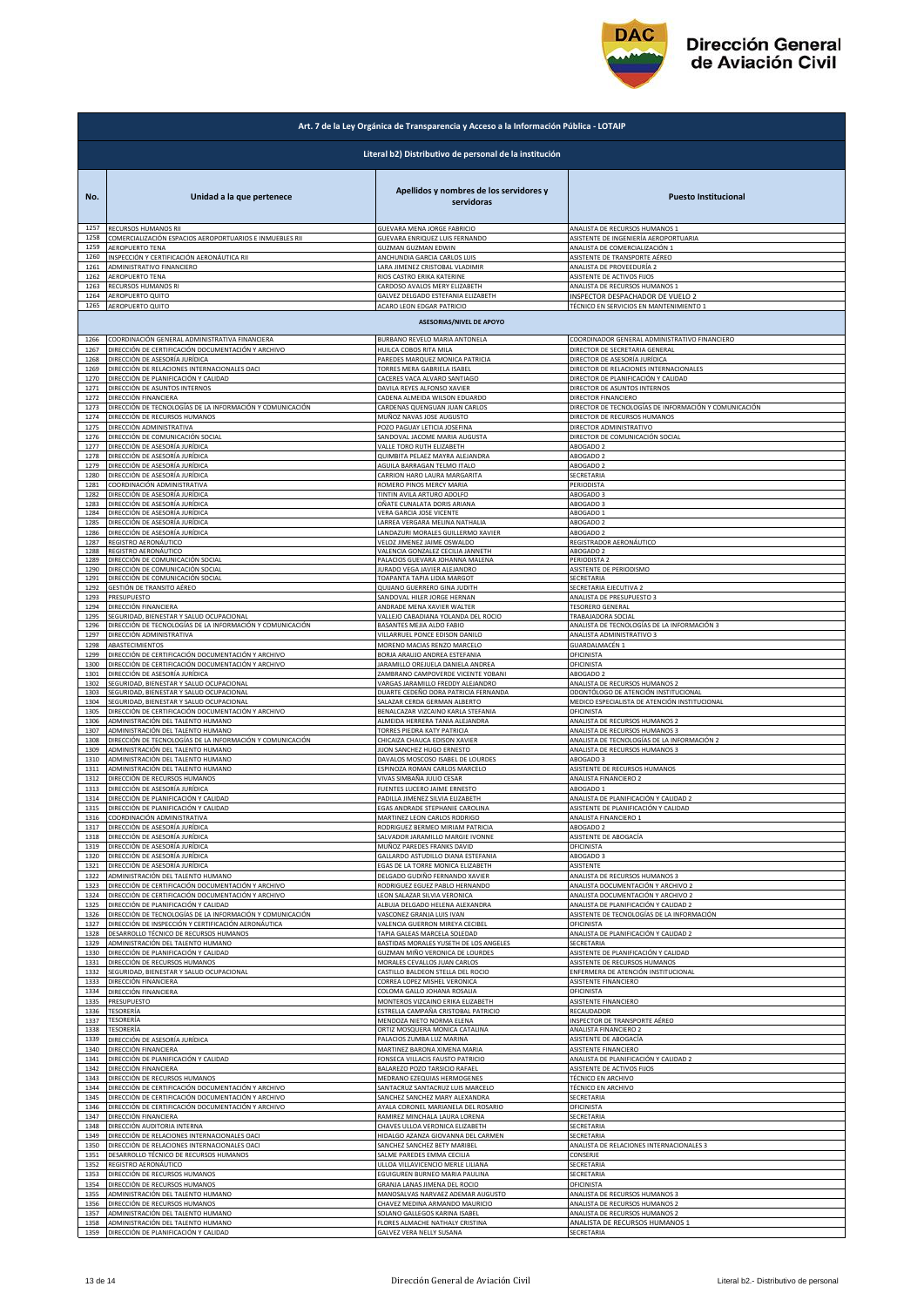

| Art. 7 de la Ley Orgánica de Transparencia y Acceso a la Información Pública - LOTAIP |                                                                                                |                                                                                                      |                                                                                               |  |  |
|---------------------------------------------------------------------------------------|------------------------------------------------------------------------------------------------|------------------------------------------------------------------------------------------------------|-----------------------------------------------------------------------------------------------|--|--|
| Literal b2) Distributivo de personal de la institución                                |                                                                                                |                                                                                                      |                                                                                               |  |  |
| No.                                                                                   | Unidad a la que pertenece                                                                      | Apellidos y nombres de los servidores y<br>servidoras                                                | <b>Puesto Institucional</b>                                                                   |  |  |
| 1257                                                                                  | RECURSOS HUMANOS RII                                                                           | GUEVARA MENA JORGE FABRICIO                                                                          | ANALISTA DE RECURSOS HUMANOS 1                                                                |  |  |
| 1258                                                                                  | COMERCIALIZACIÓN ESPACIOS AEROPORTUARIOS E INMUEBLES RII                                       | GUEVARA ENRIQUEZ LUIS FERNANDO                                                                       | ASISTENTE DE INGENIERÍA AEROPORTUARIA                                                         |  |  |
| 1259                                                                                  | <b>AEROPUERTO TENA</b>                                                                         | GUZMAN GUZMAN EDWIN                                                                                  | ANALISTA DE COMERCIALIZACIÓN 1                                                                |  |  |
| 1260                                                                                  | INSPECCIÓN Y CERTIFICACIÓN AERONÁUTICA RII                                                     | ANCHUNDIA GARCIA CARLOS LUIS                                                                         | ASISTENTE DE TRANSPORTE AÉREO                                                                 |  |  |
| 1261                                                                                  | ADMINISTRATIVO FINANCIERO                                                                      | LARA JIMENEZ CRISTOBAL VLADIMIR                                                                      | ANALISTA DE PROVEEDURÍA 2                                                                     |  |  |
| 1262                                                                                  | AEROPUERTO TENA                                                                                | RIOS CASTRO ERIKA KATERINE                                                                           | ASISTENTE DE ACTIVOS FIJOS                                                                    |  |  |
| 1263                                                                                  | RECURSOS HUMANOS RI                                                                            | CARDOSO AVALOS MERY ELIZABETH                                                                        | ANALISTA DE RECURSOS HUMANOS 1                                                                |  |  |
| 1264                                                                                  | AEROPUERTO QUITO                                                                               | GALVEZ DELGADO ESTEFANIA ELIZABETH                                                                   | INSPECTOR DESPACHADOR DE VUELO 2                                                              |  |  |
| 1265                                                                                  | AEROPUERTO QUITO                                                                               | ACARO LEON EDGAR PATRICIO<br><b>ASESORIAS/NIVEL DE APOYO</b>                                         | TÉCNICO EN SERVICIOS EN MANTENIMIENTO 1                                                       |  |  |
| 1266                                                                                  | COORDINACIÓN GENERAL ADMINISTRATIVA FINANCIERA                                                 | BURBANO REVELO MARIA ANTONELA                                                                        | COORDINADOR GENERAL ADMINISTRATIVO FINANCIERO                                                 |  |  |
| 1267                                                                                  | DIRECCIÓN DE CERTIFICACIÓN DOCUMENTACIÓN Y ARCHIVO                                             | HUILCA COBOS RITA MILA                                                                               | DIRECTOR DE SECRETARIA GENERAL                                                                |  |  |
| 1268                                                                                  | DIRECCIÓN DE ASESORÍA JURÍDICA                                                                 | PAREDES MARQUEZ MONICA PATRICIA                                                                      | DIRECTOR DE ASESORÍA JURÍDICA                                                                 |  |  |
| 1269                                                                                  | DIRECCIÓN DE RELACIONES INTERNACIONALES OACI                                                   | TORRES MERA GABRIELA ISABEL                                                                          | DIRECTOR DE RELACIONES INTERNACIONALES                                                        |  |  |
| 1270                                                                                  | DIRECCIÓN DE PLANIFICACIÓN Y CALIDAD                                                           | CACERES VACA ALVARO SANTIAGO                                                                         | DIRECTOR DE PLANIFICACIÓN Y CALIDAD                                                           |  |  |
| 1271                                                                                  | DIRECCIÓN DE ASUNTOS INTERNOS                                                                  | DAVILA REYES ALFONSO XAVIER                                                                          | DIRECTOR DE ASUNTOS INTERNOS                                                                  |  |  |
| 1272                                                                                  | DIRECCIÓN FINANCIERA                                                                           | CADENA ALMEIDA WILSON EDUARDO                                                                        | DIRECTOR FINANCIERO                                                                           |  |  |
| 1273                                                                                  | DIRECCIÓN DE TECNOLOGÍAS DE LA INFORMACIÓN Y COMUNICACIÓN                                      | CARDENAS QUENGUAN JUAN CARLOS                                                                        | DIRECTOR DE TECNOLOGÍAS DE INFORMACIÓN Y COMUNICACIÓN                                         |  |  |
| 1274                                                                                  | DIRECCIÓN DE RECURSOS HUMANOS                                                                  | MUÑOZ NAVAS JOSE AUGUSTO                                                                             | DIRECTOR DE RECURSOS HUMANOS                                                                  |  |  |
| 1275                                                                                  | DIRECCIÓN ADMINISTRATIVA                                                                       | POZO PAGUAY LETICIA JOSEFINA                                                                         | DIRECTOR ADMINISTRATIVO                                                                       |  |  |
| 1276                                                                                  | DIRECCIÓN DE COMUNICACIÓN SOCIAL                                                               | SANDOVAL JACOME MARIA AUGUSTA                                                                        | DIRECTOR DE COMUNICACIÓN SOCIAL                                                               |  |  |
| 1277                                                                                  | DIRECCIÓN DE ASESORÍA JURÍDICA                                                                 | VALLE TORO RUTH ELIZABETH                                                                            | ABOGADO 2                                                                                     |  |  |
| 1278                                                                                  | DIRECCIÓN DE ASESORÍA JURÍDICA                                                                 | QUIMBITA PELAEZ MAYRA ALEJANDRA                                                                      | ABOGADO 2                                                                                     |  |  |
| 1279                                                                                  | DIRECCIÓN DE ASESORÍA JURÍDICA                                                                 | AGUILA BARRAGAN TELMO ITALO                                                                          | ABOGADO 2                                                                                     |  |  |
| 1280                                                                                  | DIRECCIÓN DE ASESORÍA JURÍDICA                                                                 | CARRION HARO LAURA MARGARITA                                                                         | SECRETARIA                                                                                    |  |  |
| 1281                                                                                  | COORDINACIÓN ADMINISTRATIVA                                                                    | ROMERO PINOS MERCY MARIA                                                                             | PERIODISTA                                                                                    |  |  |
| 1282                                                                                  | DIRECCIÓN DE ASESORÍA JURÍDICA                                                                 | TINTIN AVILA ARTURO ADOLFO                                                                           | ABOGADO 3                                                                                     |  |  |
| 1283                                                                                  | DIRECCIÓN DE ASESORÍA JURÍDICA                                                                 | OÑATE CUNALATA DORIS ARIANA                                                                          | ABOGADO 3                                                                                     |  |  |
| 1284                                                                                  | DIRECCIÓN DE ASESORÍA JURÍDICA                                                                 | VERA GARCIA JOSE VICENTE                                                                             | ABOGADO 1                                                                                     |  |  |
| 1285                                                                                  | DIRECCIÓN DE ASESORÍA JURÍDICA                                                                 | LARREA VERGARA MELINA NATHALIA                                                                       | ABOGADO 2                                                                                     |  |  |
| 1286<br>1287<br>1288                                                                  | DIRECCIÓN DE ASESORÍA JURÍDICA<br>REGISTRO AERONÁUTICO                                         | LANDAZURI MORALES GUILLERMO XAVIER<br>VELOZ JIMENEZ JAIME OSWALDO                                    | ABOGADO 2<br>REGISTRADOR AERONÁUTICO                                                          |  |  |
| 1289<br>1290                                                                          | REGISTRO AERONÁUTICO<br>DIRECCIÓN DE COMUNICACIÓN SOCIAL<br>DIRECCIÓN DE COMUNICACIÓN SOCIAL   | VALENCIA GONZALEZ CECILIA JANNETH<br>PALACIOS GUEVARA JOHANNA MALENA<br>JURADO VEGA JAVIER ALEJANDRO | ABOGADO 2<br>PERIODISTA 2<br>ASISTENTE DE PERIODISMO                                          |  |  |
| 1291                                                                                  | DIRECCIÓN DE COMUNICACIÓN SOCIAL                                                               | TOAPANTA TAPIA LIDIA MARGOT                                                                          | SECRETARIA                                                                                    |  |  |
| 1292                                                                                  | GESTIÓN DE TRANSITO AÉREO                                                                      | QUIJANO GUERRERO GINA JUDITH                                                                         | SECRETARIA EJECUTIVA 2                                                                        |  |  |
| 1293                                                                                  | PRESUPUESTO                                                                                    | SANDOVAL HILER JORGE HERNAN                                                                          | ANALISTA DE PRESUPUESTO 3                                                                     |  |  |
| 1294                                                                                  | DIRECCIÓN FINANCIERA                                                                           | ANDRADE MENA XAVIER WALTER                                                                           | <b>TESORERO GENERAL</b>                                                                       |  |  |
| 1295                                                                                  | SEGURIDAD, BIENESTAR Y SALUD OCUPACIONAL                                                       | VALLEJO CABADIANA YOLANDA DEL ROCIO                                                                  | TRABAJADORA SOCIAL                                                                            |  |  |
|                                                                                       | DIRECCIÓN DE TECNOLOGÍAS DE LA INFORMACIÓN Y COMUNICACIÓN                                      | BASANTES MEJIA ALDO FABIO                                                                            | ANALISTA DE TECNOLOGÍAS DE LA INFORMACIÓN 3                                                   |  |  |
| 1296<br>1297                                                                          | DIRECCIÓN ADMINISTRATIVA                                                                       | VILLARRUEL PONCE EDISON DANILO                                                                       | ANALISTA ADMINISTRATIVO 3                                                                     |  |  |
| 1298                                                                                  | ABASTECIMIENTOS                                                                                | MORENO MACIAS RENZO MARCELO                                                                          | GUARDALMACÉN 1                                                                                |  |  |
| 1299                                                                                  | DIRECCIÓN DE CERTIFICACIÓN DOCUMENTACIÓN Y ARCHIVO                                             | BORJA ARAUJO ANDREA ESTEFANIA                                                                        | OFICINISTA                                                                                    |  |  |
| 1300                                                                                  | DIRECCIÓN DE CERTIFICACIÓN DOCUMENTACIÓN Y ARCHIVO                                             | JARAMILLO OREJUELA DANIELA ANDREA                                                                    | OFICINISTA                                                                                    |  |  |
| 1301                                                                                  | DIRECCIÓN DE ASESORÍA JURÍDICA                                                                 | ZAMBRANO CAMPOVERDE VICENTE YOBANI                                                                   | ABOGADO 2                                                                                     |  |  |
| 1302<br>1303<br>1304                                                                  | SEGURIDAD, BIENESTAR Y SALUD OCUPACIONAL<br>SEGURIDAD, BIENESTAR Y SALUD OCUPACIONAL           | VARGAS JARAMILLO FREDDY ALEJANDRO<br>DUARTE CEDEÑO DORA PATRICIA FERNANDA                            | ANALISTA DE RECURSOS HUMANOS 2<br>ODONTÓLOGO DE ATENCIÓN INSTITUCIONAI                        |  |  |
| 1305                                                                                  | SEGURIDAD, BIENESTAR Y SALUD OCUPACIONAL<br>DIRECCIÓN DE CERTIFICACIÓN DOCUMENTACIÓN Y ARCHIVO | SALAZAR CERDA GERMAN ALBERTO<br>BENALCAZAR VIZCAINO KARLA STEFANIA                                   | MEDICO ESPECIALISTA DE ATENCIÓN INSTITUCIONAL<br>OFICINISTA<br>ANALISTA DE RECURSOS HUMANOS 2 |  |  |
| 1306                                                                                  | ADMINISTRACIÓN DEL TALENTO HUMANO                                                              | ALMEIDA HERRERA TANIA ALEJANDRA                                                                      | ANALISTA DE RECURSOS HUMANOS 3                                                                |  |  |
| 1307                                                                                  | ADMINISTRACIÓN DEL TALENTO HUMANO                                                              | TORRES PIEDRA KATY PATRICIA                                                                          |                                                                                               |  |  |
| 1308                                                                                  | <u>DIRECCIÓN DE TECNOLOGÍAS DE LA INFORMACIÓN Y COMUNICACIÓN</u>                               | CHICAIZA CHAUCA EDISON XAVIER                                                                        | ANALISTA DE TECNOLOGÍAS DE LA INFORMACIÓN 2                                                   |  |  |
| 1309                                                                                  | ADMINISTRACIÓN DEL TALENTO HUMANO                                                              | JIJON SANCHEZ HUGO ERNESTO                                                                           | ANALISTA DE RECURSOS HUMANOS 3                                                                |  |  |
| 1310                                                                                  | ADMINISTRACIÓN DEL TALENTO HUMANO                                                              | DAVALOS MOSCOSO ISABEL DE LOURDES                                                                    | ABOGADO 3                                                                                     |  |  |
| 1311                                                                                  | ADMINISTRACIÓN DEL TALENTO HUMANO                                                              | ESPINOZA ROMAN CARLOS MARCELO                                                                        | ASISTENTE DE RECURSOS HUMANOS                                                                 |  |  |
| 1312                                                                                  | DIRECCIÓN DE RECURSOS HUMANOS                                                                  | VIVAS SIMBAÑA JULIO CESAR                                                                            | ANALISTA FINANCIERO 2                                                                         |  |  |
| 1313                                                                                  | DIRECCIÓN DE ASESORÍA JURÍDICA                                                                 | FUENTES LUCERO JAIME ERNESTO                                                                         | ABOGADO 1                                                                                     |  |  |
| 1314                                                                                  | DIRECCIÓN DE PLANIFICACIÓN Y CALIDAD                                                           | PADILLA JIMENEZ SILVIA ELIZABETH                                                                     | ANALISTA DE PLANIFICACIÓN Y CALIDAD 2                                                         |  |  |
| 1315                                                                                  | DIRECCIÓN DE PLANIFICACIÓN Y CALIDAD                                                           | EGAS ANDRADE STEPHANIE CAROLINA                                                                      | ASISTENTE DE PLANIFICACIÓN Y CALIDAD                                                          |  |  |
| 1316                                                                                  | COORDINACIÓN ADMINISTRATIVA                                                                    | MARTINEZ LEON CARLOS RODRIGO                                                                         | <b>ANALISTA FINANCIERO 1</b>                                                                  |  |  |
| 1317                                                                                  | DIRECCIÓN DE ASESORÍA JURÍDICA                                                                 | RODRIGUEZ BERMEO MIRIAM PATRICIA                                                                     | ABOGADO 2                                                                                     |  |  |
| 1318                                                                                  | DIRECCIÓN DE ASESORÍA JURÍDICA                                                                 | SALVADOR JARAMILLO MARGIE IVONNE                                                                     | ASISTENTE DE ABOGACÍA                                                                         |  |  |
| 1319                                                                                  | DIRECCIÓN DE ASESORÍA JURÍDICA                                                                 | MUÑOZ PAREDES FRANKS DAVID                                                                           | OFICINISTA                                                                                    |  |  |
| 1320                                                                                  | DIRECCIÓN DE ASESORÍA JURÍDICA                                                                 | GALLARDO ASTUDILLO DIANA ESTEFANIA                                                                   | ABOGADO 3                                                                                     |  |  |
| 1321                                                                                  | DIRECCIÓN DE ASESORÍA JURÍDICA                                                                 | EGAS DE LA TORRE MONICA ELIZABETH                                                                    | ASISTENTE                                                                                     |  |  |
| 1322                                                                                  | ADMINISTRACIÓN DEL TALENTO HUMANO                                                              | DELGADO GUDIÑO FERNANDO XAVIER                                                                       | ANALISTA DE RECURSOS HUMANOS 3                                                                |  |  |
| 1323                                                                                  | DIRECCIÓN DE CERTIFICACIÓN DOCUMENTACIÓN Y ARCHIVO                                             | RODRIGUEZ EGUEZ PABLO HERNANDO                                                                       | ANALISTA DOCUMENTACIÓN Y ARCHIVO 2                                                            |  |  |
| 1324                                                                                  | DIRECCIÓN DE CERTIFICACIÓN DOCUMENTACIÓN Y ARCHIVO                                             | LEON SALAZAR SILVIA VERONICA                                                                         | ANALISTA DOCUMENTACIÓN Y ARCHIVO 2                                                            |  |  |
| 1325                                                                                  | DIRECCIÓN DE PLANIFICACIÓN Y CALIDAD                                                           | ALBUJA DELGADO HELENA ALEXANDRA                                                                      | ANALISTA DE PLANIFICACIÓN Y CALIDAD 2                                                         |  |  |
| 1326                                                                                  | DIRECCIÓN DE TECNOLOGÍAS DE LA INFORMACIÓN Y COMUNICACIÓN                                      | VASCONEZ GRANJA LUIS IVAN                                                                            | ASISTENTE DE TECNOLOGÍAS DE LA INFORMACIÓN                                                    |  |  |
| 1327                                                                                  | DIRECCIÓN DE INSPECCIÓN Y CERTIFICACIÓN AERONÁUTICA                                            | VALENCIA GUERRON MIREYA CECIBEL                                                                      | OFICINISTA                                                                                    |  |  |
| 1328                                                                                  | DESARROLLO TÉCNICO DE RECURSOS HUMANOS                                                         | TAPIA GALEAS MARCELA SOLEDAD                                                                         | ANALISTA DE PLANIFICACIÓN Y CALIDAD 2                                                         |  |  |
| 1329                                                                                  | ADMINISTRACIÓN DEL TALENTO HUMANO                                                              | BASTIDAS MORALES YUSETH DE LOS ANGELES                                                               | SECRETARIA                                                                                    |  |  |
| 1330                                                                                  | DIRECCIÓN DE PLANIFICACIÓN Y CALIDAD                                                           | GUZMAN MIÑO VERONICA DE LOURDES                                                                      | ASISTENTE DE PLANIFICACIÓN Y CALIDAD                                                          |  |  |
| 1331                                                                                  | DIRECCIÓN DE RECURSOS HUMANOS                                                                  | MORALES CEVALLOS JUAN CARLOS                                                                         | ASISTENTE DE RECURSOS HUMANOS                                                                 |  |  |
| 1332                                                                                  | SEGURIDAD, BIENESTAR Y SALUD OCUPACIONAL                                                       | CASTILLO BALDEON STELLA DEL ROCIO                                                                    | ENFERMERA DE ATENCIÓN INSTITUCIONAL                                                           |  |  |
| 1333                                                                                  | DIRECCIÓN FINANCIERA                                                                           | CORREA LOPEZ MISHEL VERONICA                                                                         | <b>ASISTENTE FINANCIERO</b>                                                                   |  |  |
| 1334                                                                                  | DIRECCIÓN FINANCIERA                                                                           | COLOMA GALLO JOHANA ROSALIA                                                                          | OFICINISTA                                                                                    |  |  |
| 1335                                                                                  | PRESUPUESTO                                                                                    | MONTEROS VIZCAINO ERIKA ELIZABETH                                                                    | ASISTENTE FINANCIERO                                                                          |  |  |
| 1336                                                                                  | TESORERÍA                                                                                      | ESTRELLA CAMPAÑA CRISTOBAL PATRICIO                                                                  | RECAUDADOR                                                                                    |  |  |
| 1337                                                                                  | TESORERÍA                                                                                      | MENDOZA NIETO NORMA ELENA                                                                            | INSPECTOR DE TRANSPORTE AÉREO                                                                 |  |  |
| 1338                                                                                  | TESORERÍA                                                                                      | ORTIZ MOSQUERA MONICA CATALINA                                                                       | ANALISTA FINANCIERO 2                                                                         |  |  |
| 1339                                                                                  | DIRECCIÓN DE ASESORÍA JURÍDICA                                                                 | PALACIOS ZUMBA LUZ MARINA                                                                            | ASISTENTE DE ABOGACÍA                                                                         |  |  |
| 1340                                                                                  | DIRECCIÓN FINANCIERA                                                                           | MARTINEZ BARONA XIMENA MARIA                                                                         | ASISTENTE FINANCIERO                                                                          |  |  |
| 1341                                                                                  | DIRECCIÓN DE PLANIFICACIÓN Y CALIDAD                                                           | FONSECA VILLACIS FAUSTO PATRICIO                                                                     | ANALISTA DE PLANIFICACIÓN Y CALIDAD 2                                                         |  |  |
| 1342                                                                                  | DIRECCIÓN FINANCIERA                                                                           | BALAREZO POZO TARSICIO RAFAEL                                                                        | ASISTENTE DE ACTIVOS FIJOS                                                                    |  |  |
| 1343                                                                                  | DIRECCIÓN DE RECURSOS HUMANOS                                                                  | MEDRANO EZEQUIAS HERMOGENES                                                                          | TÉCNICO EN ARCHIVO                                                                            |  |  |
| 1344                                                                                  | DIRECCIÓN DE CERTIFICACIÓN DOCUMENTACIÓN Y ARCHIVO                                             | SANTACRUZ SANTACRUZ LUIS MARCELO                                                                     | TÉCNICO EN ARCHIVO                                                                            |  |  |
| 1345                                                                                  | DIRECCIÓN DE CERTIFICACIÓN DOCUMENTACIÓN Y ARCHIVO                                             | SANCHEZ SANCHEZ MARY ALEXANDRA                                                                       | SECRETARIA                                                                                    |  |  |
| 1346                                                                                  | DIRECCIÓN DE CERTIFICACIÓN DOCUMENTACIÓN Y ARCHIVO                                             | AYALA CORONEL MARIANELA DEL ROSARIO                                                                  | OFICINISTA                                                                                    |  |  |
| 1347                                                                                  | DIRECCIÓN FINANCIERA                                                                           | RAMIREZ MINCHALA LAURA LORENA                                                                        | SECRETARIA                                                                                    |  |  |
| 1348                                                                                  | DIRECCIÓN AUDITORIA INTERNA                                                                    | CHAVES ULLOA VERONICA ELIZABETH                                                                      | SECRETARIA                                                                                    |  |  |
| 1349                                                                                  | DIRECCIÓN DE RELACIONES INTERNACIONALES OACI                                                   | HIDALGO AZANZA GIOVANNA DEL CARMEN                                                                   | SECRETARIA                                                                                    |  |  |
| 1350                                                                                  | DIRECCIÓN DE RELACIONES INTERNACIONALES OACI                                                   | SANCHEZ SANCHEZ BETY MARIBEL                                                                         | ANALISTA DE RELACIONES INTERNACIONALES 3<br>CONSERJE                                          |  |  |
| 1351                                                                                  | DESARROLLO TÉCNICO DE RECURSOS HUMANOS                                                         | SALME PAREDES EMMA CECILIA                                                                           | SECRETARIA                                                                                    |  |  |
| 1352                                                                                  | REGISTRO AERONÁUTICO                                                                           | ULLOA VILLAVICENCIO MERLE LILIANA                                                                    |                                                                                               |  |  |
| 1353                                                                                  | <b>DIRECCIÓN DE RECURSOS HUMANOS</b>                                                           | EGUIGUREN BURNEO MARIA PAULINA                                                                       | SECRETARIA                                                                                    |  |  |
| 1354                                                                                  | DIRECCIÓN DE RECURSOS HUMANOS                                                                  | GRANJA LANAS JIMENA DEL ROCIO                                                                        | OFICINISTA                                                                                    |  |  |
| 1355                                                                                  | ADMINISTRACIÓN DEL TALENTO HUMANO                                                              | MANOSALVAS NARVAEZ ADEMAR AUGUSTO                                                                    | ANALISTA DE RECURSOS HUMANOS 3                                                                |  |  |
| 1356                                                                                  | DIRECCIÓN DE RECURSOS HUMANOS                                                                  | CHAVEZ MEDINA ARMANDO MAURICIO                                                                       | ANALISTA DE RECURSOS HUMANOS 2                                                                |  |  |
| 1357                                                                                  | ADMINISTRACIÓN DEL TALENTO HUMANO                                                              | SOLANO GALLEGOS KARINA ISABEL                                                                        | ANALISTA DE RECURSOS HUMANOS 2                                                                |  |  |
| 1358                                                                                  | ADMINISTRACIÓN DEL TALENTO HUMANO                                                              | FLORES ALMACHE NATHALY CRISTINA                                                                      | ANALISTA DE RECURSOS HUMANOS 1                                                                |  |  |
| 1359                                                                                  | DIRECCIÓN DE PLANIFICACIÓN Y CALIDAD                                                           | GALVEZ VERA NELLY SUSANA                                                                             | SECRETARIA                                                                                    |  |  |